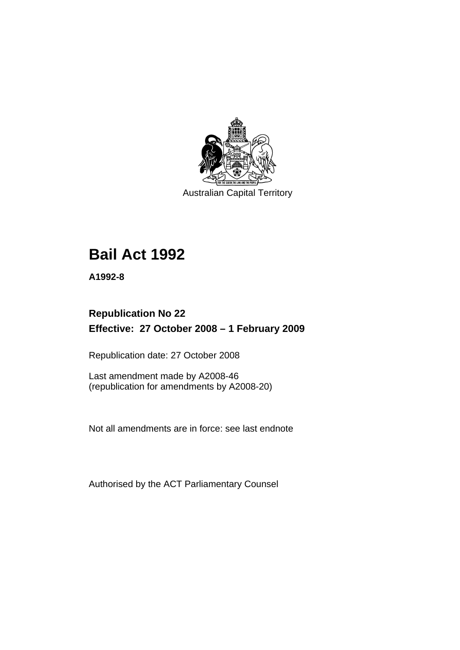

Australian Capital Territory

# **[Bail Act 1992](#page-6-0)**

**A1992-8** 

# **Republication No 22 Effective: 27 October 2008 – 1 February 2009**

Republication date: 27 October 2008

Last amendment made by A2008-46 (republication for amendments by A2008-20)

Not all amendments are in force: see last endnote

Authorised by the ACT Parliamentary Counsel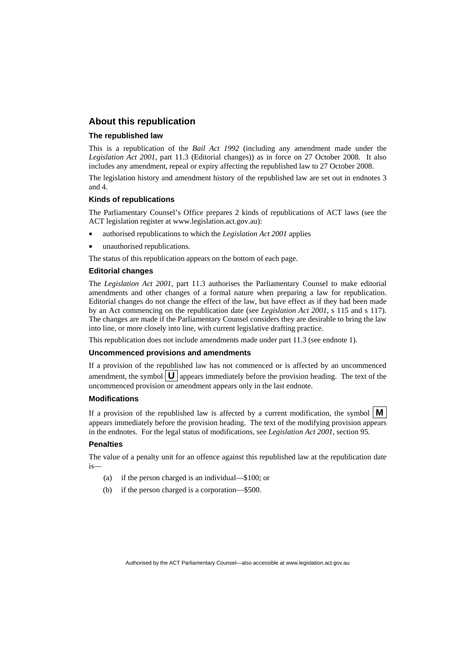#### **About this republication**

#### **The republished law**

This is a republication of the *Bail Act 1992* (including any amendment made under the *Legislation Act 2001*, part 11.3 (Editorial changes)) as in force on 27 October 2008*.* It also includes any amendment, repeal or expiry affecting the republished law to 27 October 2008.

The legislation history and amendment history of the republished law are set out in endnotes 3 and 4.

#### **Kinds of republications**

The Parliamentary Counsel's Office prepares 2 kinds of republications of ACT laws (see the ACT legislation register at www.legislation.act.gov.au):

- authorised republications to which the *Legislation Act 2001* applies
- unauthorised republications.

The status of this republication appears on the bottom of each page.

#### **Editorial changes**

The *Legislation Act 2001*, part 11.3 authorises the Parliamentary Counsel to make editorial amendments and other changes of a formal nature when preparing a law for republication. Editorial changes do not change the effect of the law, but have effect as if they had been made by an Act commencing on the republication date (see *Legislation Act 2001*, s 115 and s 117). The changes are made if the Parliamentary Counsel considers they are desirable to bring the law into line, or more closely into line, with current legislative drafting practice.

This republication does not include amendments made under part 11.3 (see endnote 1).

#### **Uncommenced provisions and amendments**

If a provision of the republished law has not commenced or is affected by an uncommenced amendment, the symbol  $\mathbf{U}$  appears immediately before the provision heading. The text of the uncommenced provision or amendment appears only in the last endnote.

#### **Modifications**

If a provision of the republished law is affected by a current modification, the symbol  $\mathbf{M}$ appears immediately before the provision heading. The text of the modifying provision appears in the endnotes. For the legal status of modifications, see *Legislation Act 2001*, section 95.

#### **Penalties**

The value of a penalty unit for an offence against this republished law at the republication date is—

- (a) if the person charged is an individual—\$100; or
- (b) if the person charged is a corporation—\$500.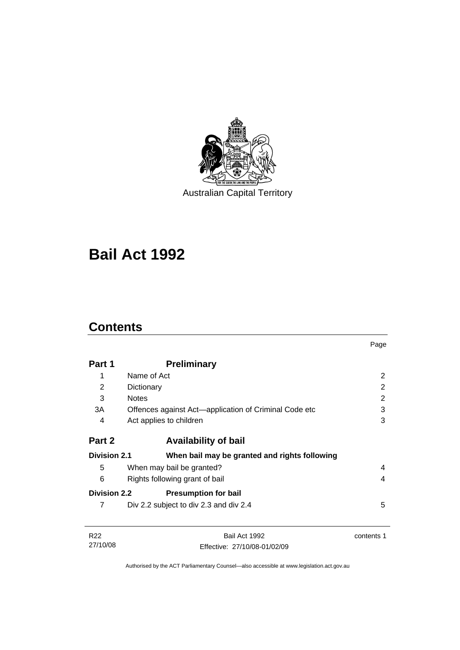

Australian Capital Territory

# **[Bail Act 1992](#page-6-0)**

# **Contents**

27/10/08

|                     |                                                       | Page           |
|---------------------|-------------------------------------------------------|----------------|
| Part 1              | <b>Preliminary</b>                                    |                |
| 1                   | Name of Act                                           | 2              |
| 2                   | Dictionary                                            | $\overline{2}$ |
| 3                   | <b>Notes</b>                                          | 2              |
| 3A                  | Offences against Act—application of Criminal Code etc | 3              |
| 4                   | Act applies to children                               | 3              |
| Part 2              | <b>Availability of bail</b>                           |                |
| <b>Division 2.1</b> | When bail may be granted and rights following         |                |
| 5                   | When may bail be granted?                             | 4              |
| 6                   | Rights following grant of bail                        | 4              |
| <b>Division 2.2</b> | <b>Presumption for bail</b>                           |                |
| 7                   | Div 2.2 subject to div 2.3 and div 2.4                | 5              |
| R <sub>22</sub>     | Bail Act 1992                                         | contents 1     |

Authorised by the ACT Parliamentary Counsel—also accessible at www.legislation.act.gov.au

Effective: 27/10/08-01/02/09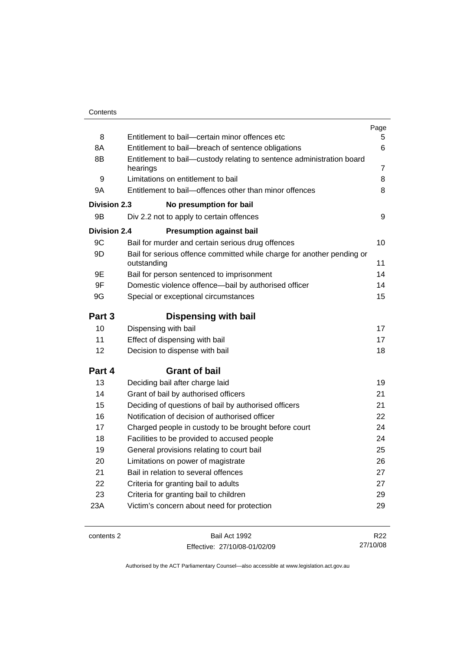|                     |                                                                                       | Page            |
|---------------------|---------------------------------------------------------------------------------------|-----------------|
| 8                   | Entitlement to bail-certain minor offences etc                                        | 5.              |
| 8A                  | Entitlement to bail-breach of sentence obligations                                    |                 |
| 8B                  | Entitlement to bail—custody relating to sentence administration board<br>hearings     | 7               |
| 9                   | Limitations on entitlement to bail                                                    | 8               |
| 9Α                  | Entitlement to bail-offences other than minor offences                                |                 |
| Division 2.3        | No presumption for bail                                                               |                 |
| 9Β                  | Div 2.2 not to apply to certain offences                                              | 9               |
| <b>Division 2.4</b> | <b>Presumption against bail</b>                                                       |                 |
| 9C                  | Bail for murder and certain serious drug offences                                     | 10              |
| 9D                  | Bail for serious offence committed while charge for another pending or<br>outstanding | 11              |
| 9Ε                  | Bail for person sentenced to imprisonment                                             | 14              |
| 9F                  | Domestic violence offence-bail by authorised officer                                  | 14              |
| 9G                  | Special or exceptional circumstances                                                  |                 |
| Part 3              | <b>Dispensing with bail</b>                                                           |                 |
| 10                  | Dispensing with bail                                                                  | 17              |
| 11                  | Effect of dispensing with bail                                                        | 17              |
| 12                  | Decision to dispense with bail                                                        | 18              |
| Part 4              | <b>Grant of bail</b>                                                                  |                 |
| 13                  | Deciding bail after charge laid                                                       | 19              |
| 14                  | Grant of bail by authorised officers                                                  | 21              |
| 15                  | Deciding of questions of bail by authorised officers                                  | 21              |
| 16                  | Notification of decision of authorised officer                                        | 22              |
| 17                  | Charged people in custody to be brought before court                                  | 24              |
| 18                  | Facilities to be provided to accused people                                           | 24              |
| 19                  | General provisions relating to court bail                                             | 25              |
| 20                  | Limitations on power of magistrate                                                    | 26              |
| 21                  | Bail in relation to several offences                                                  | 27              |
| 22                  | Criteria for granting bail to adults                                                  | 27              |
| 23                  | Criteria for granting bail to children                                                | 29              |
| 23A                 | Victim's concern about need for protection                                            | 29              |
| contents 2          | Bail Act 1992                                                                         | R <sub>22</sub> |

Effective: 27/10/08-01/02/09

27/10/08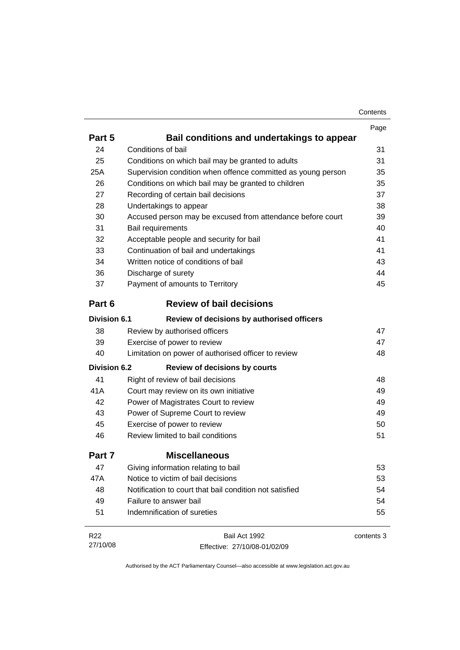| Contents |
|----------|
|----------|

|                     |                                                              | Page       |
|---------------------|--------------------------------------------------------------|------------|
| Part 5              | Bail conditions and undertakings to appear                   |            |
| 24                  | Conditions of bail                                           | 31         |
| 25                  | Conditions on which bail may be granted to adults            | 31         |
| 25A                 | Supervision condition when offence committed as young person | 35         |
| 26                  | Conditions on which bail may be granted to children          | 35         |
| 27                  | Recording of certain bail decisions                          | 37         |
| 28                  | Undertakings to appear                                       | 38         |
| 30                  | Accused person may be excused from attendance before court   | 39         |
| 31                  | Bail requirements                                            | 40         |
| 32                  | Acceptable people and security for bail                      | 41         |
| 33                  | Continuation of bail and undertakings                        | 41         |
| 34                  | Written notice of conditions of bail                         | 43         |
| 36                  | Discharge of surety                                          | 44         |
| 37                  | Payment of amounts to Territory                              | 45         |
| Part 6              | <b>Review of bail decisions</b>                              |            |
| <b>Division 6.1</b> | Review of decisions by authorised officers                   |            |
| 38                  | Review by authorised officers                                | 47         |
| 39                  | Exercise of power to review                                  | 47         |
| 40                  | Limitation on power of authorised officer to review          | 48         |
| <b>Division 6.2</b> | <b>Review of decisions by courts</b>                         |            |
| 41                  | Right of review of bail decisions                            | 48         |
| 41A                 | Court may review on its own initiative                       | 49         |
| 42                  | Power of Magistrates Court to review                         | 49         |
| 43                  | Power of Supreme Court to review                             | 49         |
| 45                  | Exercise of power to review                                  | 50         |
| 46                  | Review limited to bail conditions                            | 51         |
| Part 7              | <b>Miscellaneous</b>                                         |            |
| 47                  | Giving information relating to bail                          | 53         |
| 47A                 | Notice to victim of bail decisions                           | 53         |
| 48                  | Notification to court that bail condition not satisfied      | 54         |
| 49                  | Failure to answer bail                                       | 54         |
| 51                  | Indemnification of sureties                                  | 55         |
| R22                 | Bail Act 1992                                                | contents 3 |
| 27/10/08            | Effective: 27/10/08-01/02/09                                 |            |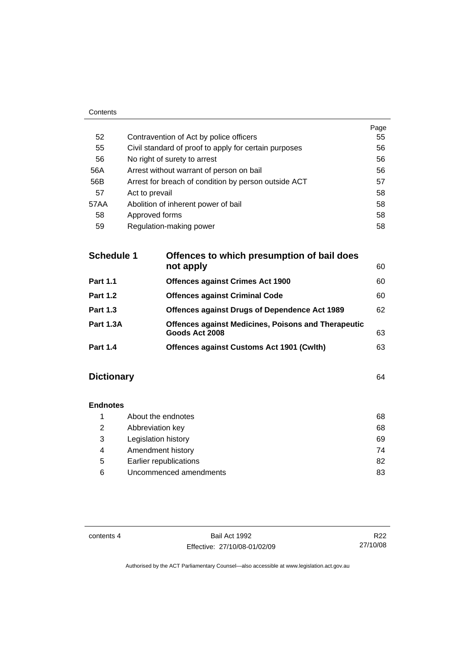| Contents |                                                       |      |
|----------|-------------------------------------------------------|------|
|          |                                                       | Page |
| 52       | Contravention of Act by police officers               | 55   |
| 55       | Civil standard of proof to apply for certain purposes | 56   |
| 56       | No right of surety to arrest                          | 56   |
| 56A      | Arrest without warrant of person on bail              | 56   |
| 56B      | Arrest for breach of condition by person outside ACT  | 57   |
| 57       | Act to prevail                                        | 58   |
| 57AA     | Abolition of inherent power of bail                   | 58   |
| 58       | Approved forms                                        | 58   |
| 59       | Regulation-making power                               | 58   |

| <b>Schedule 1</b> | Offences to which presumption of bail does                                   |    |  |
|-------------------|------------------------------------------------------------------------------|----|--|
|                   | not apply                                                                    | 60 |  |
| <b>Part 1.1</b>   | <b>Offences against Crimes Act 1900</b>                                      | 60 |  |
| <b>Part 1.2</b>   | <b>Offences against Criminal Code</b>                                        | 60 |  |
| <b>Part 1.3</b>   | <b>Offences against Drugs of Dependence Act 1989</b>                         | 62 |  |
| <b>Part 1.3A</b>  | <b>Offences against Medicines, Poisons and Therapeutic</b><br>Goods Act 2008 | 63 |  |
| <b>Part 1.4</b>   | <b>Offences against Customs Act 1901 (Cwith)</b>                             | 63 |  |

# **Dictionary** [64](#page-69-0)

| <b>Endnotes</b> |                        |    |
|-----------------|------------------------|----|
|                 | About the endnotes     | 68 |
| 2               | Abbreviation key       | 68 |
| 3               | Legislation history    | 69 |
| 4               | Amendment history      | 74 |
| 5               | Earlier republications | 82 |
| 6               | Uncommenced amendments | 83 |

contents 4 Bail Act 1992 Effective: 27/10/08-01/02/09

R22 27/10/08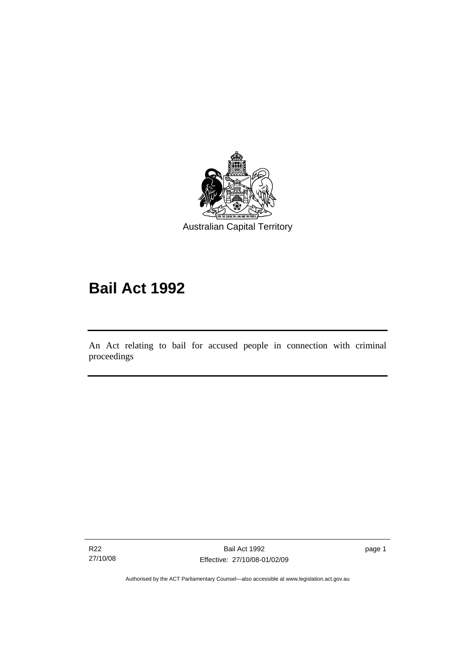<span id="page-6-0"></span>

# **Bail Act 1992**

An Act relating to bail for accused people in connection with criminal proceedings

R22 27/10/08

l

page 1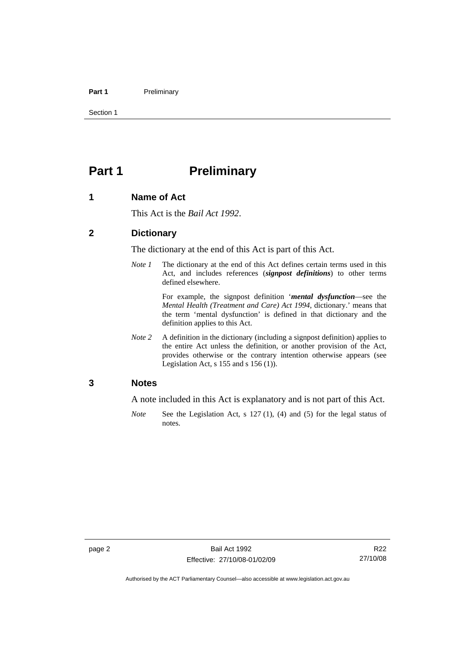#### <span id="page-7-0"></span>Part 1 **Preliminary**

Section 1

# **Part 1** Preliminary

#### **1 Name of Act**

This Act is the *Bail Act 1992*.

#### **2 Dictionary**

The dictionary at the end of this Act is part of this Act.

*Note 1* The dictionary at the end of this Act defines certain terms used in this Act, and includes references (*signpost definitions*) to other terms defined elsewhere.

> For example, the signpost definition '*mental dysfunction*—see the *Mental Health (Treatment and Care) Act 1994*, dictionary.' means that the term 'mental dysfunction' is defined in that dictionary and the definition applies to this Act.

*Note* 2 A definition in the dictionary (including a signpost definition) applies to the entire Act unless the definition, or another provision of the Act, provides otherwise or the contrary intention otherwise appears (see Legislation Act, s  $155$  and s  $156$  (1)).

#### **3 Notes**

A note included in this Act is explanatory and is not part of this Act.

*Note* See the Legislation Act, s 127 (1), (4) and (5) for the legal status of notes.

R22 27/10/08

Authorised by the ACT Parliamentary Counsel—also accessible at www.legislation.act.gov.au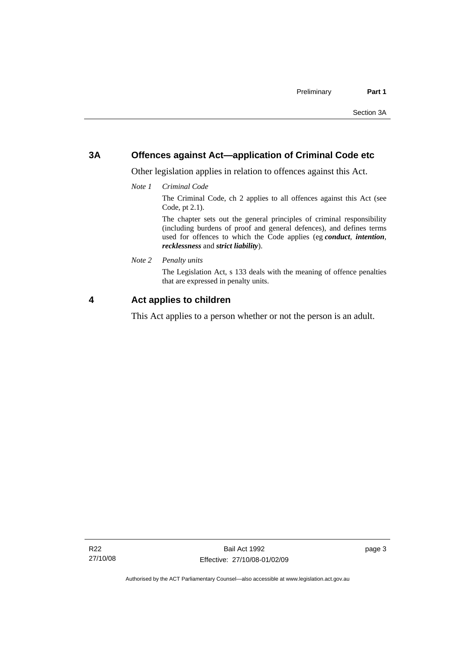### <span id="page-8-0"></span>**3A Offences against Act—application of Criminal Code etc**

Other legislation applies in relation to offences against this Act.

*Note 1 Criminal Code*

The Criminal Code, ch 2 applies to all offences against this Act (see Code, pt 2.1).

The chapter sets out the general principles of criminal responsibility (including burdens of proof and general defences), and defines terms used for offences to which the Code applies (eg *conduct*, *intention*, *recklessness* and *strict liability*).

*Note 2 Penalty units* 

The Legislation Act, s 133 deals with the meaning of offence penalties that are expressed in penalty units.

### **4 Act applies to children**

This Act applies to a person whether or not the person is an adult.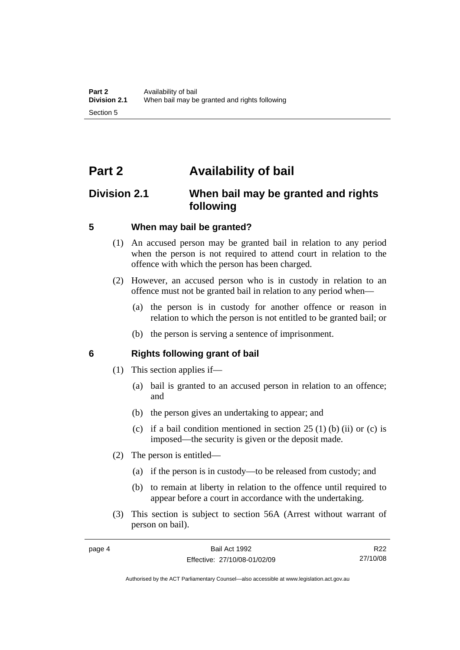# <span id="page-9-0"></span>**Part 2 Availability of bail**

# **Division 2.1 When bail may be granted and rights following**

#### **5 When may bail be granted?**

- (1) An accused person may be granted bail in relation to any period when the person is not required to attend court in relation to the offence with which the person has been charged.
- (2) However, an accused person who is in custody in relation to an offence must not be granted bail in relation to any period when—
	- (a) the person is in custody for another offence or reason in relation to which the person is not entitled to be granted bail; or
	- (b) the person is serving a sentence of imprisonment.

#### **6 Rights following grant of bail**

- (1) This section applies if—
	- (a) bail is granted to an accused person in relation to an offence; and
	- (b) the person gives an undertaking to appear; and
	- (c) if a bail condition mentioned in section  $25(1)$  (b) (ii) or (c) is imposed—the security is given or the deposit made.
- (2) The person is entitled—
	- (a) if the person is in custody—to be released from custody; and
	- (b) to remain at liberty in relation to the offence until required to appear before a court in accordance with the undertaking.
- (3) This section is subject to section 56A (Arrest without warrant of person on bail).

R22 27/10/08

Authorised by the ACT Parliamentary Counsel—also accessible at www.legislation.act.gov.au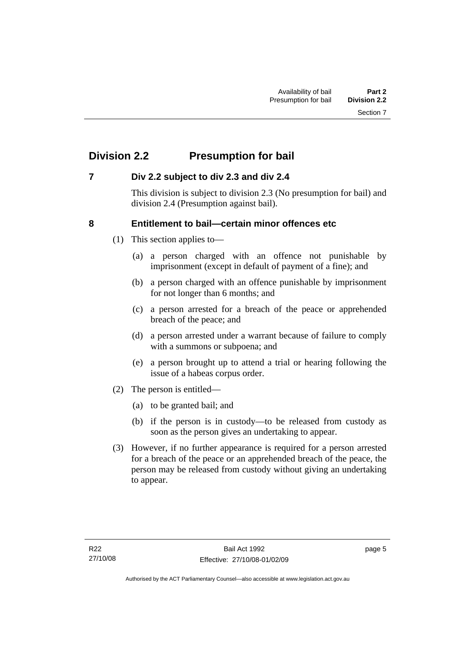# <span id="page-10-0"></span>**Division 2.2 Presumption for bail**

### **7 Div 2.2 subject to div 2.3 and div 2.4**

This division is subject to division 2.3 (No presumption for bail) and division 2.4 (Presumption against bail).

### **8 Entitlement to bail—certain minor offences etc**

- (1) This section applies to—
	- (a) a person charged with an offence not punishable by imprisonment (except in default of payment of a fine); and
	- (b) a person charged with an offence punishable by imprisonment for not longer than 6 months; and
	- (c) a person arrested for a breach of the peace or apprehended breach of the peace; and
	- (d) a person arrested under a warrant because of failure to comply with a summons or subpoena; and
	- (e) a person brought up to attend a trial or hearing following the issue of a habeas corpus order.
- (2) The person is entitled—
	- (a) to be granted bail; and
	- (b) if the person is in custody—to be released from custody as soon as the person gives an undertaking to appear.
- (3) However, if no further appearance is required for a person arrested for a breach of the peace or an apprehended breach of the peace, the person may be released from custody without giving an undertaking to appear.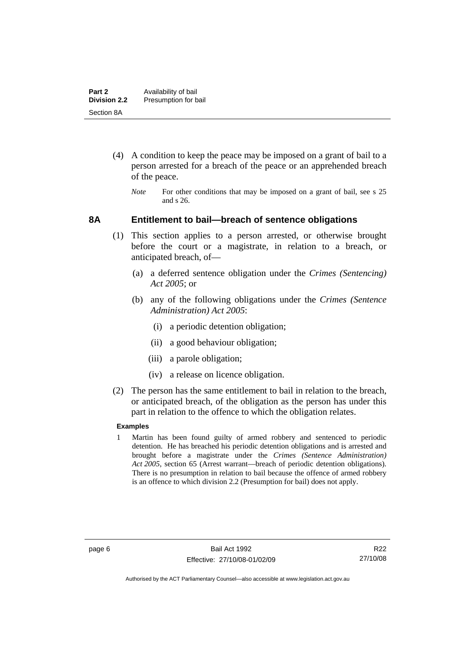- <span id="page-11-0"></span> (4) A condition to keep the peace may be imposed on a grant of bail to a person arrested for a breach of the peace or an apprehended breach of the peace.
	- *Note* For other conditions that may be imposed on a grant of bail, see s 25 and s 26.

#### **8A Entitlement to bail—breach of sentence obligations**

- (1) This section applies to a person arrested, or otherwise brought before the court or a magistrate, in relation to a breach, or anticipated breach, of—
	- (a) a deferred sentence obligation under the *Crimes (Sentencing) Act 2005*; or
	- (b) any of the following obligations under the *Crimes (Sentence Administration) Act 2005*:
		- (i) a periodic detention obligation;
		- (ii) a good behaviour obligation;
		- (iii) a parole obligation;
		- (iv) a release on licence obligation.
- (2) The person has the same entitlement to bail in relation to the breach, or anticipated breach, of the obligation as the person has under this part in relation to the offence to which the obligation relates.

#### **Examples**

1 Martin has been found guilty of armed robbery and sentenced to periodic detention. He has breached his periodic detention obligations and is arrested and brought before a magistrate under the *Crimes (Sentence Administration) Act 2005*, section 65 (Arrest warrant—breach of periodic detention obligations). There is no presumption in relation to bail because the offence of armed robbery is an offence to which division 2.2 (Presumption for bail) does not apply.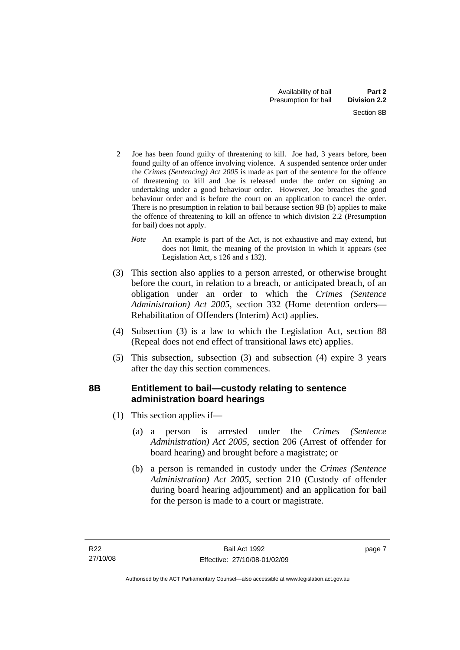- <span id="page-12-0"></span>2 Joe has been found guilty of threatening to kill. Joe had, 3 years before, been found guilty of an offence involving violence. A suspended sentence order under the *Crimes (Sentencing) Act 2005* is made as part of the sentence for the offence of threatening to kill and Joe is released under the order on signing an undertaking under a good behaviour order. However, Joe breaches the good behaviour order and is before the court on an application to cancel the order. There is no presumption in relation to bail because section 9B (b) applies to make the offence of threatening to kill an offence to which division 2.2 (Presumption for bail) does not apply.
	- *Note* An example is part of the Act, is not exhaustive and may extend, but does not limit, the meaning of the provision in which it appears (see Legislation Act, s 126 and s 132).
- (3) This section also applies to a person arrested, or otherwise brought before the court, in relation to a breach, or anticipated breach, of an obligation under an order to which the *Crimes (Sentence Administration) Act 2005*, section 332 (Home detention orders— Rehabilitation of Offenders (Interim) Act) applies.
- (4) Subsection (3) is a law to which the Legislation Act, section 88 (Repeal does not end effect of transitional laws etc) applies.
- (5) This subsection, subsection (3) and subsection (4) expire 3 years after the day this section commences.

# **8B Entitlement to bail—custody relating to sentence administration board hearings**

- (1) This section applies if—
	- (a) a person is arrested under the *Crimes (Sentence Administration) Act 2005*, section 206 (Arrest of offender for board hearing) and brought before a magistrate; or
	- (b) a person is remanded in custody under the *Crimes (Sentence Administration) Act 2005*, section 210 (Custody of offender during board hearing adjournment) and an application for bail for the person is made to a court or magistrate.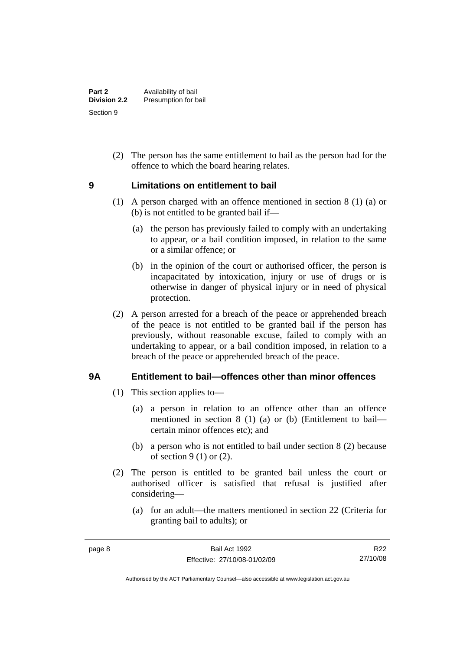<span id="page-13-0"></span> (2) The person has the same entitlement to bail as the person had for the offence to which the board hearing relates.

### **9 Limitations on entitlement to bail**

- (1) A person charged with an offence mentioned in section 8 (1) (a) or (b) is not entitled to be granted bail if—
	- (a) the person has previously failed to comply with an undertaking to appear, or a bail condition imposed, in relation to the same or a similar offence; or
	- (b) in the opinion of the court or authorised officer, the person is incapacitated by intoxication, injury or use of drugs or is otherwise in danger of physical injury or in need of physical protection.
- (2) A person arrested for a breach of the peace or apprehended breach of the peace is not entitled to be granted bail if the person has previously, without reasonable excuse, failed to comply with an undertaking to appear, or a bail condition imposed, in relation to a breach of the peace or apprehended breach of the peace.

## **9A Entitlement to bail—offences other than minor offences**

- (1) This section applies to—
	- (a) a person in relation to an offence other than an offence mentioned in section 8 (1) (a) or (b) (Entitlement to bail certain minor offences etc); and
	- (b) a person who is not entitled to bail under section 8 (2) because of section  $9(1)$  or  $(2)$ .
- (2) The person is entitled to be granted bail unless the court or authorised officer is satisfied that refusal is justified after considering—
	- (a) for an adult—the matters mentioned in section 22 (Criteria for granting bail to adults); or

R22 27/10/08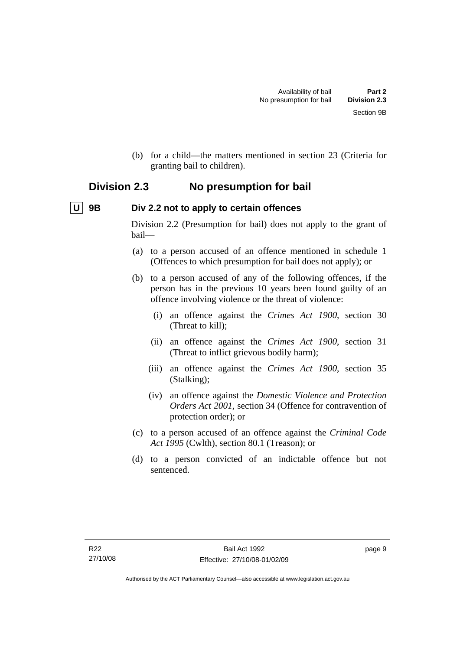<span id="page-14-0"></span> (b) for a child—the matters mentioned in section 23 (Criteria for granting bail to children).

# **Division 2.3 No presumption for bail**

# **U** 9B Div 2.2 not to apply to certain offences

Division 2.2 (Presumption for bail) does not apply to the grant of bail—

- (a) to a person accused of an offence mentioned in schedule 1 (Offences to which presumption for bail does not apply); or
- (b) to a person accused of any of the following offences, if the person has in the previous 10 years been found guilty of an offence involving violence or the threat of violence:
	- (i) an offence against the *Crimes Act 1900*, section 30 (Threat to kill);
	- (ii) an offence against the *Crimes Act 1900*, section 31 (Threat to inflict grievous bodily harm);
	- (iii) an offence against the *Crimes Act 1900*, section 35 (Stalking);
	- (iv) an offence against the *Domestic Violence and Protection Orders Act 2001*, section 34 (Offence for contravention of protection order); or
- (c) to a person accused of an offence against the *Criminal Code Act 1995* (Cwlth), section 80.1 (Treason); or
- (d) to a person convicted of an indictable offence but not sentenced.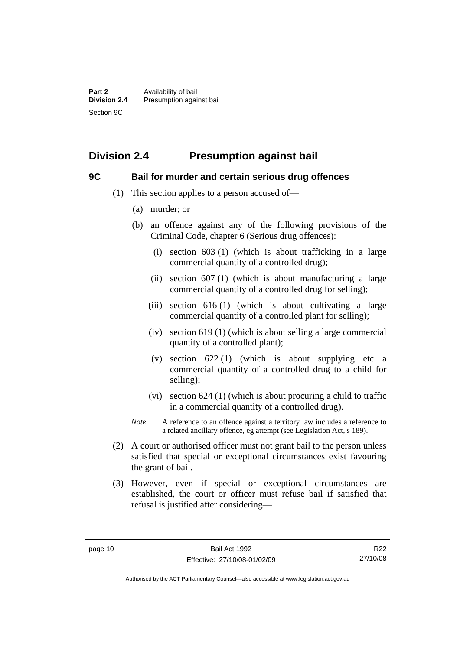# <span id="page-15-0"></span>**Division 2.4 Presumption against bail**

#### **9C Bail for murder and certain serious drug offences**

- (1) This section applies to a person accused of—
	- (a) murder; or
	- (b) an offence against any of the following provisions of the Criminal Code, chapter 6 (Serious drug offences):
		- (i) section 603 (1) (which is about trafficking in a large commercial quantity of a controlled drug);
		- (ii) section  $607(1)$  (which is about manufacturing a large commercial quantity of a controlled drug for selling);
		- (iii) section  $616(1)$  (which is about cultivating a large commercial quantity of a controlled plant for selling);
		- (iv) section 619 (1) (which is about selling a large commercial quantity of a controlled plant);
		- (v) section  $622(1)$  (which is about supplying etc a commercial quantity of a controlled drug to a child for selling);
		- (vi) section 624 (1) (which is about procuring a child to traffic in a commercial quantity of a controlled drug).
	- *Note* A reference to an offence against a territory law includes a reference to a related ancillary offence, eg attempt (see Legislation Act, s 189).
- (2) A court or authorised officer must not grant bail to the person unless satisfied that special or exceptional circumstances exist favouring the grant of bail.
- (3) However, even if special or exceptional circumstances are established, the court or officer must refuse bail if satisfied that refusal is justified after considering—

R22 27/10/08

Authorised by the ACT Parliamentary Counsel—also accessible at www.legislation.act.gov.au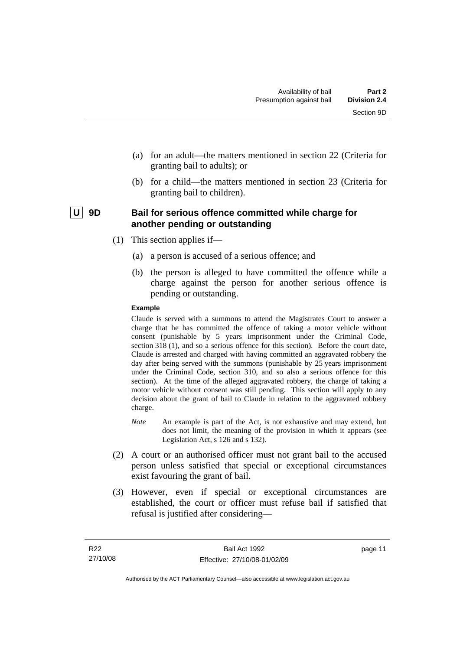- <span id="page-16-0"></span> (a) for an adult—the matters mentioned in section 22 (Criteria for granting bail to adults); or
- (b) for a child—the matters mentioned in section 23 (Criteria for granting bail to children).

### | U | 9D Bail for serious offence committed while charge for **another pending or outstanding**

- (1) This section applies if—
	- (a) a person is accused of a serious offence; and
	- (b) the person is alleged to have committed the offence while a charge against the person for another serious offence is pending or outstanding.

#### **Example**

Claude is served with a summons to attend the Magistrates Court to answer a charge that he has committed the offence of taking a motor vehicle without consent (punishable by 5 years imprisonment under the Criminal Code, section 318 (1), and so a serious offence for this section). Before the court date, Claude is arrested and charged with having committed an aggravated robbery the day after being served with the summons (punishable by 25 years imprisonment under the Criminal Code, section 310, and so also a serious offence for this section). At the time of the alleged aggravated robbery, the charge of taking a motor vehicle without consent was still pending. This section will apply to any decision about the grant of bail to Claude in relation to the aggravated robbery charge.

- *Note* An example is part of the Act, is not exhaustive and may extend, but does not limit, the meaning of the provision in which it appears (see Legislation Act, s 126 and s 132).
- (2) A court or an authorised officer must not grant bail to the accused person unless satisfied that special or exceptional circumstances exist favouring the grant of bail.
- (3) However, even if special or exceptional circumstances are established, the court or officer must refuse bail if satisfied that refusal is justified after considering—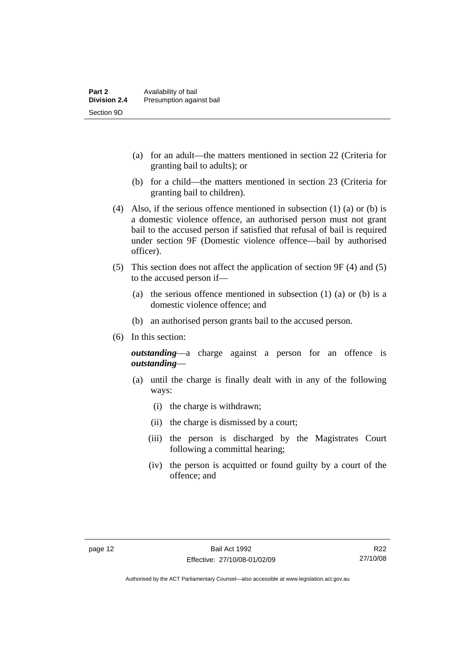- (a) for an adult—the matters mentioned in section 22 (Criteria for granting bail to adults); or
- (b) for a child—the matters mentioned in section 23 (Criteria for granting bail to children).
- (4) Also, if the serious offence mentioned in subsection (1) (a) or (b) is a domestic violence offence, an authorised person must not grant bail to the accused person if satisfied that refusal of bail is required under section 9F (Domestic violence offence—bail by authorised officer).
- (5) This section does not affect the application of section 9F (4) and (5) to the accused person if—
	- (a) the serious offence mentioned in subsection (1) (a) or (b) is a domestic violence offence; and
	- (b) an authorised person grants bail to the accused person.
- (6) In this section:

*outstanding*—a charge against a person for an offence is *outstanding*—

- (a) until the charge is finally dealt with in any of the following ways:
	- (i) the charge is withdrawn;
	- (ii) the charge is dismissed by a court;
	- (iii) the person is discharged by the Magistrates Court following a committal hearing;
	- (iv) the person is acquitted or found guilty by a court of the offence; and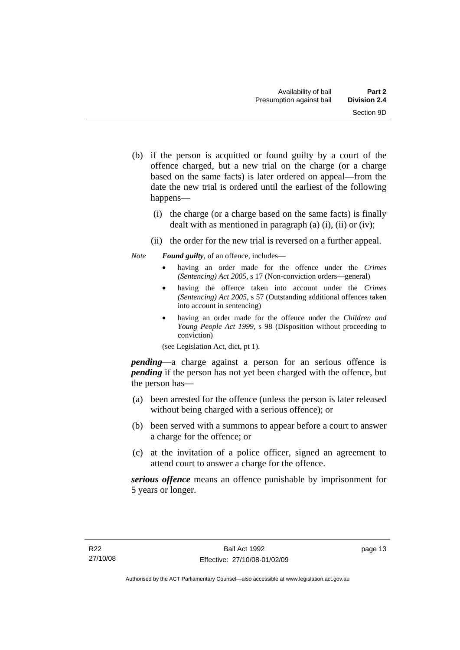- (b) if the person is acquitted or found guilty by a court of the offence charged, but a new trial on the charge (or a charge based on the same facts) is later ordered on appeal—from the date the new trial is ordered until the earliest of the following happens—
	- (i) the charge (or a charge based on the same facts) is finally dealt with as mentioned in paragraph (a)  $(i)$ ,  $(ii)$  or  $(iv)$ ;
	- (ii) the order for the new trial is reversed on a further appeal.

*Note Found guilty*, of an offence, includes—

- having an order made for the offence under the *Crimes (Sentencing) Act 2005*, s 17 (Non-conviction orders—general)
- having the offence taken into account under the *Crimes (Sentencing) Act 2005*, s 57 (Outstanding additional offences taken into account in sentencing)
- having an order made for the offence under the *Children and Young People Act 1999*, s 98 (Disposition without proceeding to conviction)

(see Legislation Act, dict, pt 1).

*pending*—a charge against a person for an serious offence is *pending* if the person has not yet been charged with the offence, but the person has—

- (a) been arrested for the offence (unless the person is later released without being charged with a serious offence); or
- (b) been served with a summons to appear before a court to answer a charge for the offence; or
- (c) at the invitation of a police officer, signed an agreement to attend court to answer a charge for the offence.

*serious offence* means an offence punishable by imprisonment for 5 years or longer.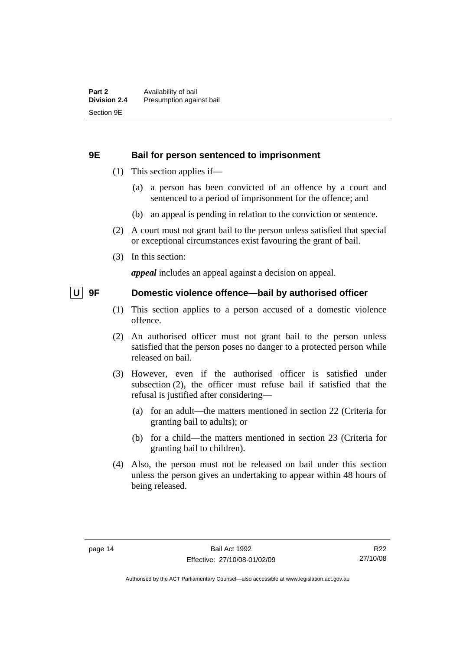#### <span id="page-19-0"></span>**9E Bail for person sentenced to imprisonment**

- (1) This section applies if—
	- (a) a person has been convicted of an offence by a court and sentenced to a period of imprisonment for the offence; and
	- (b) an appeal is pending in relation to the conviction or sentence.
- (2) A court must not grant bail to the person unless satisfied that special or exceptional circumstances exist favouring the grant of bail.
- (3) In this section:

*appeal* includes an appeal against a decision on appeal.

#### **U** 9F Domestic violence offence—bail by authorised officer

- (1) This section applies to a person accused of a domestic violence offence.
- (2) An authorised officer must not grant bail to the person unless satisfied that the person poses no danger to a protected person while released on bail.
- (3) However, even if the authorised officer is satisfied under subsection (2), the officer must refuse bail if satisfied that the refusal is justified after considering—
	- (a) for an adult—the matters mentioned in section 22 (Criteria for granting bail to adults); or
	- (b) for a child—the matters mentioned in section 23 (Criteria for granting bail to children).
- (4) Also, the person must not be released on bail under this section unless the person gives an undertaking to appear within 48 hours of being released.

R22 27/10/08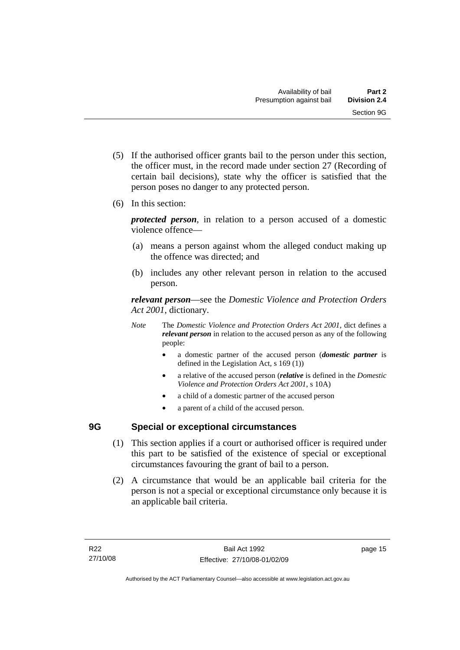- <span id="page-20-0"></span> (5) If the authorised officer grants bail to the person under this section, the officer must, in the record made under section 27 (Recording of certain bail decisions), state why the officer is satisfied that the person poses no danger to any protected person.
- (6) In this section:

*protected person*, in relation to a person accused of a domestic violence offence—

- (a) means a person against whom the alleged conduct making up the offence was directed; and
- (b) includes any other relevant person in relation to the accused person.

*relevant person*—see the *Domestic Violence and Protection Orders Act 2001*, dictionary.

- *Note* The *Domestic Violence and Protection Orders Act 2001*, dict defines a *relevant person* in relation to the accused person as any of the following people:
	- a domestic partner of the accused person (*domestic partner* is defined in the Legislation Act, s 169 (1))
	- a relative of the accused person (*relative* is defined in the *Domestic Violence and Protection Orders Act 2001*, s 10A)
	- a child of a domestic partner of the accused person
	- a parent of a child of the accused person.

# **9G Special or exceptional circumstances**

- (1) This section applies if a court or authorised officer is required under this part to be satisfied of the existence of special or exceptional circumstances favouring the grant of bail to a person.
- (2) A circumstance that would be an applicable bail criteria for the person is not a special or exceptional circumstance only because it is an applicable bail criteria.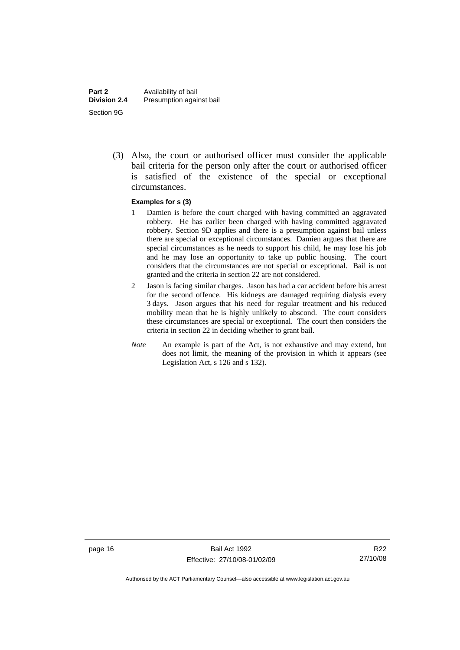(3) Also, the court or authorised officer must consider the applicable bail criteria for the person only after the court or authorised officer is satisfied of the existence of the special or exceptional circumstances.

#### **Examples for s (3)**

- 1 Damien is before the court charged with having committed an aggravated robbery. He has earlier been charged with having committed aggravated robbery. Section 9D applies and there is a presumption against bail unless there are special or exceptional circumstances. Damien argues that there are special circumstances as he needs to support his child, he may lose his job and he may lose an opportunity to take up public housing. The court considers that the circumstances are not special or exceptional. Bail is not granted and the criteria in section 22 are not considered.
- 2 Jason is facing similar charges. Jason has had a car accident before his arrest for the second offence. His kidneys are damaged requiring dialysis every 3 days. Jason argues that his need for regular treatment and his reduced mobility mean that he is highly unlikely to abscond. The court considers these circumstances are special or exceptional. The court then considers the criteria in section 22 in deciding whether to grant bail.
- *Note* An example is part of the Act, is not exhaustive and may extend, but does not limit, the meaning of the provision in which it appears (see Legislation Act, s 126 and s 132).

R22 27/10/08

Authorised by the ACT Parliamentary Counsel—also accessible at www.legislation.act.gov.au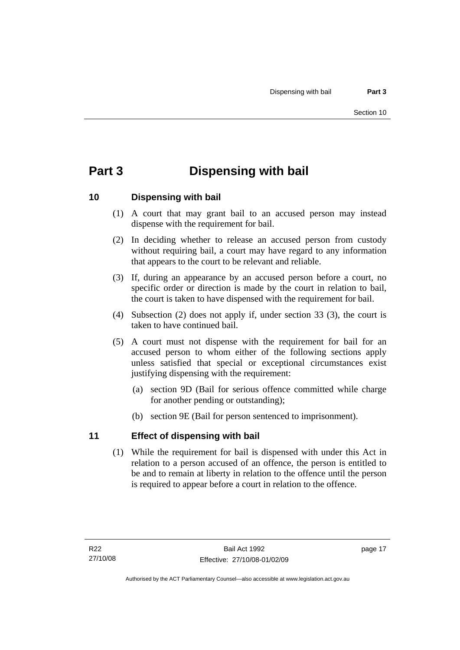# <span id="page-22-0"></span>**Part 3 Dispensing with bail**

## **10 Dispensing with bail**

- (1) A court that may grant bail to an accused person may instead dispense with the requirement for bail.
- (2) In deciding whether to release an accused person from custody without requiring bail, a court may have regard to any information that appears to the court to be relevant and reliable.
- (3) If, during an appearance by an accused person before a court, no specific order or direction is made by the court in relation to bail, the court is taken to have dispensed with the requirement for bail.
- (4) Subsection (2) does not apply if, under section 33 (3), the court is taken to have continued bail.
- (5) A court must not dispense with the requirement for bail for an accused person to whom either of the following sections apply unless satisfied that special or exceptional circumstances exist justifying dispensing with the requirement:
	- (a) section 9D (Bail for serious offence committed while charge for another pending or outstanding);
	- (b) section 9E (Bail for person sentenced to imprisonment).

## **11 Effect of dispensing with bail**

 (1) While the requirement for bail is dispensed with under this Act in relation to a person accused of an offence, the person is entitled to be and to remain at liberty in relation to the offence until the person is required to appear before a court in relation to the offence.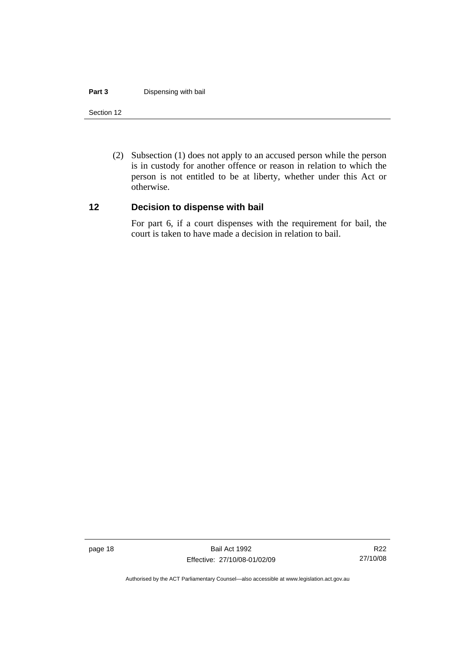#### <span id="page-23-0"></span>**Part 3** Dispensing with bail

#### Section 12

 (2) Subsection (1) does not apply to an accused person while the person is in custody for another offence or reason in relation to which the person is not entitled to be at liberty, whether under this Act or otherwise.

#### **12 Decision to dispense with bail**

For part 6, if a court dispenses with the requirement for bail, the court is taken to have made a decision in relation to bail.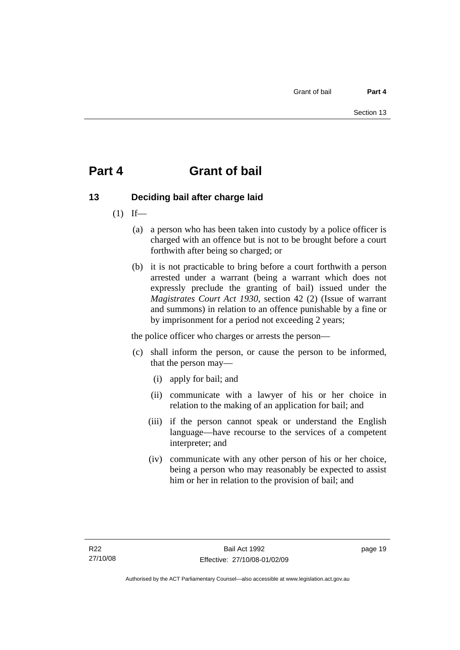# <span id="page-24-0"></span>**Part 4 Grant of bail**

# **13 Deciding bail after charge laid**

- $(1)$  If—
	- (a) a person who has been taken into custody by a police officer is charged with an offence but is not to be brought before a court forthwith after being so charged; or
	- (b) it is not practicable to bring before a court forthwith a person arrested under a warrant (being a warrant which does not expressly preclude the granting of bail) issued under the *Magistrates Court Act 1930*, section 42 (2) (Issue of warrant and summons) in relation to an offence punishable by a fine or by imprisonment for a period not exceeding 2 years;

the police officer who charges or arrests the person—

- (c) shall inform the person, or cause the person to be informed, that the person may—
	- (i) apply for bail; and
	- (ii) communicate with a lawyer of his or her choice in relation to the making of an application for bail; and
	- (iii) if the person cannot speak or understand the English language—have recourse to the services of a competent interpreter; and
	- (iv) communicate with any other person of his or her choice, being a person who may reasonably be expected to assist him or her in relation to the provision of bail; and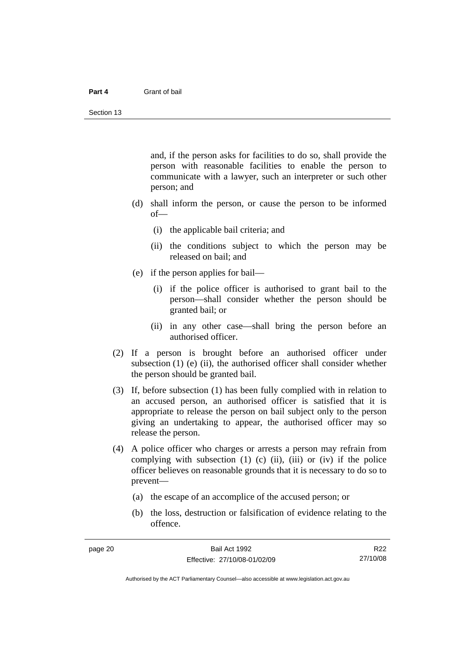#### **Part 4** Grant of bail

and, if the person asks for facilities to do so, shall provide the person with reasonable facilities to enable the person to communicate with a lawyer, such an interpreter or such other person; and

- (d) shall inform the person, or cause the person to be informed of—
	- (i) the applicable bail criteria; and
	- (ii) the conditions subject to which the person may be released on bail; and
- (e) if the person applies for bail—
	- (i) if the police officer is authorised to grant bail to the person—shall consider whether the person should be granted bail; or
	- (ii) in any other case—shall bring the person before an authorised officer.
- (2) If a person is brought before an authorised officer under subsection  $(1)$  (e)  $(ii)$ , the authorised officer shall consider whether the person should be granted bail.
- (3) If, before subsection (1) has been fully complied with in relation to an accused person, an authorised officer is satisfied that it is appropriate to release the person on bail subject only to the person giving an undertaking to appear, the authorised officer may so release the person.
- (4) A police officer who charges or arrests a person may refrain from complying with subsection  $(1)$   $(c)$   $(ii)$ ,  $(iii)$  or  $(iv)$  if the police officer believes on reasonable grounds that it is necessary to do so to prevent—
	- (a) the escape of an accomplice of the accused person; or
	- (b) the loss, destruction or falsification of evidence relating to the offence.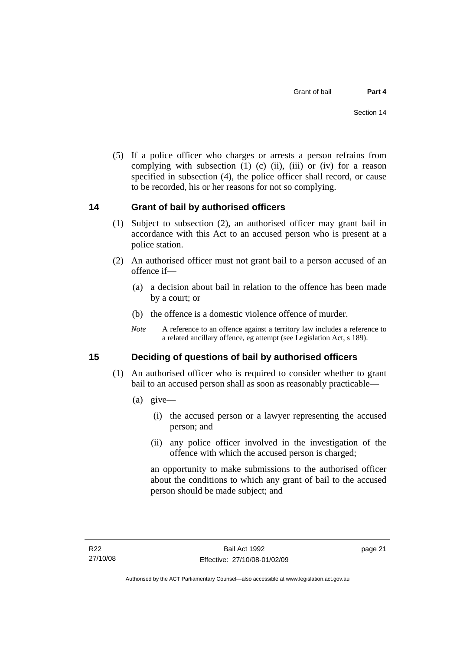<span id="page-26-0"></span> (5) If a police officer who charges or arrests a person refrains from complying with subsection  $(1)$   $(c)$   $(ii)$ ,  $(iii)$  or  $(iv)$  for a reason specified in subsection (4), the police officer shall record, or cause to be recorded, his or her reasons for not so complying.

## **14 Grant of bail by authorised officers**

- (1) Subject to subsection (2), an authorised officer may grant bail in accordance with this Act to an accused person who is present at a police station.
- (2) An authorised officer must not grant bail to a person accused of an offence if—
	- (a) a decision about bail in relation to the offence has been made by a court; or
	- (b) the offence is a domestic violence offence of murder.
	- *Note* A reference to an offence against a territory law includes a reference to a related ancillary offence, eg attempt (see Legislation Act, s 189).

## **15 Deciding of questions of bail by authorised officers**

- (1) An authorised officer who is required to consider whether to grant bail to an accused person shall as soon as reasonably practicable—
	- (a) give—
		- (i) the accused person or a lawyer representing the accused person; and
		- (ii) any police officer involved in the investigation of the offence with which the accused person is charged;

an opportunity to make submissions to the authorised officer about the conditions to which any grant of bail to the accused person should be made subject; and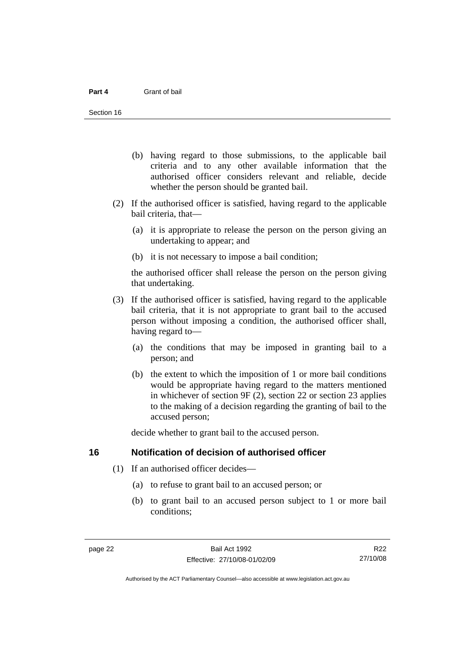- <span id="page-27-0"></span> (b) having regard to those submissions, to the applicable bail criteria and to any other available information that the authorised officer considers relevant and reliable, decide whether the person should be granted bail.
- (2) If the authorised officer is satisfied, having regard to the applicable bail criteria, that—
	- (a) it is appropriate to release the person on the person giving an undertaking to appear; and
	- (b) it is not necessary to impose a bail condition;

the authorised officer shall release the person on the person giving that undertaking.

- (3) If the authorised officer is satisfied, having regard to the applicable bail criteria, that it is not appropriate to grant bail to the accused person without imposing a condition, the authorised officer shall, having regard to—
	- (a) the conditions that may be imposed in granting bail to a person; and
	- (b) the extent to which the imposition of 1 or more bail conditions would be appropriate having regard to the matters mentioned in whichever of section 9F (2), section 22 or section 23 applies to the making of a decision regarding the granting of bail to the accused person;

decide whether to grant bail to the accused person.

#### **16 Notification of decision of authorised officer**

- (1) If an authorised officer decides—
	- (a) to refuse to grant bail to an accused person; or
	- (b) to grant bail to an accused person subject to 1 or more bail conditions;

Authorised by the ACT Parliamentary Counsel—also accessible at www.legislation.act.gov.au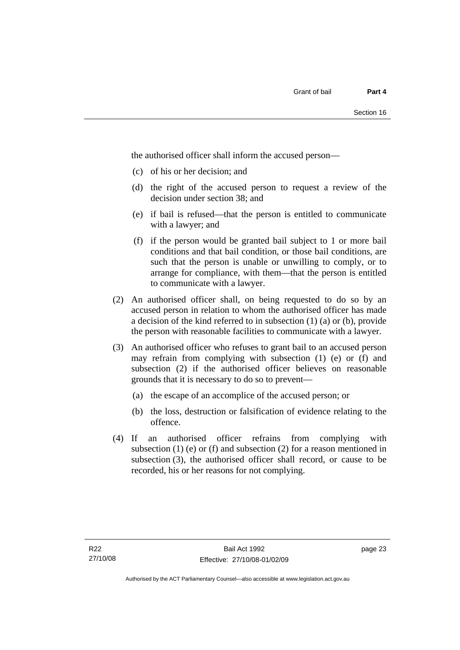the authorised officer shall inform the accused person—

- (c) of his or her decision; and
- (d) the right of the accused person to request a review of the decision under section 38; and
- (e) if bail is refused—that the person is entitled to communicate with a lawyer; and
- (f) if the person would be granted bail subject to 1 or more bail conditions and that bail condition, or those bail conditions, are such that the person is unable or unwilling to comply, or to arrange for compliance, with them—that the person is entitled to communicate with a lawyer.
- (2) An authorised officer shall, on being requested to do so by an accused person in relation to whom the authorised officer has made a decision of the kind referred to in subsection (1) (a) or (b), provide the person with reasonable facilities to communicate with a lawyer.
- (3) An authorised officer who refuses to grant bail to an accused person may refrain from complying with subsection (1) (e) or (f) and subsection (2) if the authorised officer believes on reasonable grounds that it is necessary to do so to prevent—
	- (a) the escape of an accomplice of the accused person; or
	- (b) the loss, destruction or falsification of evidence relating to the offence.
- (4) If an authorised officer refrains from complying with subsection  $(1)$  (e) or  $(f)$  and subsection  $(2)$  for a reason mentioned in subsection (3), the authorised officer shall record, or cause to be recorded, his or her reasons for not complying.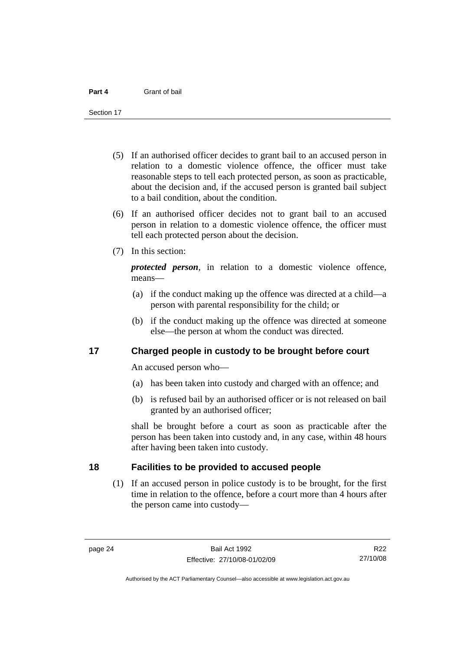<span id="page-29-0"></span>Section 17

- (5) If an authorised officer decides to grant bail to an accused person in relation to a domestic violence offence, the officer must take reasonable steps to tell each protected person, as soon as practicable, about the decision and, if the accused person is granted bail subject to a bail condition, about the condition.
- (6) If an authorised officer decides not to grant bail to an accused person in relation to a domestic violence offence, the officer must tell each protected person about the decision.
- (7) In this section:

*protected person*, in relation to a domestic violence offence, means—

- (a) if the conduct making up the offence was directed at a child—a person with parental responsibility for the child; or
- (b) if the conduct making up the offence was directed at someone else—the person at whom the conduct was directed.

#### **17 Charged people in custody to be brought before court**

An accused person who—

- (a) has been taken into custody and charged with an offence; and
- (b) is refused bail by an authorised officer or is not released on bail granted by an authorised officer;

shall be brought before a court as soon as practicable after the person has been taken into custody and, in any case, within 48 hours after having been taken into custody.

### **18 Facilities to be provided to accused people**

 (1) If an accused person in police custody is to be brought, for the first time in relation to the offence, before a court more than 4 hours after the person came into custody—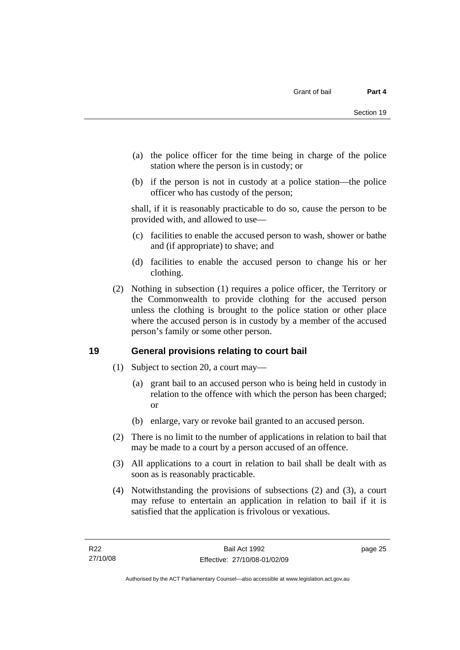- <span id="page-30-0"></span> (a) the police officer for the time being in charge of the police station where the person is in custody; or
- (b) if the person is not in custody at a police station—the police officer who has custody of the person;

shall, if it is reasonably practicable to do so, cause the person to be provided with, and allowed to use—

- (c) facilities to enable the accused person to wash, shower or bathe and (if appropriate) to shave; and
- (d) facilities to enable the accused person to change his or her clothing.
- (2) Nothing in subsection (1) requires a police officer, the Territory or the Commonwealth to provide clothing for the accused person unless the clothing is brought to the police station or other place where the accused person is in custody by a member of the accused person's family or some other person.

## **19 General provisions relating to court bail**

- (1) Subject to section 20, a court may—
	- (a) grant bail to an accused person who is being held in custody in relation to the offence with which the person has been charged; or
	- (b) enlarge, vary or revoke bail granted to an accused person.
- (2) There is no limit to the number of applications in relation to bail that may be made to a court by a person accused of an offence.
- (3) All applications to a court in relation to bail shall be dealt with as soon as is reasonably practicable.
- (4) Notwithstanding the provisions of subsections (2) and (3), a court may refuse to entertain an application in relation to bail if it is satisfied that the application is frivolous or vexatious.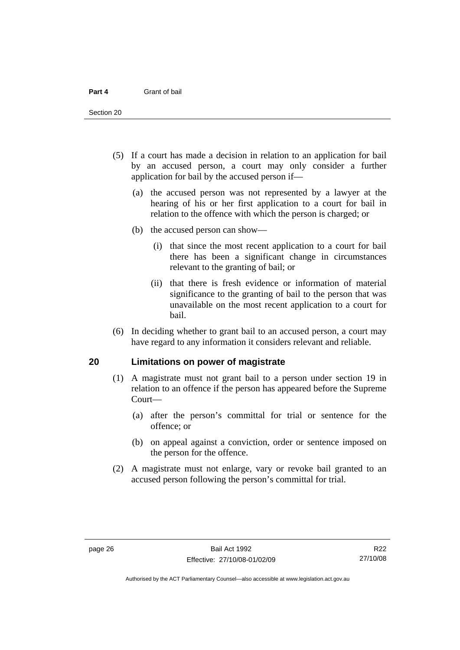<span id="page-31-0"></span>Section 20

- (5) If a court has made a decision in relation to an application for bail by an accused person, a court may only consider a further application for bail by the accused person if—
	- (a) the accused person was not represented by a lawyer at the hearing of his or her first application to a court for bail in relation to the offence with which the person is charged; or
	- (b) the accused person can show—
		- (i) that since the most recent application to a court for bail there has been a significant change in circumstances relevant to the granting of bail; or
		- (ii) that there is fresh evidence or information of material significance to the granting of bail to the person that was unavailable on the most recent application to a court for bail.
- (6) In deciding whether to grant bail to an accused person, a court may have regard to any information it considers relevant and reliable.

#### **20 Limitations on power of magistrate**

- (1) A magistrate must not grant bail to a person under section 19 in relation to an offence if the person has appeared before the Supreme Court—
	- (a) after the person's committal for trial or sentence for the offence; or
	- (b) on appeal against a conviction, order or sentence imposed on the person for the offence.
- (2) A magistrate must not enlarge, vary or revoke bail granted to an accused person following the person's committal for trial.

R22 27/10/08

Authorised by the ACT Parliamentary Counsel—also accessible at www.legislation.act.gov.au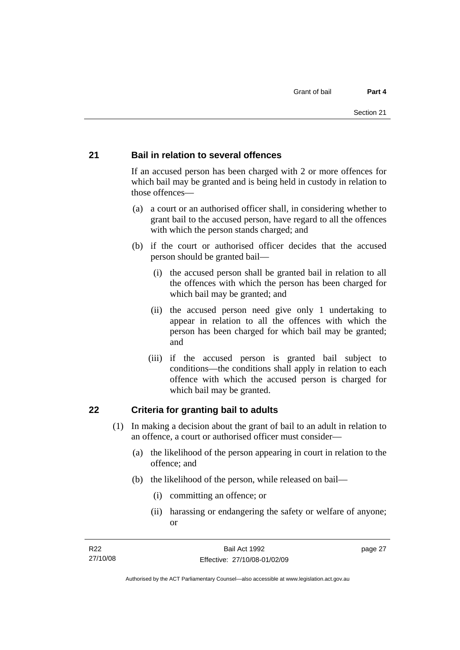#### <span id="page-32-0"></span>**21 Bail in relation to several offences**

If an accused person has been charged with 2 or more offences for which bail may be granted and is being held in custody in relation to those offences—

- (a) a court or an authorised officer shall, in considering whether to grant bail to the accused person, have regard to all the offences with which the person stands charged; and
- (b) if the court or authorised officer decides that the accused person should be granted bail—
	- (i) the accused person shall be granted bail in relation to all the offences with which the person has been charged for which bail may be granted; and
	- (ii) the accused person need give only 1 undertaking to appear in relation to all the offences with which the person has been charged for which bail may be granted; and
	- (iii) if the accused person is granted bail subject to conditions—the conditions shall apply in relation to each offence with which the accused person is charged for which bail may be granted.

#### **22 Criteria for granting bail to adults**

- (1) In making a decision about the grant of bail to an adult in relation to an offence, a court or authorised officer must consider—
	- (a) the likelihood of the person appearing in court in relation to the offence; and
	- (b) the likelihood of the person, while released on bail—
		- (i) committing an offence; or
		- (ii) harassing or endangering the safety or welfare of anyone; or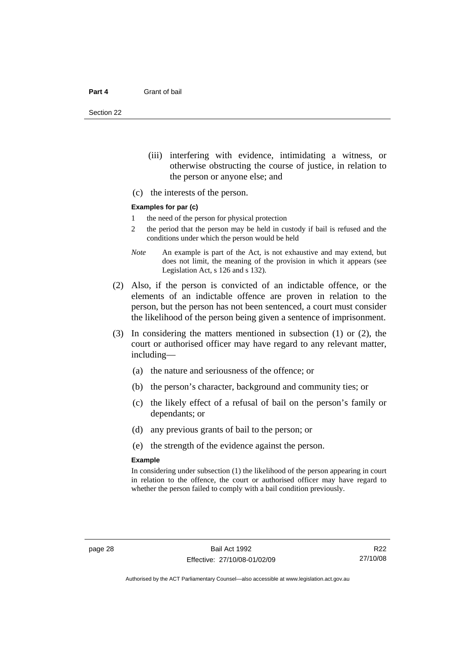Section 22

- (iii) interfering with evidence, intimidating a witness, or otherwise obstructing the course of justice, in relation to the person or anyone else; and
- (c) the interests of the person.

#### **Examples for par (c)**

- 1 the need of the person for physical protection
- 2 the period that the person may be held in custody if bail is refused and the conditions under which the person would be held
- *Note* An example is part of the Act, is not exhaustive and may extend, but does not limit, the meaning of the provision in which it appears (see Legislation Act, s 126 and s 132).
- (2) Also, if the person is convicted of an indictable offence, or the elements of an indictable offence are proven in relation to the person, but the person has not been sentenced, a court must consider the likelihood of the person being given a sentence of imprisonment.
- (3) In considering the matters mentioned in subsection (1) or (2), the court or authorised officer may have regard to any relevant matter, including—
	- (a) the nature and seriousness of the offence; or
	- (b) the person's character, background and community ties; or
	- (c) the likely effect of a refusal of bail on the person's family or dependants; or
	- (d) any previous grants of bail to the person; or
	- (e) the strength of the evidence against the person.

#### **Example**

In considering under subsection (1) the likelihood of the person appearing in court in relation to the offence, the court or authorised officer may have regard to whether the person failed to comply with a bail condition previously.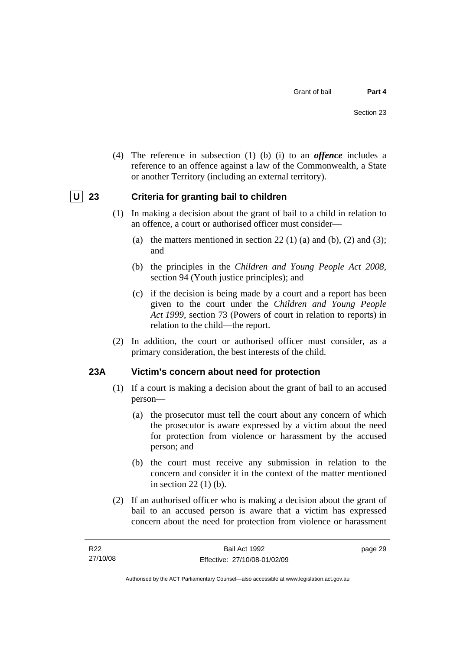<span id="page-34-0"></span> (4) The reference in subsection (1) (b) (i) to an *offence* includes a reference to an offence against a law of the Commonwealth, a State or another Territory (including an external territory).

## **U** 23 Criteria for granting bail to children

- (1) In making a decision about the grant of bail to a child in relation to an offence, a court or authorised officer must consider—
	- (a) the matters mentioned in section 22 (1) (a) and (b), (2) and (3); and
	- (b) the principles in the *Children and Young People Act 2008*, section 94 (Youth justice principles); and
	- (c) if the decision is being made by a court and a report has been given to the court under the *Children and Young People Act 1999*, section 73 (Powers of court in relation to reports) in relation to the child—the report.
- (2) In addition, the court or authorised officer must consider, as a primary consideration, the best interests of the child.

#### **23A Victim's concern about need for protection**

- (1) If a court is making a decision about the grant of bail to an accused person—
	- (a) the prosecutor must tell the court about any concern of which the prosecutor is aware expressed by a victim about the need for protection from violence or harassment by the accused person; and
	- (b) the court must receive any submission in relation to the concern and consider it in the context of the matter mentioned in section 22 (1) (b).
- (2) If an authorised officer who is making a decision about the grant of bail to an accused person is aware that a victim has expressed concern about the need for protection from violence or harassment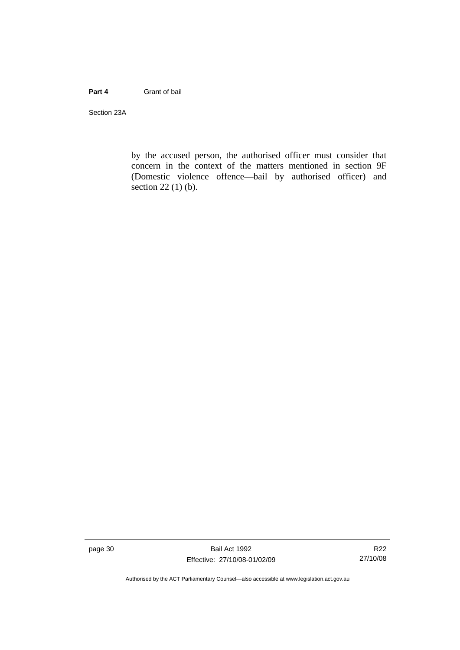#### **Part 4** Grant of bail

Section 23A

by the accused person, the authorised officer must consider that concern in the context of the matters mentioned in section 9F (Domestic violence offence—bail by authorised officer) and section 22 (1) (b).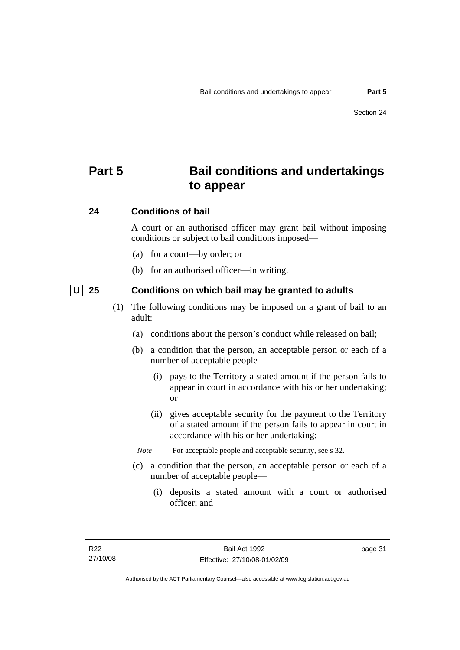# **Part 5 Bail conditions and undertakings to appear**

### **24 Conditions of bail**

A court or an authorised officer may grant bail without imposing conditions or subject to bail conditions imposed—

- (a) for a court—by order; or
- (b) for an authorised officer—in writing.

 **U 25 Conditions on which bail may be granted to adults** 

- (1) The following conditions may be imposed on a grant of bail to an adult:
	- (a) conditions about the person's conduct while released on bail;
	- (b) a condition that the person, an acceptable person or each of a number of acceptable people—
		- (i) pays to the Territory a stated amount if the person fails to appear in court in accordance with his or her undertaking; or
		- (ii) gives acceptable security for the payment to the Territory of a stated amount if the person fails to appear in court in accordance with his or her undertaking;
		- *Note* For acceptable people and acceptable security, see s 32.
	- (c) a condition that the person, an acceptable person or each of a number of acceptable people—
		- (i) deposits a stated amount with a court or authorised officer; and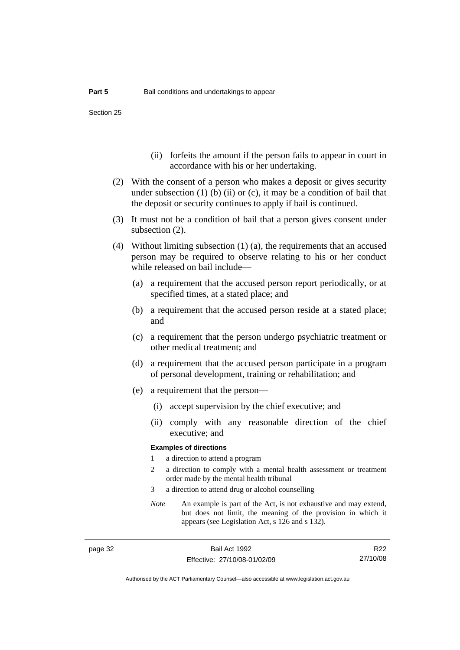Section 25

- (ii) forfeits the amount if the person fails to appear in court in accordance with his or her undertaking.
- (2) With the consent of a person who makes a deposit or gives security under subsection  $(1)$  (b)  $(ii)$  or  $(c)$ , it may be a condition of bail that the deposit or security continues to apply if bail is continued.
- (3) It must not be a condition of bail that a person gives consent under subsection (2).
- (4) Without limiting subsection (1) (a), the requirements that an accused person may be required to observe relating to his or her conduct while released on bail include—
	- (a) a requirement that the accused person report periodically, or at specified times, at a stated place; and
	- (b) a requirement that the accused person reside at a stated place; and
	- (c) a requirement that the person undergo psychiatric treatment or other medical treatment; and
	- (d) a requirement that the accused person participate in a program of personal development, training or rehabilitation; and
	- (e) a requirement that the person—
		- (i) accept supervision by the chief executive; and
		- (ii) comply with any reasonable direction of the chief executive; and

#### **Examples of directions**

- 1 a direction to attend a program
- 2 a direction to comply with a mental health assessment or treatment order made by the mental health tribunal
- 3 a direction to attend drug or alcohol counselling
- *Note* An example is part of the Act, is not exhaustive and may extend, but does not limit, the meaning of the provision in which it appears (see Legislation Act, s 126 and s 132).

R22 27/10/08

Authorised by the ACT Parliamentary Counsel—also accessible at www.legislation.act.gov.au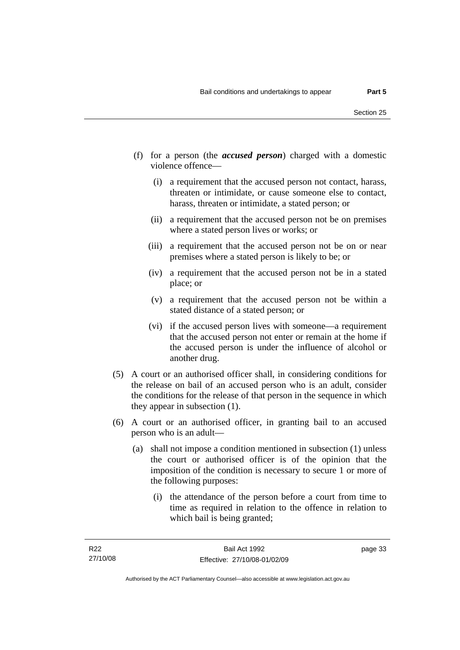- (f) for a person (the *accused person*) charged with a domestic violence offence—
	- (i) a requirement that the accused person not contact, harass, threaten or intimidate, or cause someone else to contact, harass, threaten or intimidate, a stated person; or
	- (ii) a requirement that the accused person not be on premises where a stated person lives or works; or
	- (iii) a requirement that the accused person not be on or near premises where a stated person is likely to be; or
	- (iv) a requirement that the accused person not be in a stated place; or
	- (v) a requirement that the accused person not be within a stated distance of a stated person; or
	- (vi) if the accused person lives with someone—a requirement that the accused person not enter or remain at the home if the accused person is under the influence of alcohol or another drug.
- (5) A court or an authorised officer shall, in considering conditions for the release on bail of an accused person who is an adult, consider the conditions for the release of that person in the sequence in which they appear in subsection (1).
- (6) A court or an authorised officer, in granting bail to an accused person who is an adult—
	- (a) shall not impose a condition mentioned in subsection (1) unless the court or authorised officer is of the opinion that the imposition of the condition is necessary to secure 1 or more of the following purposes:
		- (i) the attendance of the person before a court from time to time as required in relation to the offence in relation to which bail is being granted;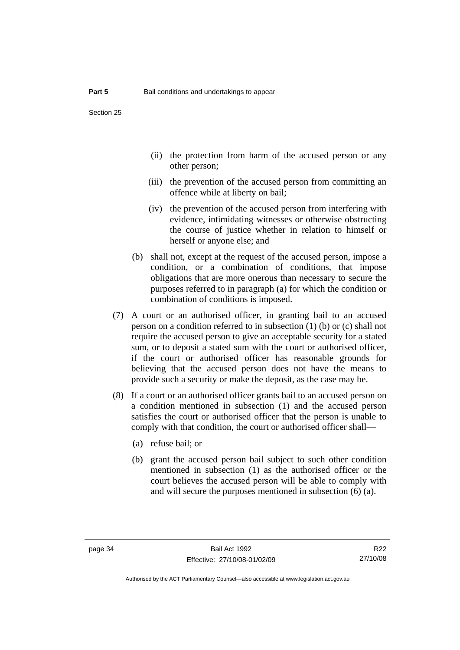- (ii) the protection from harm of the accused person or any other person;
- (iii) the prevention of the accused person from committing an offence while at liberty on bail;
- (iv) the prevention of the accused person from interfering with evidence, intimidating witnesses or otherwise obstructing the course of justice whether in relation to himself or herself or anyone else; and
- (b) shall not, except at the request of the accused person, impose a condition, or a combination of conditions, that impose obligations that are more onerous than necessary to secure the purposes referred to in paragraph (a) for which the condition or combination of conditions is imposed.
- (7) A court or an authorised officer, in granting bail to an accused person on a condition referred to in subsection (1) (b) or (c) shall not require the accused person to give an acceptable security for a stated sum, or to deposit a stated sum with the court or authorised officer, if the court or authorised officer has reasonable grounds for believing that the accused person does not have the means to provide such a security or make the deposit, as the case may be.
- (8) If a court or an authorised officer grants bail to an accused person on a condition mentioned in subsection (1) and the accused person satisfies the court or authorised officer that the person is unable to comply with that condition, the court or authorised officer shall—
	- (a) refuse bail; or
	- (b) grant the accused person bail subject to such other condition mentioned in subsection (1) as the authorised officer or the court believes the accused person will be able to comply with and will secure the purposes mentioned in subsection (6) (a).

R22 27/10/08

Authorised by the ACT Parliamentary Counsel—also accessible at www.legislation.act.gov.au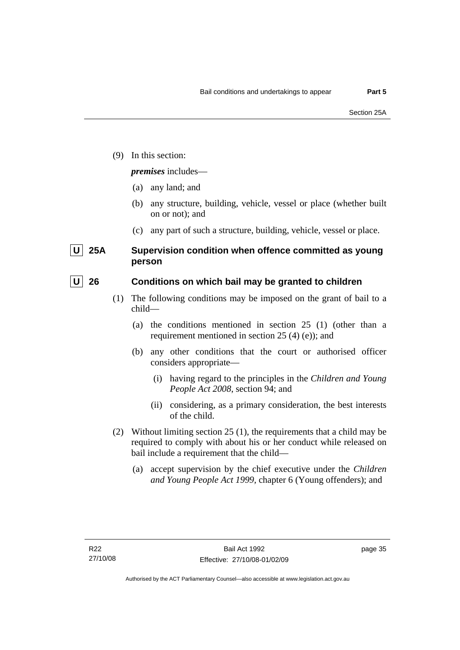(9) In this section:

### *premises* includes—

- (a) any land; and
- (b) any structure, building, vehicle, vessel or place (whether built on or not); and
- (c) any part of such a structure, building, vehicle, vessel or place.

# **U** 25A Supervision condition when offence committed as young **person**

## **U** 26 Conditions on which bail may be granted to children

- (1) The following conditions may be imposed on the grant of bail to a child—
	- (a) the conditions mentioned in section 25 (1) (other than a requirement mentioned in section 25 (4) (e)); and
	- (b) any other conditions that the court or authorised officer considers appropriate—
		- (i) having regard to the principles in the *Children and Young People Act 2008*, section 94; and
		- (ii) considering, as a primary consideration, the best interests of the child.
- (2) Without limiting section 25 (1), the requirements that a child may be required to comply with about his or her conduct while released on bail include a requirement that the child—
	- (a) accept supervision by the chief executive under the *Children and Young People Act 1999,* chapter 6 (Young offenders); and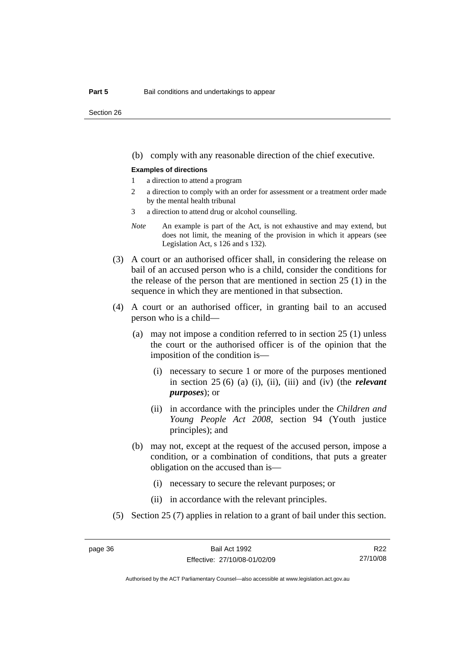Section 26

(b) comply with any reasonable direction of the chief executive.

#### **Examples of directions**

- 1 a direction to attend a program
- 2 a direction to comply with an order for assessment or a treatment order made by the mental health tribunal
- 3 a direction to attend drug or alcohol counselling.
- *Note* An example is part of the Act, is not exhaustive and may extend, but does not limit, the meaning of the provision in which it appears (see Legislation Act, s 126 and s 132).
- (3) A court or an authorised officer shall, in considering the release on bail of an accused person who is a child, consider the conditions for the release of the person that are mentioned in section 25 (1) in the sequence in which they are mentioned in that subsection.
- (4) A court or an authorised officer, in granting bail to an accused person who is a child—
	- (a) may not impose a condition referred to in section 25 (1) unless the court or the authorised officer is of the opinion that the imposition of the condition is—
		- (i) necessary to secure 1 or more of the purposes mentioned in section 25 (6) (a) (i), (ii), (iii) and (iv) (the *relevant purposes*); or
		- (ii) in accordance with the principles under the *Children and Young People Act 2008*, section 94 (Youth justice principles); and
	- (b) may not, except at the request of the accused person, impose a condition, or a combination of conditions, that puts a greater obligation on the accused than is—
		- (i) necessary to secure the relevant purposes; or
		- (ii) in accordance with the relevant principles.
- (5) Section 25 (7) applies in relation to a grant of bail under this section.

R22 27/10/08

Authorised by the ACT Parliamentary Counsel—also accessible at www.legislation.act.gov.au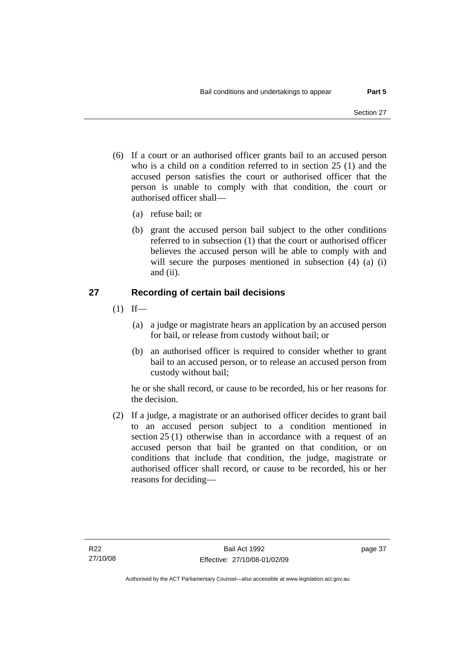- (6) If a court or an authorised officer grants bail to an accused person who is a child on a condition referred to in section 25 (1) and the accused person satisfies the court or authorised officer that the person is unable to comply with that condition, the court or authorised officer shall—
	- (a) refuse bail; or
	- (b) grant the accused person bail subject to the other conditions referred to in subsection (1) that the court or authorised officer believes the accused person will be able to comply with and will secure the purposes mentioned in subsection (4) (a) (i) and (ii).

# **27 Recording of certain bail decisions**

- $(1)$  If—
	- (a) a judge or magistrate hears an application by an accused person for bail, or release from custody without bail; or
	- (b) an authorised officer is required to consider whether to grant bail to an accused person, or to release an accused person from custody without bail;

he or she shall record, or cause to be recorded, his or her reasons for the decision.

 (2) If a judge, a magistrate or an authorised officer decides to grant bail to an accused person subject to a condition mentioned in section 25 (1) otherwise than in accordance with a request of an accused person that bail be granted on that condition, or on conditions that include that condition, the judge, magistrate or authorised officer shall record, or cause to be recorded, his or her reasons for deciding—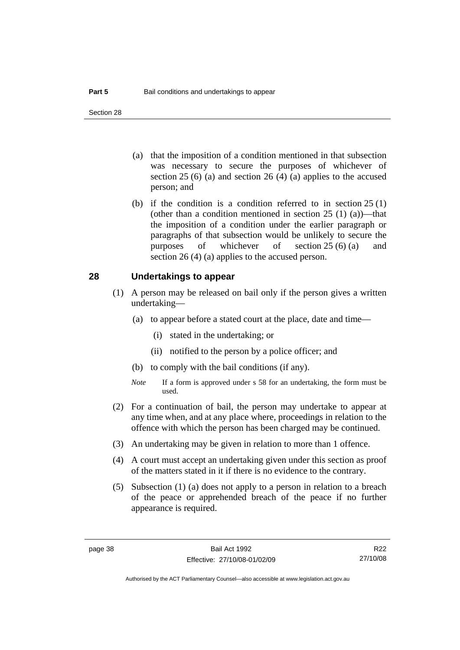- (a) that the imposition of a condition mentioned in that subsection was necessary to secure the purposes of whichever of section  $25(6)$  (a) and section  $26(4)$  (a) applies to the accused person; and
- (b) if the condition is a condition referred to in section 25 (1) (other than a condition mentioned in section  $25(1)(a)$ —that the imposition of a condition under the earlier paragraph or paragraphs of that subsection would be unlikely to secure the purposes of whichever of section 25 (6) (a) and section 26 (4) (a) applies to the accused person.

#### **28 Undertakings to appear**

- (1) A person may be released on bail only if the person gives a written undertaking—
	- (a) to appear before a stated court at the place, date and time—
		- (i) stated in the undertaking; or
		- (ii) notified to the person by a police officer; and
	- (b) to comply with the bail conditions (if any).
	- *Note* If a form is approved under s 58 for an undertaking, the form must be used.
- (2) For a continuation of bail, the person may undertake to appear at any time when, and at any place where, proceedings in relation to the offence with which the person has been charged may be continued.
- (3) An undertaking may be given in relation to more than 1 offence.
- (4) A court must accept an undertaking given under this section as proof of the matters stated in it if there is no evidence to the contrary.
- (5) Subsection (1) (a) does not apply to a person in relation to a breach of the peace or apprehended breach of the peace if no further appearance is required.

R22 27/10/08

Authorised by the ACT Parliamentary Counsel—also accessible at www.legislation.act.gov.au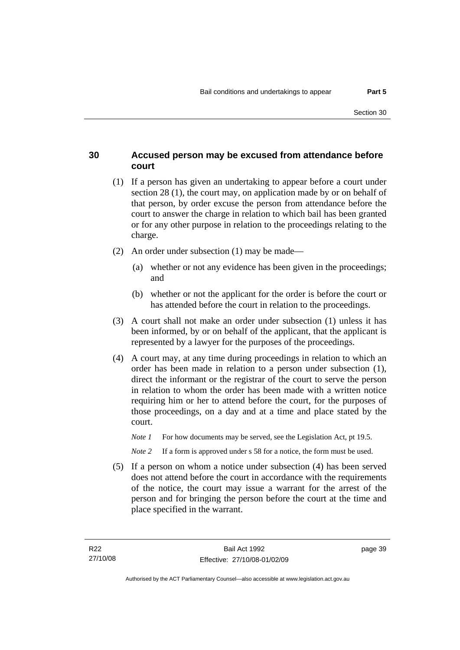## **30 Accused person may be excused from attendance before court**

- (1) If a person has given an undertaking to appear before a court under section 28 (1), the court may, on application made by or on behalf of that person, by order excuse the person from attendance before the court to answer the charge in relation to which bail has been granted or for any other purpose in relation to the proceedings relating to the charge.
- (2) An order under subsection (1) may be made—
	- (a) whether or not any evidence has been given in the proceedings; and
	- (b) whether or not the applicant for the order is before the court or has attended before the court in relation to the proceedings.
- (3) A court shall not make an order under subsection (1) unless it has been informed, by or on behalf of the applicant, that the applicant is represented by a lawyer for the purposes of the proceedings.
- (4) A court may, at any time during proceedings in relation to which an order has been made in relation to a person under subsection (1), direct the informant or the registrar of the court to serve the person in relation to whom the order has been made with a written notice requiring him or her to attend before the court, for the purposes of those proceedings, on a day and at a time and place stated by the court.
	- *Note 1* For how documents may be served, see the Legislation Act, pt 19.5.

*Note* 2 If a form is approved under s 58 for a notice, the form must be used.

 (5) If a person on whom a notice under subsection (4) has been served does not attend before the court in accordance with the requirements of the notice, the court may issue a warrant for the arrest of the person and for bringing the person before the court at the time and place specified in the warrant.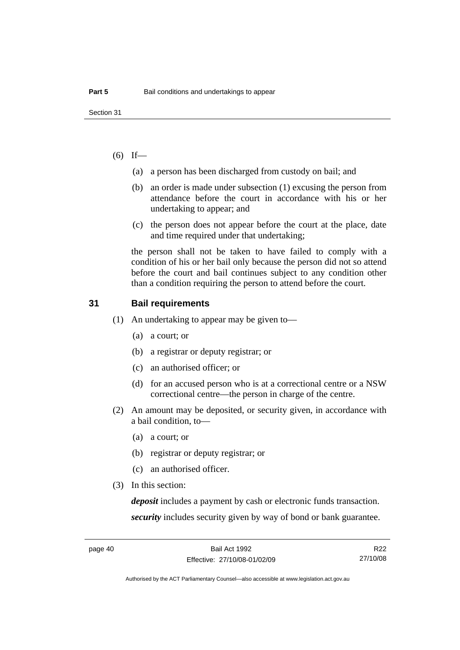### $(6)$  If—

- (a) a person has been discharged from custody on bail; and
- (b) an order is made under subsection (1) excusing the person from attendance before the court in accordance with his or her undertaking to appear; and
- (c) the person does not appear before the court at the place, date and time required under that undertaking;

the person shall not be taken to have failed to comply with a condition of his or her bail only because the person did not so attend before the court and bail continues subject to any condition other than a condition requiring the person to attend before the court.

### **31 Bail requirements**

- (1) An undertaking to appear may be given to—
	- (a) a court; or
	- (b) a registrar or deputy registrar; or
	- (c) an authorised officer; or
	- (d) for an accused person who is at a correctional centre or a NSW correctional centre—the person in charge of the centre.
- (2) An amount may be deposited, or security given, in accordance with a bail condition, to—
	- (a) a court; or
	- (b) registrar or deputy registrar; or
	- (c) an authorised officer.
- (3) In this section:

*deposit* includes a payment by cash or electronic funds transaction. *security* includes security given by way of bond or bank guarantee.

R22 27/10/08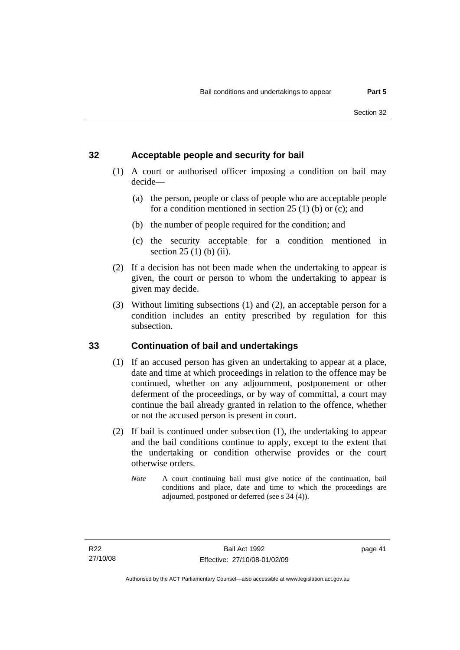## **32 Acceptable people and security for bail**

- (1) A court or authorised officer imposing a condition on bail may decide—
	- (a) the person, people or class of people who are acceptable people for a condition mentioned in section 25 (1) (b) or (c); and
	- (b) the number of people required for the condition; and
	- (c) the security acceptable for a condition mentioned in section 25 (1) (b) (ii).
- (2) If a decision has not been made when the undertaking to appear is given, the court or person to whom the undertaking to appear is given may decide.
- (3) Without limiting subsections (1) and (2), an acceptable person for a condition includes an entity prescribed by regulation for this subsection.

# **33 Continuation of bail and undertakings**

- (1) If an accused person has given an undertaking to appear at a place, date and time at which proceedings in relation to the offence may be continued, whether on any adjournment, postponement or other deferment of the proceedings, or by way of committal, a court may continue the bail already granted in relation to the offence, whether or not the accused person is present in court.
- (2) If bail is continued under subsection (1), the undertaking to appear and the bail conditions continue to apply, except to the extent that the undertaking or condition otherwise provides or the court otherwise orders.
	- *Note* A court continuing bail must give notice of the continuation, bail conditions and place, date and time to which the proceedings are adjourned, postponed or deferred (see s 34 (4)).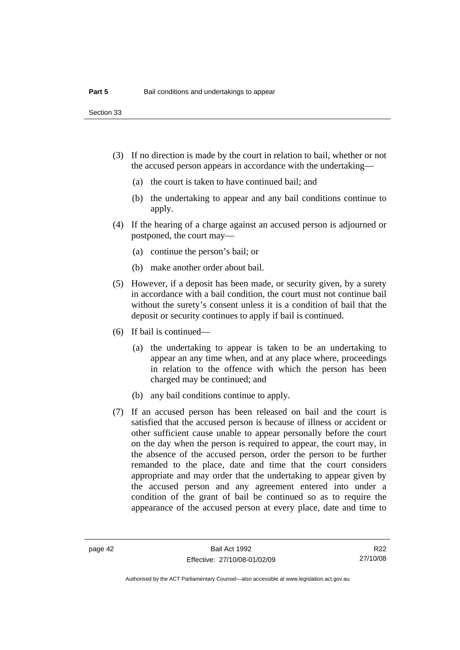Section 33

- (3) If no direction is made by the court in relation to bail, whether or not the accused person appears in accordance with the undertaking—
	- (a) the court is taken to have continued bail; and
	- (b) the undertaking to appear and any bail conditions continue to apply.
- (4) If the hearing of a charge against an accused person is adjourned or postponed, the court may—
	- (a) continue the person's bail; or
	- (b) make another order about bail.
- (5) However, if a deposit has been made, or security given, by a surety in accordance with a bail condition, the court must not continue bail without the surety's consent unless it is a condition of bail that the deposit or security continues to apply if bail is continued.
- (6) If bail is continued—
	- (a) the undertaking to appear is taken to be an undertaking to appear an any time when, and at any place where, proceedings in relation to the offence with which the person has been charged may be continued; and
	- (b) any bail conditions continue to apply.
- (7) If an accused person has been released on bail and the court is satisfied that the accused person is because of illness or accident or other sufficient cause unable to appear personally before the court on the day when the person is required to appear, the court may, in the absence of the accused person, order the person to be further remanded to the place, date and time that the court considers appropriate and may order that the undertaking to appear given by the accused person and any agreement entered into under a condition of the grant of bail be continued so as to require the appearance of the accused person at every place, date and time to

R22 27/10/08

Authorised by the ACT Parliamentary Counsel—also accessible at www.legislation.act.gov.au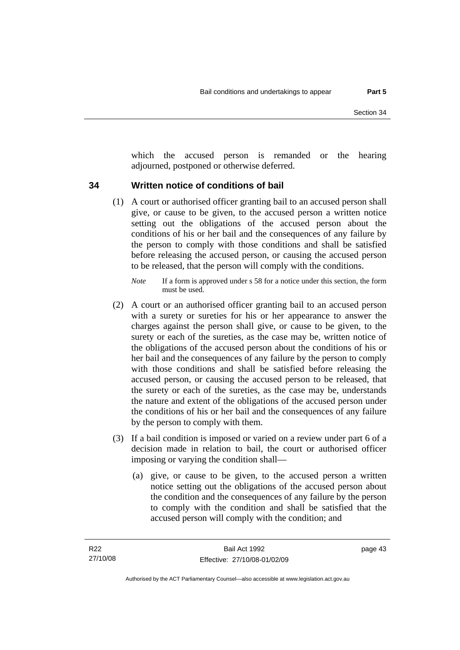which the accused person is remanded or the hearing adjourned, postponed or otherwise deferred.

### **34 Written notice of conditions of bail**

- (1) A court or authorised officer granting bail to an accused person shall give, or cause to be given, to the accused person a written notice setting out the obligations of the accused person about the conditions of his or her bail and the consequences of any failure by the person to comply with those conditions and shall be satisfied before releasing the accused person, or causing the accused person to be released, that the person will comply with the conditions.
	- *Note* If a form is approved under s 58 for a notice under this section, the form must be used.
- (2) A court or an authorised officer granting bail to an accused person with a surety or sureties for his or her appearance to answer the charges against the person shall give, or cause to be given, to the surety or each of the sureties, as the case may be, written notice of the obligations of the accused person about the conditions of his or her bail and the consequences of any failure by the person to comply with those conditions and shall be satisfied before releasing the accused person, or causing the accused person to be released, that the surety or each of the sureties, as the case may be, understands the nature and extent of the obligations of the accused person under the conditions of his or her bail and the consequences of any failure by the person to comply with them.
- (3) If a bail condition is imposed or varied on a review under part 6 of a decision made in relation to bail, the court or authorised officer imposing or varying the condition shall—
	- (a) give, or cause to be given, to the accused person a written notice setting out the obligations of the accused person about the condition and the consequences of any failure by the person to comply with the condition and shall be satisfied that the accused person will comply with the condition; and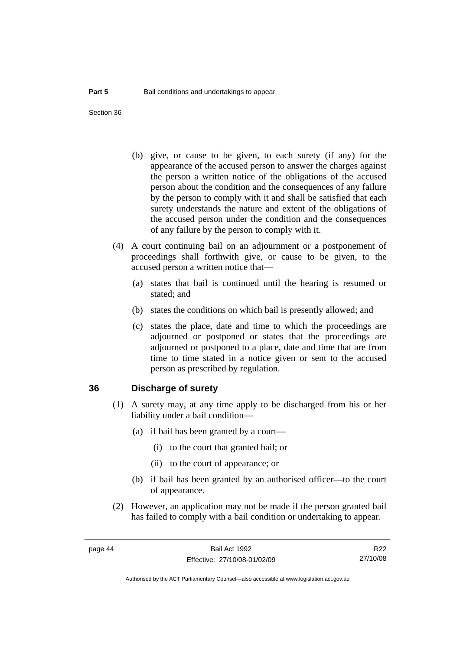Section 36

- (b) give, or cause to be given, to each surety (if any) for the appearance of the accused person to answer the charges against the person a written notice of the obligations of the accused person about the condition and the consequences of any failure by the person to comply with it and shall be satisfied that each surety understands the nature and extent of the obligations of the accused person under the condition and the consequences of any failure by the person to comply with it.
- (4) A court continuing bail on an adjournment or a postponement of proceedings shall forthwith give, or cause to be given, to the accused person a written notice that—
	- (a) states that bail is continued until the hearing is resumed or stated; and
	- (b) states the conditions on which bail is presently allowed; and
	- (c) states the place, date and time to which the proceedings are adjourned or postponed or states that the proceedings are adjourned or postponed to a place, date and time that are from time to time stated in a notice given or sent to the accused person as prescribed by regulation.

### **36 Discharge of surety**

- (1) A surety may, at any time apply to be discharged from his or her liability under a bail condition—
	- (a) if bail has been granted by a court—
		- (i) to the court that granted bail; or
		- (ii) to the court of appearance; or
	- (b) if bail has been granted by an authorised officer—to the court of appearance.
- (2) However, an application may not be made if the person granted bail has failed to comply with a bail condition or undertaking to appear.

R22 27/10/08

Authorised by the ACT Parliamentary Counsel—also accessible at www.legislation.act.gov.au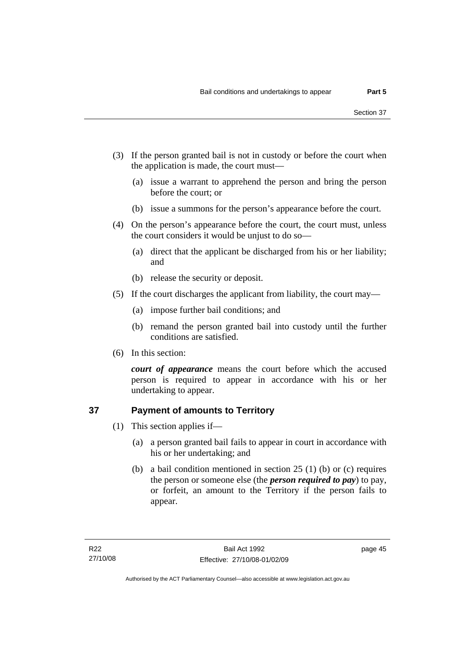- (3) If the person granted bail is not in custody or before the court when the application is made, the court must—
	- (a) issue a warrant to apprehend the person and bring the person before the court; or
	- (b) issue a summons for the person's appearance before the court.
- (4) On the person's appearance before the court, the court must, unless the court considers it would be unjust to do so—
	- (a) direct that the applicant be discharged from his or her liability; and
	- (b) release the security or deposit.
- (5) If the court discharges the applicant from liability, the court may—
	- (a) impose further bail conditions; and
	- (b) remand the person granted bail into custody until the further conditions are satisfied.
- (6) In this section:

*court of appearance* means the court before which the accused person is required to appear in accordance with his or her undertaking to appear.

# **37 Payment of amounts to Territory**

- (1) This section applies if—
	- (a) a person granted bail fails to appear in court in accordance with his or her undertaking; and
	- (b) a bail condition mentioned in section 25 (1) (b) or (c) requires the person or someone else (the *person required to pay*) to pay, or forfeit, an amount to the Territory if the person fails to appear.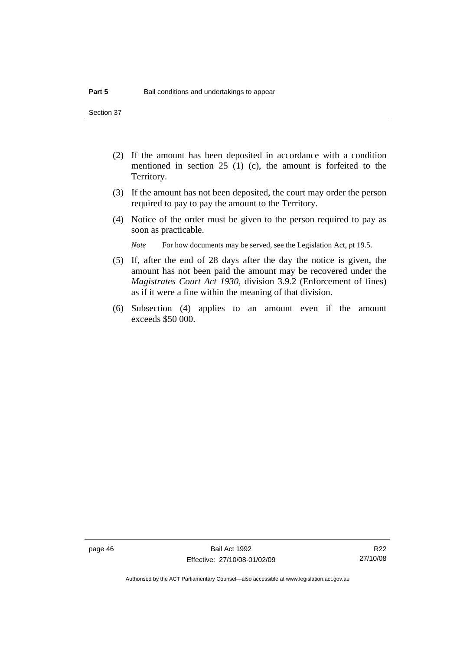Section 37

- (2) If the amount has been deposited in accordance with a condition mentioned in section 25 (1) (c), the amount is forfeited to the Territory.
- (3) If the amount has not been deposited, the court may order the person required to pay to pay the amount to the Territory.
- (4) Notice of the order must be given to the person required to pay as soon as practicable.

*Note* For how documents may be served, see the Legislation Act, pt 19.5.

- (5) If, after the end of 28 days after the day the notice is given, the amount has not been paid the amount may be recovered under the *Magistrates Court Act 1930*, division 3.9.2 (Enforcement of fines) as if it were a fine within the meaning of that division.
- (6) Subsection (4) applies to an amount even if the amount exceeds \$50 000.

R22 27/10/08

Authorised by the ACT Parliamentary Counsel—also accessible at www.legislation.act.gov.au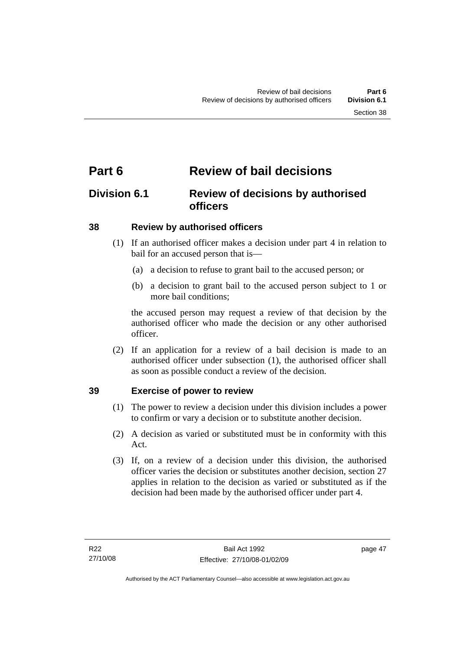# **Part 6 Review of bail decisions**

# **Division 6.1 Review of decisions by authorised officers**

## **38 Review by authorised officers**

- (1) If an authorised officer makes a decision under part 4 in relation to bail for an accused person that is—
	- (a) a decision to refuse to grant bail to the accused person; or
	- (b) a decision to grant bail to the accused person subject to 1 or more bail conditions;

the accused person may request a review of that decision by the authorised officer who made the decision or any other authorised officer.

 (2) If an application for a review of a bail decision is made to an authorised officer under subsection (1), the authorised officer shall as soon as possible conduct a review of the decision.

## **39 Exercise of power to review**

- (1) The power to review a decision under this division includes a power to confirm or vary a decision or to substitute another decision.
- (2) A decision as varied or substituted must be in conformity with this Act.
- (3) If, on a review of a decision under this division, the authorised officer varies the decision or substitutes another decision, section 27 applies in relation to the decision as varied or substituted as if the decision had been made by the authorised officer under part 4.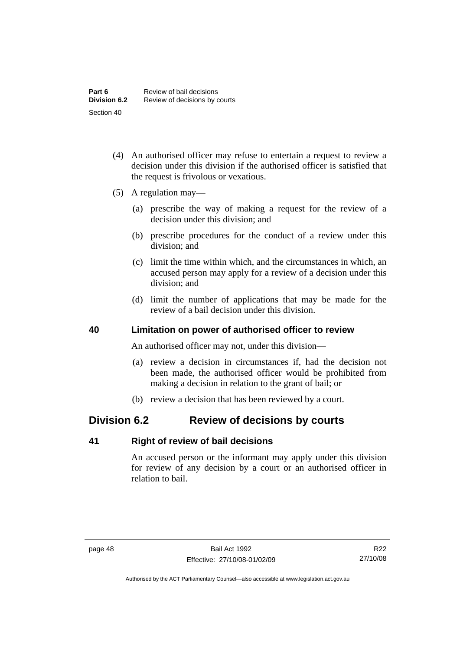- (4) An authorised officer may refuse to entertain a request to review a decision under this division if the authorised officer is satisfied that the request is frivolous or vexatious.
- (5) A regulation may—
	- (a) prescribe the way of making a request for the review of a decision under this division; and
	- (b) prescribe procedures for the conduct of a review under this division; and
	- (c) limit the time within which, and the circumstances in which, an accused person may apply for a review of a decision under this division; and
	- (d) limit the number of applications that may be made for the review of a bail decision under this division.

### **40 Limitation on power of authorised officer to review**

An authorised officer may not, under this division—

- (a) review a decision in circumstances if, had the decision not been made, the authorised officer would be prohibited from making a decision in relation to the grant of bail; or
- (b) review a decision that has been reviewed by a court.

# **Division 6.2 Review of decisions by courts**

### **41 Right of review of bail decisions**

An accused person or the informant may apply under this division for review of any decision by a court or an authorised officer in relation to bail.

R22 27/10/08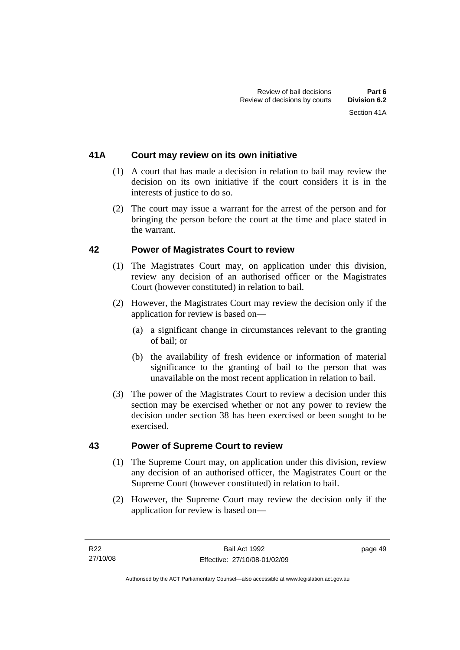## **41A Court may review on its own initiative**

- (1) A court that has made a decision in relation to bail may review the decision on its own initiative if the court considers it is in the interests of justice to do so.
- (2) The court may issue a warrant for the arrest of the person and for bringing the person before the court at the time and place stated in the warrant.

### **42 Power of Magistrates Court to review**

- (1) The Magistrates Court may, on application under this division, review any decision of an authorised officer or the Magistrates Court (however constituted) in relation to bail.
- (2) However, the Magistrates Court may review the decision only if the application for review is based on—
	- (a) a significant change in circumstances relevant to the granting of bail; or
	- (b) the availability of fresh evidence or information of material significance to the granting of bail to the person that was unavailable on the most recent application in relation to bail.
- (3) The power of the Magistrates Court to review a decision under this section may be exercised whether or not any power to review the decision under section 38 has been exercised or been sought to be exercised.

### **43 Power of Supreme Court to review**

- (1) The Supreme Court may, on application under this division, review any decision of an authorised officer, the Magistrates Court or the Supreme Court (however constituted) in relation to bail.
- (2) However, the Supreme Court may review the decision only if the application for review is based on—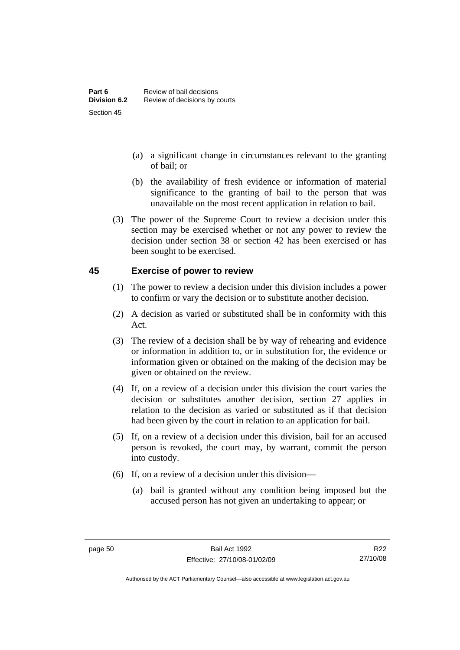- (a) a significant change in circumstances relevant to the granting of bail; or
- (b) the availability of fresh evidence or information of material significance to the granting of bail to the person that was unavailable on the most recent application in relation to bail.
- (3) The power of the Supreme Court to review a decision under this section may be exercised whether or not any power to review the decision under section 38 or section 42 has been exercised or has been sought to be exercised.

### **45 Exercise of power to review**

- (1) The power to review a decision under this division includes a power to confirm or vary the decision or to substitute another decision.
- (2) A decision as varied or substituted shall be in conformity with this Act.
- (3) The review of a decision shall be by way of rehearing and evidence or information in addition to, or in substitution for, the evidence or information given or obtained on the making of the decision may be given or obtained on the review.
- (4) If, on a review of a decision under this division the court varies the decision or substitutes another decision, section 27 applies in relation to the decision as varied or substituted as if that decision had been given by the court in relation to an application for bail.
- (5) If, on a review of a decision under this division, bail for an accused person is revoked, the court may, by warrant, commit the person into custody.
- (6) If, on a review of a decision under this division—
	- (a) bail is granted without any condition being imposed but the accused person has not given an undertaking to appear; or

R22 27/10/08

Authorised by the ACT Parliamentary Counsel—also accessible at www.legislation.act.gov.au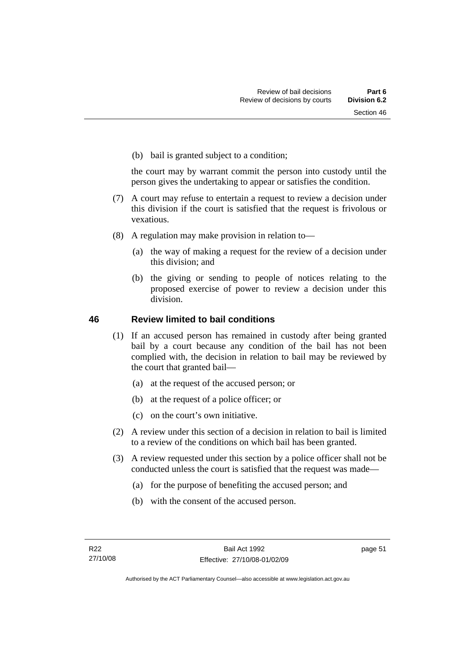(b) bail is granted subject to a condition;

the court may by warrant commit the person into custody until the person gives the undertaking to appear or satisfies the condition.

- (7) A court may refuse to entertain a request to review a decision under this division if the court is satisfied that the request is frivolous or vexatious.
- (8) A regulation may make provision in relation to—
	- (a) the way of making a request for the review of a decision under this division; and
	- (b) the giving or sending to people of notices relating to the proposed exercise of power to review a decision under this division.

### **46 Review limited to bail conditions**

- (1) If an accused person has remained in custody after being granted bail by a court because any condition of the bail has not been complied with, the decision in relation to bail may be reviewed by the court that granted bail—
	- (a) at the request of the accused person; or
	- (b) at the request of a police officer; or
	- (c) on the court's own initiative.
- (2) A review under this section of a decision in relation to bail is limited to a review of the conditions on which bail has been granted.
- (3) A review requested under this section by a police officer shall not be conducted unless the court is satisfied that the request was made—
	- (a) for the purpose of benefiting the accused person; and
	- (b) with the consent of the accused person.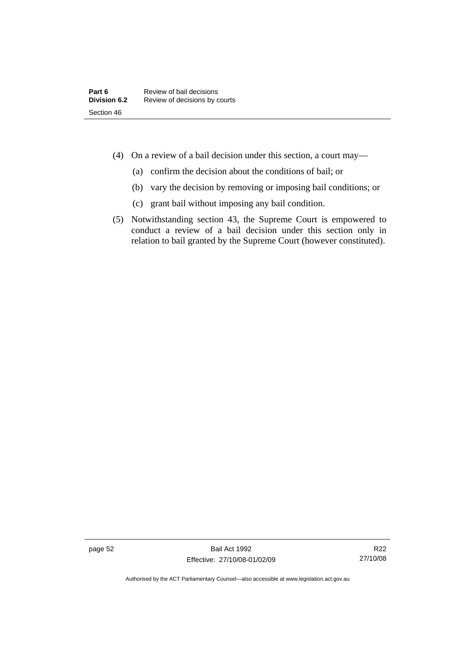- (4) On a review of a bail decision under this section, a court may—
	- (a) confirm the decision about the conditions of bail; or
	- (b) vary the decision by removing or imposing bail conditions; or
	- (c) grant bail without imposing any bail condition.
- (5) Notwithstanding section 43, the Supreme Court is empowered to conduct a review of a bail decision under this section only in relation to bail granted by the Supreme Court (however constituted).

page 52 Bail Act 1992 Effective: 27/10/08-01/02/09

R22 27/10/08

Authorised by the ACT Parliamentary Counsel—also accessible at www.legislation.act.gov.au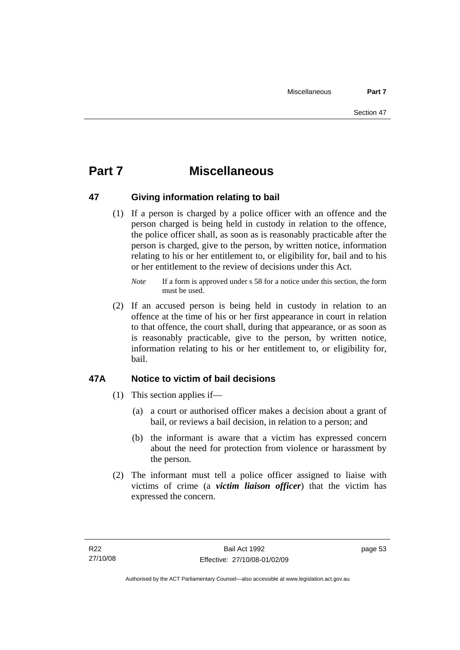# **Part 7 Miscellaneous**

## **47 Giving information relating to bail**

 (1) If a person is charged by a police officer with an offence and the person charged is being held in custody in relation to the offence, the police officer shall, as soon as is reasonably practicable after the person is charged, give to the person, by written notice, information relating to his or her entitlement to, or eligibility for, bail and to his or her entitlement to the review of decisions under this Act.

 (2) If an accused person is being held in custody in relation to an offence at the time of his or her first appearance in court in relation to that offence, the court shall, during that appearance, or as soon as is reasonably practicable, give to the person, by written notice, information relating to his or her entitlement to, or eligibility for, bail.

# **47A Notice to victim of bail decisions**

- (1) This section applies if—
	- (a) a court or authorised officer makes a decision about a grant of bail, or reviews a bail decision, in relation to a person; and
	- (b) the informant is aware that a victim has expressed concern about the need for protection from violence or harassment by the person.
- (2) The informant must tell a police officer assigned to liaise with victims of crime (a *victim liaison officer*) that the victim has expressed the concern.

*Note* If a form is approved under s 58 for a notice under this section, the form must be used.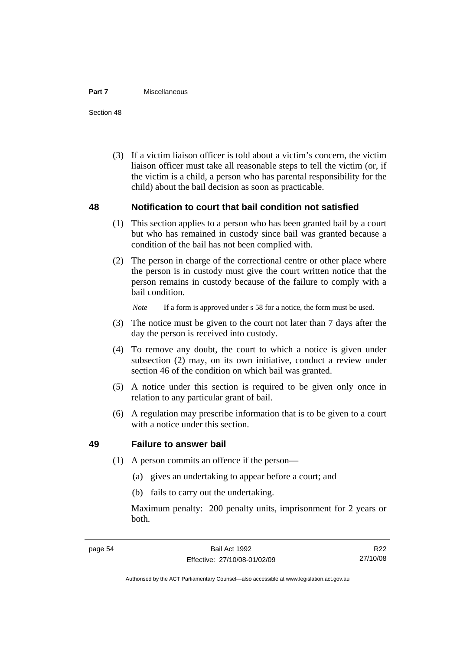#### **Part 7** Miscellaneous

Section 48

 (3) If a victim liaison officer is told about a victim's concern, the victim liaison officer must take all reasonable steps to tell the victim (or, if the victim is a child, a person who has parental responsibility for the child) about the bail decision as soon as practicable.

### **48 Notification to court that bail condition not satisfied**

- (1) This section applies to a person who has been granted bail by a court but who has remained in custody since bail was granted because a condition of the bail has not been complied with.
- (2) The person in charge of the correctional centre or other place where the person is in custody must give the court written notice that the person remains in custody because of the failure to comply with a bail condition.

*Note* If a form is approved under s 58 for a notice, the form must be used.

- (3) The notice must be given to the court not later than 7 days after the day the person is received into custody.
- (4) To remove any doubt, the court to which a notice is given under subsection (2) may, on its own initiative, conduct a review under section 46 of the condition on which bail was granted.
- (5) A notice under this section is required to be given only once in relation to any particular grant of bail.
- (6) A regulation may prescribe information that is to be given to a court with a notice under this section.

### **49 Failure to answer bail**

- (1) A person commits an offence if the person—
	- (a) gives an undertaking to appear before a court; and
	- (b) fails to carry out the undertaking.

Maximum penalty: 200 penalty units, imprisonment for 2 years or both.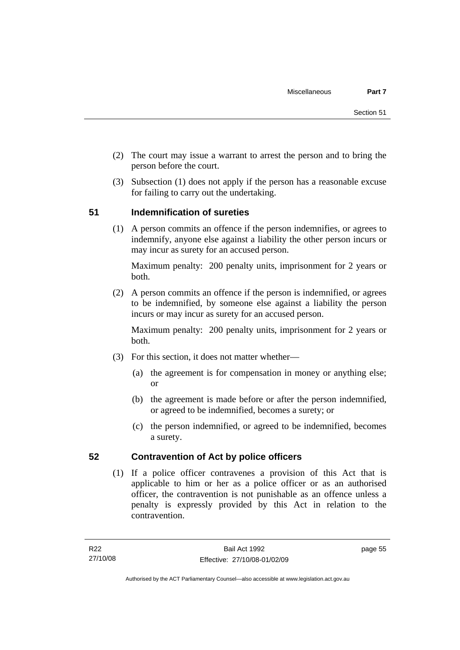- (2) The court may issue a warrant to arrest the person and to bring the person before the court.
- (3) Subsection (1) does not apply if the person has a reasonable excuse for failing to carry out the undertaking.

# **51 Indemnification of sureties**

 (1) A person commits an offence if the person indemnifies, or agrees to indemnify, anyone else against a liability the other person incurs or may incur as surety for an accused person.

Maximum penalty: 200 penalty units, imprisonment for 2 years or both.

 (2) A person commits an offence if the person is indemnified, or agrees to be indemnified, by someone else against a liability the person incurs or may incur as surety for an accused person.

Maximum penalty: 200 penalty units, imprisonment for 2 years or both.

- (3) For this section, it does not matter whether—
	- (a) the agreement is for compensation in money or anything else; or
	- (b) the agreement is made before or after the person indemnified, or agreed to be indemnified, becomes a surety; or
	- (c) the person indemnified, or agreed to be indemnified, becomes a surety.

## **52 Contravention of Act by police officers**

 (1) If a police officer contravenes a provision of this Act that is applicable to him or her as a police officer or as an authorised officer, the contravention is not punishable as an offence unless a penalty is expressly provided by this Act in relation to the contravention.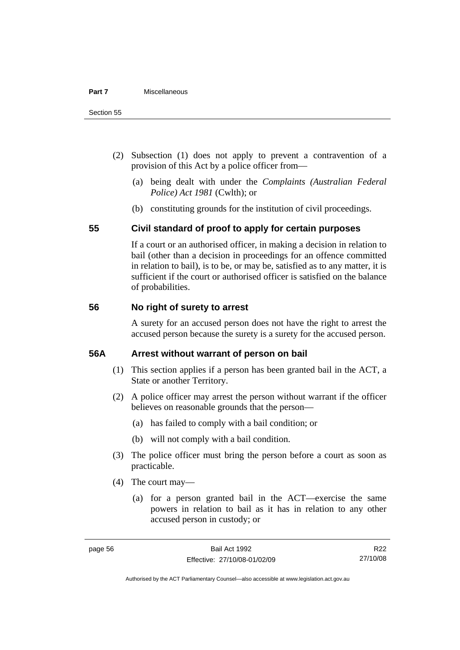- (2) Subsection (1) does not apply to prevent a contravention of a provision of this Act by a police officer from—
	- (a) being dealt with under the *Complaints (Australian Federal Police) Act 1981* (Cwlth); or
	- (b) constituting grounds for the institution of civil proceedings.

### **55 Civil standard of proof to apply for certain purposes**

If a court or an authorised officer, in making a decision in relation to bail (other than a decision in proceedings for an offence committed in relation to bail), is to be, or may be, satisfied as to any matter, it is sufficient if the court or authorised officer is satisfied on the balance of probabilities.

### **56 No right of surety to arrest**

A surety for an accused person does not have the right to arrest the accused person because the surety is a surety for the accused person.

### **56A Arrest without warrant of person on bail**

- (1) This section applies if a person has been granted bail in the ACT, a State or another Territory.
- (2) A police officer may arrest the person without warrant if the officer believes on reasonable grounds that the person—
	- (a) has failed to comply with a bail condition; or
	- (b) will not comply with a bail condition.
- (3) The police officer must bring the person before a court as soon as practicable.
- (4) The court may—
	- (a) for a person granted bail in the ACT—exercise the same powers in relation to bail as it has in relation to any other accused person in custody; or

R22 27/10/08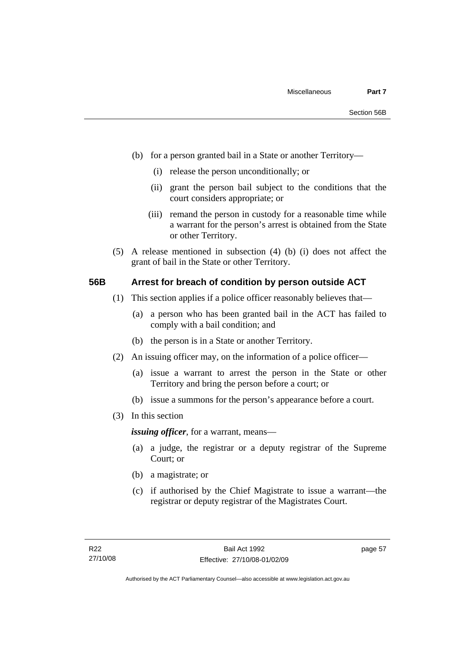- (b) for a person granted bail in a State or another Territory—
	- (i) release the person unconditionally; or
	- (ii) grant the person bail subject to the conditions that the court considers appropriate; or
	- (iii) remand the person in custody for a reasonable time while a warrant for the person's arrest is obtained from the State or other Territory.
- (5) A release mentioned in subsection (4) (b) (i) does not affect the grant of bail in the State or other Territory.

### **56B Arrest for breach of condition by person outside ACT**

- (1) This section applies if a police officer reasonably believes that—
	- (a) a person who has been granted bail in the ACT has failed to comply with a bail condition; and
	- (b) the person is in a State or another Territory.
- (2) An issuing officer may, on the information of a police officer—
	- (a) issue a warrant to arrest the person in the State or other Territory and bring the person before a court; or
	- (b) issue a summons for the person's appearance before a court.
- (3) In this section

*issuing officer*, for a warrant, means—

- (a) a judge, the registrar or a deputy registrar of the Supreme Court; or
- (b) a magistrate; or
- (c) if authorised by the Chief Magistrate to issue a warrant—the registrar or deputy registrar of the Magistrates Court.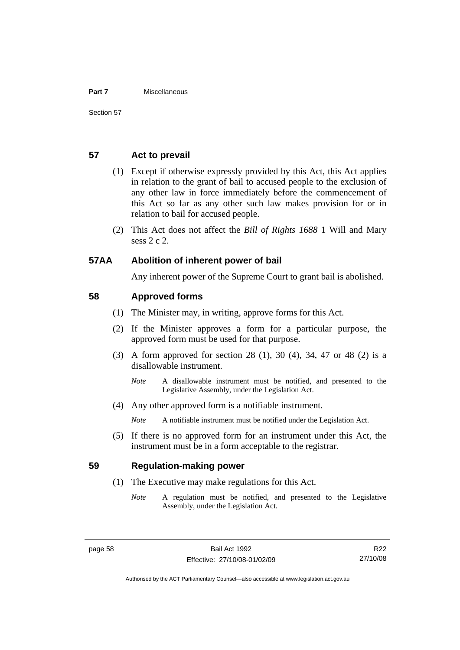#### **Part 7** Miscellaneous

### **57 Act to prevail**

- (1) Except if otherwise expressly provided by this Act, this Act applies in relation to the grant of bail to accused people to the exclusion of any other law in force immediately before the commencement of this Act so far as any other such law makes provision for or in relation to bail for accused people.
- (2) This Act does not affect the *Bill of Rights 1688* 1 Will and Mary sess 2 c 2.

### **57AA Abolition of inherent power of bail**

Any inherent power of the Supreme Court to grant bail is abolished.

### **58 Approved forms**

- (1) The Minister may, in writing, approve forms for this Act.
- (2) If the Minister approves a form for a particular purpose, the approved form must be used for that purpose.
- (3) A form approved for section 28 (1), 30 (4), 34, 47 or 48 (2) is a disallowable instrument.
	- *Note* A disallowable instrument must be notified, and presented to the Legislative Assembly, under the Legislation Act.
- (4) Any other approved form is a notifiable instrument.

*Note* A notifiable instrument must be notified under the Legislation Act.

 (5) If there is no approved form for an instrument under this Act, the instrument must be in a form acceptable to the registrar.

### **59 Regulation-making power**

- (1) The Executive may make regulations for this Act.
	- *Note* A regulation must be notified, and presented to the Legislative Assembly, under the Legislation Act.

R22 27/10/08

Authorised by the ACT Parliamentary Counsel—also accessible at www.legislation.act.gov.au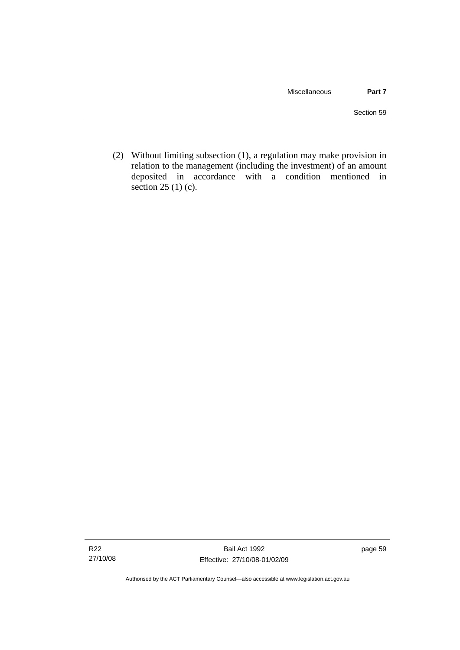(2) Without limiting subsection (1), a regulation may make provision in relation to the management (including the investment) of an amount deposited in accordance with a condition mentioned in section 25 (1) (c).

Authorised by the ACT Parliamentary Counsel—also accessible at www.legislation.act.gov.au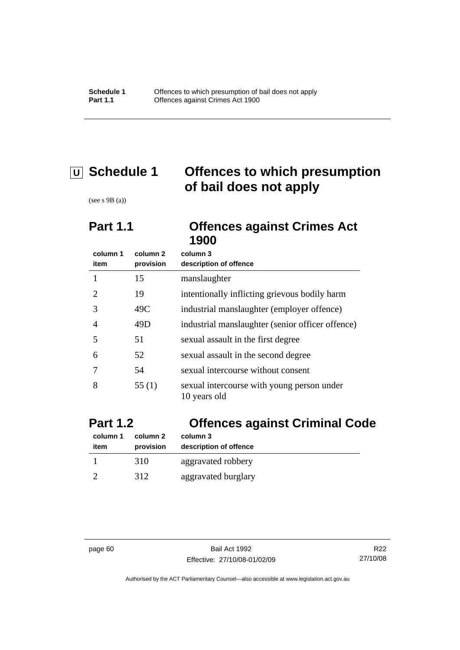# **U Schedule 1 Offences to which presumption of bail does not apply**

(see s 9B (a))

# **Part 1.1 Offences against Crimes Act 1900**

| column 1<br>item | column 2<br>provision | column 3<br>description of offence                         |
|------------------|-----------------------|------------------------------------------------------------|
|                  | 15                    | manslaughter                                               |
| 2                | 19                    | intentionally inflicting grievous bodily harm              |
| 3                | 49C                   | industrial manslaughter (employer offence)                 |
| 4                | 49D                   | industrial manslaughter (senior officer offence)           |
| 5                | 51                    | sexual assault in the first degree                         |
| 6                | 52                    | sexual assault in the second degree                        |
|                  | 54                    | sexual intercourse without consent                         |
| 8                | 55 $(1)$              | sexual intercourse with young person under<br>10 years old |

| <b>Part 1.2</b>  |                       | <b>Offences against Criminal Code</b> |  |
|------------------|-----------------------|---------------------------------------|--|
| column 1<br>item | column 2<br>provision | column 3<br>description of offence    |  |
|                  | 310                   | aggravated robbery                    |  |
|                  | 312                   | aggravated burglary                   |  |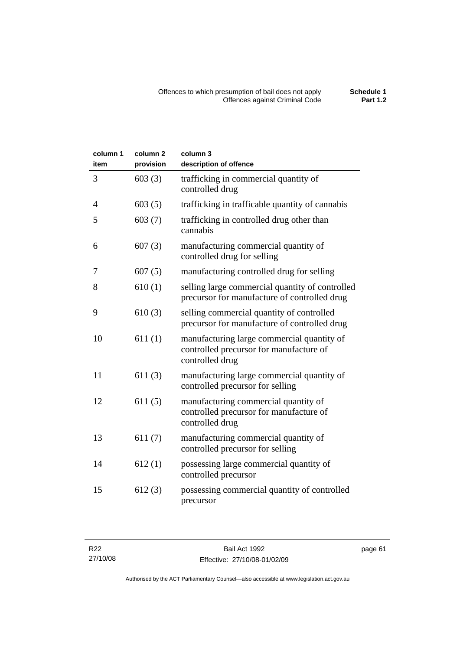| column 1<br>item | column <sub>2</sub><br>provision | column 3<br>description of offence                                                                       |
|------------------|----------------------------------|----------------------------------------------------------------------------------------------------------|
| 3                | 603(3)                           | trafficking in commercial quantity of<br>controlled drug                                                 |
| 4                | 603(5)                           | trafficking in trafficable quantity of cannabis                                                          |
| 5                | 603(7)                           | trafficking in controlled drug other than<br>cannabis                                                    |
| 6                | 607(3)                           | manufacturing commercial quantity of<br>controlled drug for selling                                      |
| 7                | 607(5)                           | manufacturing controlled drug for selling                                                                |
| 8                | 610(1)                           | selling large commercial quantity of controlled<br>precursor for manufacture of controlled drug          |
| 9                | 610(3)                           | selling commercial quantity of controlled<br>precursor for manufacture of controlled drug                |
| 10               | 611(1)                           | manufacturing large commercial quantity of<br>controlled precursor for manufacture of<br>controlled drug |
| 11               | 611(3)                           | manufacturing large commercial quantity of<br>controlled precursor for selling                           |
| 12               | 611(5)                           | manufacturing commercial quantity of<br>controlled precursor for manufacture of<br>controlled drug       |
| 13               | 611(7)                           | manufacturing commercial quantity of<br>controlled precursor for selling                                 |
| 14               | 612(1)                           | possessing large commercial quantity of<br>controlled precursor                                          |
| 15               | 612(3)                           | possessing commercial quantity of controlled<br>precursor                                                |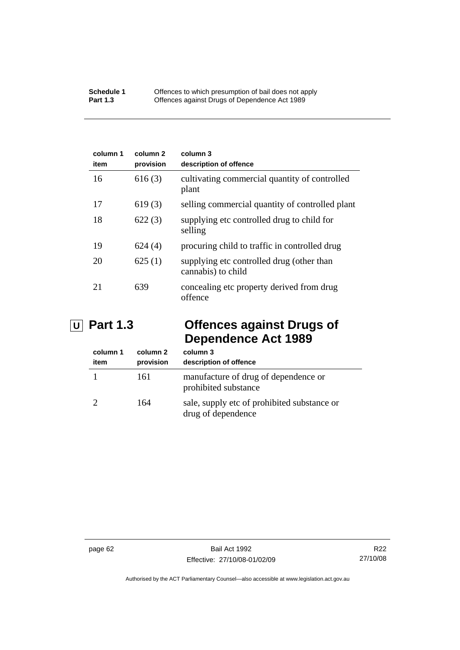| column 1<br>item | column 2<br>provision | column 3<br>description of offence                              |
|------------------|-----------------------|-----------------------------------------------------------------|
| 16               | 616(3)                | cultivating commercial quantity of controlled<br>plant          |
| 17               | 619(3)                | selling commercial quantity of controlled plant                 |
| 18               | 622(3)                | supplying etc controlled drug to child for<br>selling           |
| 19               | 624(4)                | procuring child to traffic in controlled drug                   |
| 20               | 625(1)                | supplying etc controlled drug (other than<br>cannabis) to child |
| 21               | 639                   | concealing etc property derived from drug<br>offence            |

# **U Part 1.3 Offences against Drugs of Dependence Act 1989**

| column 1<br>item | column 2<br>provision | column 3<br>description of offence                                |
|------------------|-----------------------|-------------------------------------------------------------------|
|                  | 161                   | manufacture of drug of dependence or<br>prohibited substance      |
|                  | 164                   | sale, supply etc of prohibited substance or<br>drug of dependence |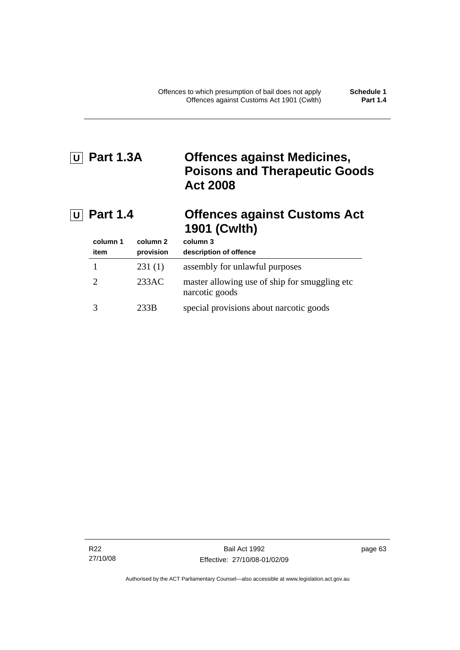# **U Part 1.3A Offences against Medicines, Poisons and Therapeutic Goods Act 2008**

# **U Part 1.4 Offences against Customs Act 1901 (Cwlth)**

| column 1<br>item | column 2<br>provision | column 3<br>description of offence                               |
|------------------|-----------------------|------------------------------------------------------------------|
|                  | 231(1)                | assembly for unlawful purposes                                   |
| $\mathcal{L}$    | 233AC                 | master allowing use of ship for smuggling etc.<br>narcotic goods |
|                  | 233B                  | special provisions about narcotic goods                          |

R22 27/10/08 page 63

Authorised by the ACT Parliamentary Counsel—also accessible at www.legislation.act.gov.au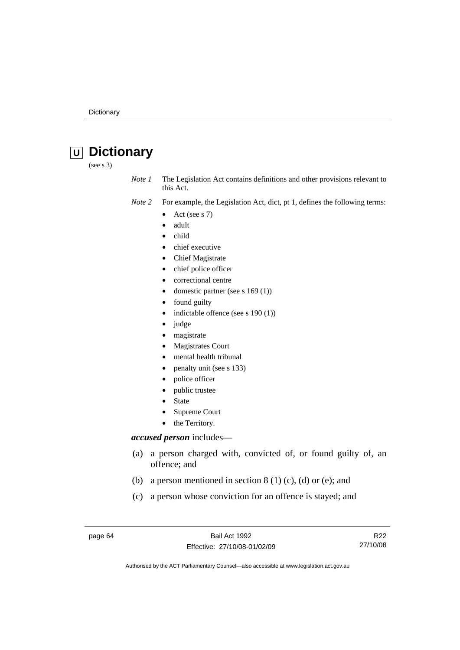# **U Dictionary**

(see s 3)

*Note 1* The Legislation Act contains definitions and other provisions relevant to this Act.

- *Note 2* For example, the Legislation Act, dict, pt 1, defines the following terms:
	- Act (see s  $7$ )
	- adult
	- child
	- chief executive
	- Chief Magistrate
	- chief police officer
	- correctional centre
	- domestic partner (see s 169 (1))
	- found guilty
	- indictable offence (see s 190 (1))
	- judge
	- magistrate
	- Magistrates Court
	- mental health tribunal
	- penalty unit (see s 133)
	- police officer
	- public trustee
	- **State**
	- Supreme Court
	- the Territory.

### *accused person* includes—

- (a) a person charged with, convicted of, or found guilty of, an offence; and
- (b) a person mentioned in section  $8(1)(c)$ , (d) or (e); and
- (c) a person whose conviction for an offence is stayed; and

page 64 Bail Act 1992 Effective: 27/10/08-01/02/09

R22 27/10/08

Authorised by the ACT Parliamentary Counsel—also accessible at www.legislation.act.gov.au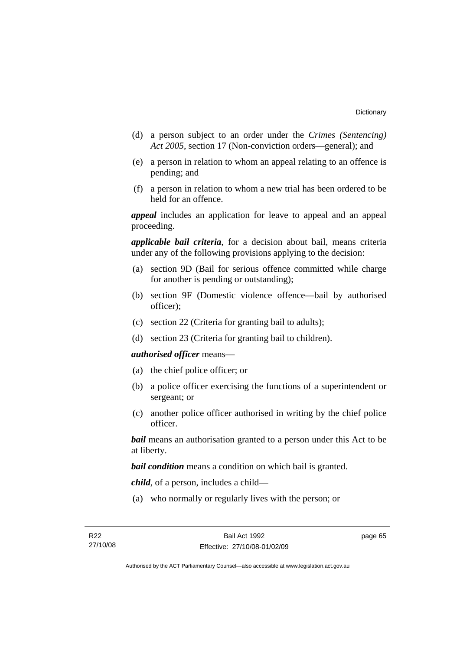- (d) a person subject to an order under the *Crimes (Sentencing) Act 2005*, section 17 (Non-conviction orders—general); and
- (e) a person in relation to whom an appeal relating to an offence is pending; and
- (f) a person in relation to whom a new trial has been ordered to be held for an offence.

*appeal* includes an application for leave to appeal and an appeal proceeding.

*applicable bail criteria*, for a decision about bail, means criteria under any of the following provisions applying to the decision:

- (a) section 9D (Bail for serious offence committed while charge for another is pending or outstanding);
- (b) section 9F (Domestic violence offence—bail by authorised officer);
- (c) section 22 (Criteria for granting bail to adults);
- (d) section 23 (Criteria for granting bail to children).

#### *authorised officer* means—

- (a) the chief police officer; or
- (b) a police officer exercising the functions of a superintendent or sergeant; or
- (c) another police officer authorised in writing by the chief police officer.

*bail* means an authorisation granted to a person under this Act to be at liberty.

*bail condition* means a condition on which bail is granted.

*child*, of a person, includes a child—

(a) who normally or regularly lives with the person; or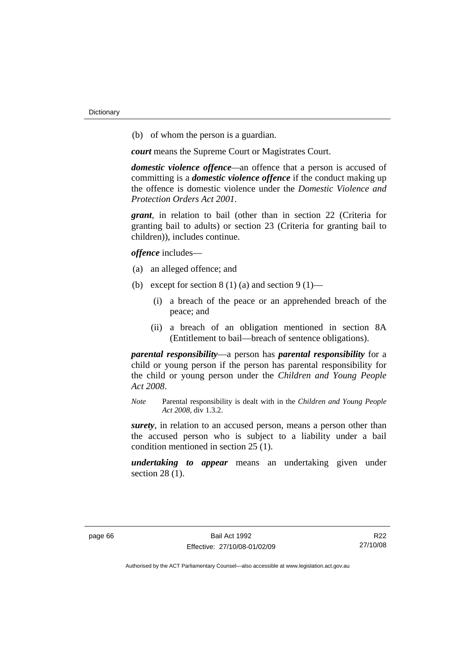(b) of whom the person is a guardian.

*court* means the Supreme Court or Magistrates Court.

*domestic violence offence—*an offence that a person is accused of committing is a *domestic violence offence* if the conduct making up the offence is domestic violence under the *Domestic Violence and Protection Orders Act 2001*.

*grant*, in relation to bail (other than in section 22 (Criteria for granting bail to adults) or section 23 (Criteria for granting bail to children)), includes continue.

*offence* includes—

- (a) an alleged offence; and
- (b) except for section  $8(1)(a)$  and section  $9(1)$ 
	- (i) a breach of the peace or an apprehended breach of the peace; and
	- (ii) a breach of an obligation mentioned in section 8A (Entitlement to bail—breach of sentence obligations).

*parental responsibility*—a person has *parental responsibility* for a child or young person if the person has parental responsibility for the child or young person under the *Children and Young People Act 2008*.

*Note* Parental responsibility is dealt with in the *Children and Young People Act 2008*, div 1.3.2.

*surety*, in relation to an accused person, means a person other than the accused person who is subject to a liability under a bail condition mentioned in section 25 (1).

*undertaking to appear* means an undertaking given under section 28 (1).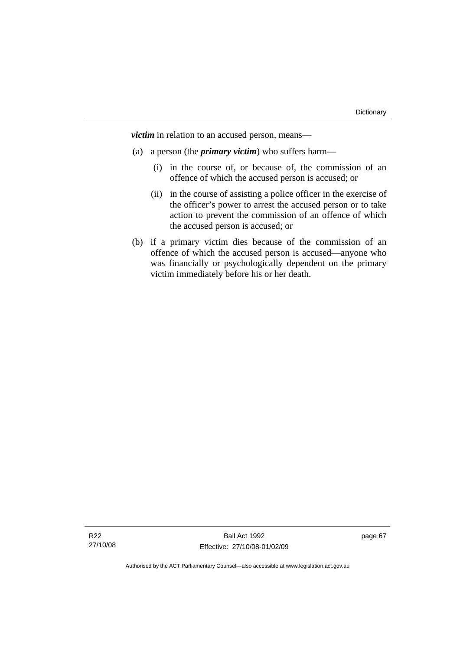*victim* in relation to an accused person, means—

- (a) a person (the *primary victim*) who suffers harm—
	- (i) in the course of, or because of, the commission of an offence of which the accused person is accused; or
	- (ii) in the course of assisting a police officer in the exercise of the officer's power to arrest the accused person or to take action to prevent the commission of an offence of which the accused person is accused; or
- (b) if a primary victim dies because of the commission of an offence of which the accused person is accused—anyone who was financially or psychologically dependent on the primary victim immediately before his or her death.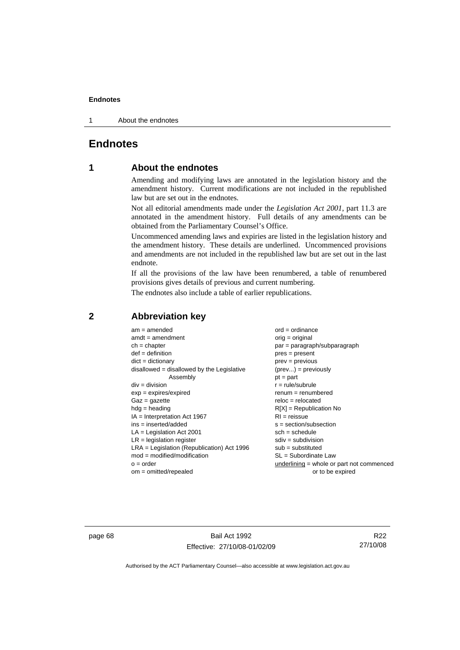1 About the endnotes

# **Endnotes**

# **1 About the endnotes**

Amending and modifying laws are annotated in the legislation history and the amendment history. Current modifications are not included in the republished law but are set out in the endnotes.

Not all editorial amendments made under the *Legislation Act 2001*, part 11.3 are annotated in the amendment history. Full details of any amendments can be obtained from the Parliamentary Counsel's Office.

Uncommenced amending laws and expiries are listed in the legislation history and the amendment history. These details are underlined. Uncommenced provisions and amendments are not included in the republished law but are set out in the last endnote.

If all the provisions of the law have been renumbered, a table of renumbered provisions gives details of previous and current numbering.

The endnotes also include a table of earlier republications.

| $am = amended$                               | $ord = ordinance$                         |
|----------------------------------------------|-------------------------------------------|
| $amdt = amendment$                           | orig = original                           |
| $ch = chapter$                               | $par = paragraph/subparagraph$            |
| $def = definition$                           | $pres = present$                          |
| $dict = dictionary$                          | $prev = previous$                         |
| disallowed = disallowed by the Legislative   | $(\text{prev}) = \text{previously}$       |
| Assembly                                     | $pt = part$                               |
| $div = division$                             | $r = rule/subrule$                        |
| $exp = expires/expired$                      | $renum = renumbered$                      |
| $Gaz = gazette$                              | $reloc = relocated$                       |
| $hdg =$ heading                              | $R[X]$ = Republication No                 |
| $IA = Interpretation Act 1967$               | $RI = reissue$                            |
| $ins = inserted/added$                       | $s = section/subsection$                  |
| $LA =$ Legislation Act 2001                  | $sch = schedule$                          |
| $LR =$ legislation register                  | $sdiv = subdivision$                      |
| $LRA =$ Legislation (Republication) Act 1996 | $sub =$ substituted                       |
| $mod = modified/modification$                | SL = Subordinate Law                      |
| $o = order$                                  | underlining = whole or part not commenced |
| $om = omitted/report$                        | or to be expired                          |
|                                              |                                           |

# **2 Abbreviation key**

page 68 Bail Act 1992 Effective: 27/10/08-01/02/09

R22 27/10/08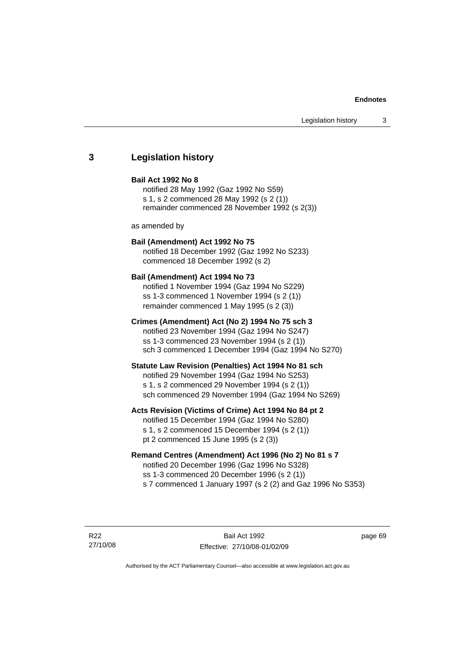# **3 Legislation history**

#### **Bail Act 1992 No 8**

notified 28 May 1992 (Gaz 1992 No S59) s 1, s 2 commenced 28 May 1992 (s 2 (1)) remainder commenced 28 November 1992 (s 2(3))

as amended by

# **Bail (Amendment) Act 1992 No 75**

notified 18 December 1992 (Gaz 1992 No S233) commenced 18 December 1992 (s 2)

#### **Bail (Amendment) Act 1994 No 73**

notified 1 November 1994 (Gaz 1994 No S229) ss 1-3 commenced 1 November 1994 (s 2 (1)) remainder commenced 1 May 1995 (s 2 (3))

#### **Crimes (Amendment) Act (No 2) 1994 No 75 sch 3**

notified 23 November 1994 (Gaz 1994 No S247) ss 1-3 commenced 23 November 1994 (s 2 (1)) sch 3 commenced 1 December 1994 (Gaz 1994 No S270)

#### **Statute Law Revision (Penalties) Act 1994 No 81 sch**

notified 29 November 1994 (Gaz 1994 No S253) s 1, s 2 commenced 29 November 1994 (s 2 (1)) sch commenced 29 November 1994 (Gaz 1994 No S269)

#### **Acts Revision (Victims of Crime) Act 1994 No 84 pt 2**

notified 15 December 1994 (Gaz 1994 No S280) s 1, s 2 commenced 15 December 1994 (s 2 (1)) pt 2 commenced 15 June 1995 (s 2 (3))

# **Remand Centres (Amendment) Act 1996 (No 2) No 81 s 7**

notified 20 December 1996 (Gaz 1996 No S328) ss 1-3 commenced 20 December 1996 (s 2 (1)) s 7 commenced 1 January 1997 (s 2 (2) and Gaz 1996 No S353)

R22 27/10/08 page 69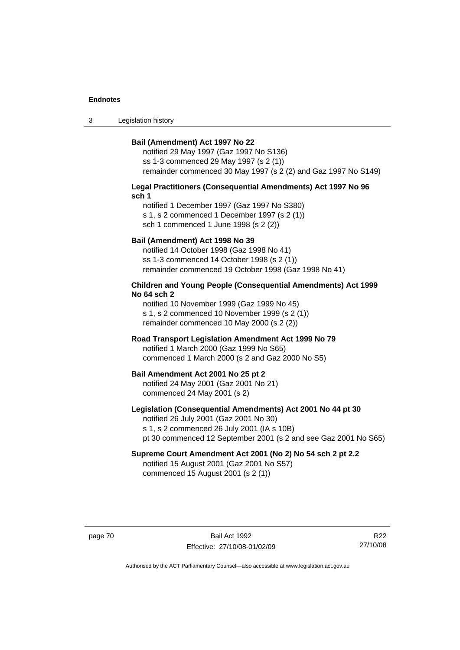3 Legislation history

#### **Bail (Amendment) Act 1997 No 22**

notified 29 May 1997 (Gaz 1997 No S136) ss 1-3 commenced 29 May 1997 (s 2 (1)) remainder commenced 30 May 1997 (s 2 (2) and Gaz 1997 No S149)

#### **Legal Practitioners (Consequential Amendments) Act 1997 No 96 sch 1**

notified 1 December 1997 (Gaz 1997 No S380) s 1, s 2 commenced 1 December 1997 (s 2 (1)) sch 1 commenced 1 June 1998 (s 2 (2))

# **Bail (Amendment) Act 1998 No 39**

notified 14 October 1998 (Gaz 1998 No 41) ss 1-3 commenced 14 October 1998 (s 2 (1)) remainder commenced 19 October 1998 (Gaz 1998 No 41)

### **Children and Young People (Consequential Amendments) Act 1999 No 64 sch 2**

notified 10 November 1999 (Gaz 1999 No 45) s 1, s 2 commenced 10 November 1999 (s 2 (1)) remainder commenced 10 May 2000 (s 2 (2))

#### **Road Transport Legislation Amendment Act 1999 No 79**

notified 1 March 2000 (Gaz 1999 No S65) commenced 1 March 2000 (s 2 and Gaz 2000 No S5)

#### **Bail Amendment Act 2001 No 25 pt 2**

notified 24 May 2001 (Gaz 2001 No 21) commenced 24 May 2001 (s 2)

# **Legislation (Consequential Amendments) Act 2001 No 44 pt 30**

notified 26 July 2001 (Gaz 2001 No 30) s 1, s 2 commenced 26 July 2001 (IA s 10B) pt 30 commenced 12 September 2001 (s 2 and see Gaz 2001 No S65)

# **Supreme Court Amendment Act 2001 (No 2) No 54 sch 2 pt 2.2**

notified 15 August 2001 (Gaz 2001 No S57) commenced 15 August 2001 (s 2 (1))

page 70 Bail Act 1992 Effective: 27/10/08-01/02/09

R22 27/10/08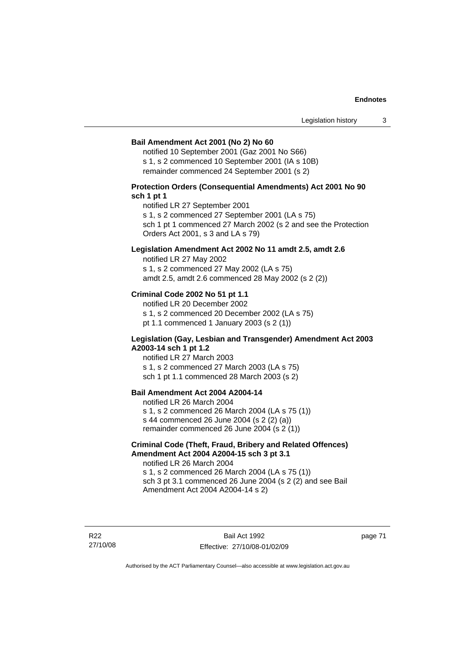#### **Bail Amendment Act 2001 (No 2) No 60**

notified 10 September 2001 (Gaz 2001 No S66) s 1, s 2 commenced 10 September 2001 (IA s 10B) remainder commenced 24 September 2001 (s 2)

## **Protection Orders (Consequential Amendments) Act 2001 No 90 sch 1 pt 1**

notified LR 27 September 2001

s 1, s 2 commenced 27 September 2001 (LA s 75)

sch 1 pt 1 commenced 27 March 2002 (s 2 and see the Protection Orders Act 2001, s 3 and LA s 79)

### **Legislation Amendment Act 2002 No 11 amdt 2.5, amdt 2.6**

notified LR 27 May 2002 s 1, s 2 commenced 27 May 2002 (LA s 75) amdt 2.5, amdt 2.6 commenced 28 May 2002 (s 2 (2))

## **Criminal Code 2002 No 51 pt 1.1**

notified LR 20 December 2002 s 1, s 2 commenced 20 December 2002 (LA s 75) pt 1.1 commenced 1 January 2003 (s 2 (1))

#### **Legislation (Gay, Lesbian and Transgender) Amendment Act 2003 A2003-14 sch 1 pt 1.2**

notified LR 27 March 2003 s 1, s 2 commenced 27 March 2003 (LA s 75) sch 1 pt 1.1 commenced 28 March 2003 (s 2)

# **Bail Amendment Act 2004 A2004-14**

notified LR 26 March 2004 s 1, s 2 commenced 26 March 2004 (LA s 75 (1)) s 44 commenced 26 June 2004 (s 2 (2) (a)) remainder commenced 26 June 2004 (s 2 (1))

## **Criminal Code (Theft, Fraud, Bribery and Related Offences) Amendment Act 2004 A2004-15 sch 3 pt 3.1**

notified LR 26 March 2004 s 1, s 2 commenced 26 March 2004 (LA s 75 (1)) sch 3 pt 3.1 commenced 26 June 2004 (s 2 (2) and see Bail Amendment Act 2004 A2004-14 s 2)

R22 27/10/08

Bail Act 1992 Effective: 27/10/08-01/02/09 page 71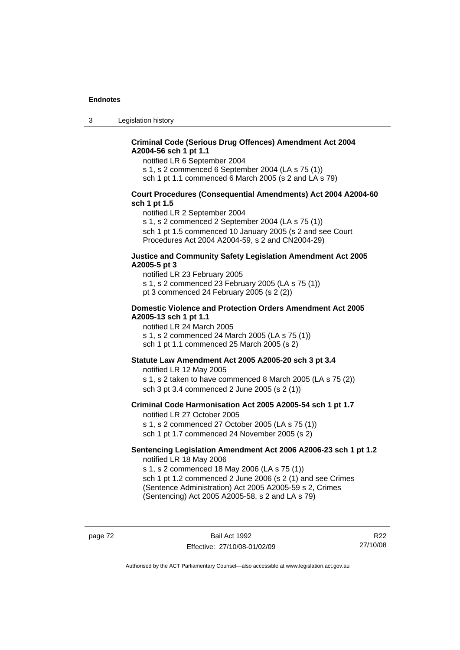3 Legislation history

# **Criminal Code (Serious Drug Offences) Amendment Act 2004 A2004-56 sch 1 pt 1.1**

notified LR 6 September 2004

s 1, s 2 commenced 6 September 2004 (LA s 75 (1))

sch 1 pt 1.1 commenced 6 March 2005 (s 2 and LA s 79)

### **Court Procedures (Consequential Amendments) Act 2004 A2004-60 sch 1 pt 1.5**

notified LR 2 September 2004

s 1, s 2 commenced 2 September 2004 (LA s 75 (1)) sch 1 pt 1.5 commenced 10 January 2005 (s 2 and see Court Procedures Act 2004 A2004-59, s 2 and CN2004-29)

#### **Justice and Community Safety Legislation Amendment Act 2005 A2005-5 pt 3**

notified LR 23 February 2005 s 1, s 2 commenced 23 February 2005 (LA s 75 (1)) pt 3 commenced 24 February 2005 (s 2 (2))

#### **Domestic Violence and Protection Orders Amendment Act 2005 A2005-13 sch 1 pt 1.1**

notified LR 24 March 2005 s 1, s 2 commenced 24 March 2005 (LA s 75 (1)) sch 1 pt 1.1 commenced 25 March 2005 (s 2)

## **Statute Law Amendment Act 2005 A2005-20 sch 3 pt 3.4**

notified LR 12 May 2005 s 1, s 2 taken to have commenced 8 March 2005 (LA s 75 (2)) sch 3 pt 3.4 commenced 2 June 2005 (s 2 (1))

#### **Criminal Code Harmonisation Act 2005 A2005-54 sch 1 pt 1.7**  notified LR 27 October 2005

s 1, s 2 commenced 27 October 2005 (LA s 75 (1)) sch 1 pt 1.7 commenced 24 November 2005 (s 2)

#### **Sentencing Legislation Amendment Act 2006 A2006-23 sch 1 pt 1.2**  notified LR 18 May 2006

s 1, s 2 commenced 18 May 2006 (LA s 75 (1)) sch 1 pt 1.2 commenced 2 June 2006 (s 2 (1) and see Crimes

(Sentence Administration) Act 2005 A2005-59 s 2, Crimes (Sentencing) Act 2005 A2005-58, s 2 and LA s 79)

page 72 Bail Act 1992 Effective: 27/10/08-01/02/09

R22 27/10/08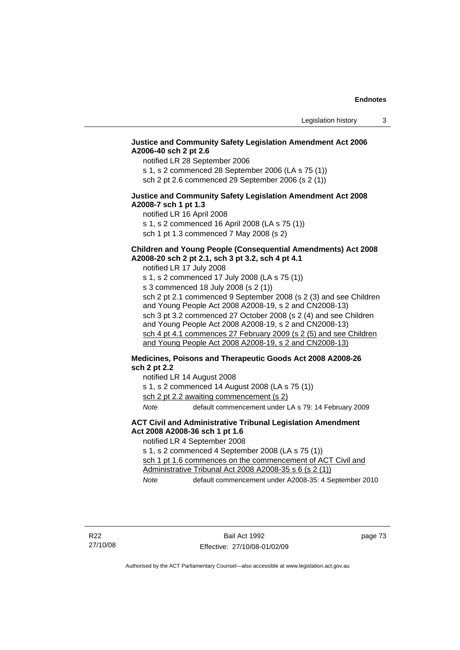# **Justice and Community Safety Legislation Amendment Act 2006 A2006-40 sch 2 pt 2.6**

notified LR 28 September 2006

s 1, s 2 commenced 28 September 2006 (LA s 75 (1)) sch 2 pt 2.6 commenced 29 September 2006 (s 2 (1))

## **Justice and Community Safety Legislation Amendment Act 2008 A2008-7 sch 1 pt 1.3**

notified LR 16 April 2008 s 1, s 2 commenced 16 April 2008 (LA s 75 (1)) sch 1 pt 1.3 commenced 7 May 2008 (s 2)

# **Children and Young People (Consequential Amendments) Act 2008 A2008-20 sch 2 pt 2.1, sch 3 pt 3.2, sch 4 pt 4.1**

notified LR 17 July 2008 s 1, s 2 commenced 17 July 2008 (LA s 75 (1)) s 3 commenced 18 July 2008 (s 2 (1)) sch 2 pt 2.1 commenced 9 September 2008 (s 2 (3) and see Children and Young People Act 2008 A2008-19, s 2 and CN2008-13) sch 3 pt 3.2 commenced 27 October 2008 (s 2 (4) and see Children and Young People Act 2008 A2008-19, s 2 and CN2008-13) sch 4 pt 4.1 commences 27 February 2009 (s 2 (5) and see Children and Young People Act 2008 A2008-19, s 2 and CN2008-13)

# **Medicines, Poisons and Therapeutic Goods Act 2008 A2008-26 sch 2 pt 2.2**

notified LR 14 August 2008

s 1, s 2 commenced 14 August 2008 (LA s 75 (1))

sch 2 pt 2.2 awaiting commencement (s 2)

*Note* default commencement under LA s 79: 14 February 2009

### **ACT Civil and Administrative Tribunal Legislation Amendment Act 2008 A2008-36 sch 1 pt 1.6**

notified LR 4 September 2008

s 1, s 2 commenced 4 September 2008 (LA s 75 (1))

sch 1 pt 1.6 commences on the commencement of ACT Civil and Administrative Tribunal Act 2008 A2008-35 s 6 (s 2 (1))

*Note* default commencement under A2008-35: 4 September 2010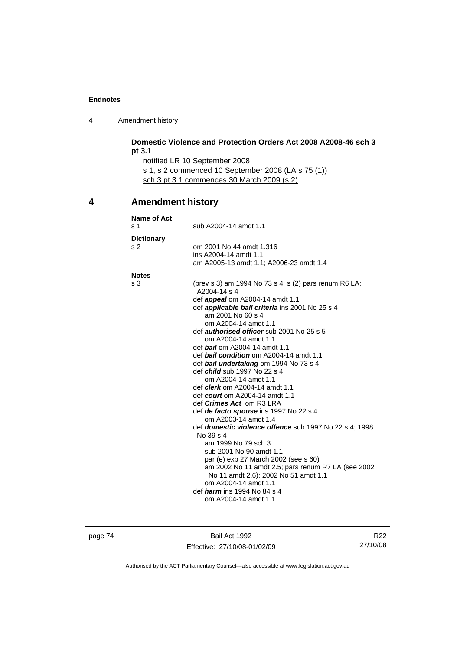4 Amendment history

|   | pt 3.1                   | Domestic Violence and Protection Orders Act 2008 A2008-46 sch 3                            |
|---|--------------------------|--------------------------------------------------------------------------------------------|
|   |                          | notified LR 10 September 2008                                                              |
|   |                          | s 1, s 2 commenced 10 September 2008 (LA s 75 (1))                                         |
|   |                          | sch 3 pt 3.1 commences 30 March 2009 (s 2)                                                 |
|   |                          |                                                                                            |
| 4 | <b>Amendment history</b> |                                                                                            |
|   | Name of Act              |                                                                                            |
|   | s 1                      | sub A2004-14 amdt 1.1                                                                      |
|   | <b>Dictionary</b>        |                                                                                            |
|   | s 2                      | om 2001 No 44 amdt 1.316                                                                   |
|   |                          | ins A2004-14 amdt 1.1                                                                      |
|   |                          | am A2005-13 amdt 1.1; A2006-23 amdt 1.4                                                    |
|   | <b>Notes</b>             |                                                                                            |
|   | s 3                      | (prev s 3) am 1994 No 73 s 4; s (2) pars renum R6 LA;                                      |
|   |                          | A2004-14 s 4<br>def appeal om A2004-14 amdt 1.1                                            |
|   |                          | def <i>applicable bail criteria</i> ins 2001 No 25 s 4                                     |
|   |                          | am 2001 No 60 s 4                                                                          |
|   |                          | om A2004-14 amdt 1.1                                                                       |
|   |                          | def <i>authorised officer</i> sub 2001 No 25 s 5                                           |
|   |                          | om A2004-14 amdt 1.1                                                                       |
|   |                          | def bail om A2004-14 amdt 1.1<br>def bail condition om A2004-14 amdt 1.1                   |
|   |                          | def bail undertaking om 1994 No 73 s 4                                                     |
|   |                          | def <i>child</i> sub 1997 No 22 s 4                                                        |
|   |                          | om A2004-14 amdt 1.1                                                                       |
|   |                          | def <i>clerk</i> om A2004-14 amdt 1.1                                                      |
|   |                          | def <i>court</i> om A2004-14 amdt 1.1                                                      |
|   |                          | def <i>Crimes Act</i> om R3 LRA<br>def <i>de facto spouse</i> ins 1997 No 22 s 4           |
|   |                          | om A2003-14 amdt 1.4                                                                       |
|   |                          | def domestic violence offence sub 1997 No 22 s 4; 1998                                     |
|   |                          | No 39 s 4                                                                                  |
|   |                          | am 1999 No 79 sch 3                                                                        |
|   |                          | sub 2001 No 90 amdt 1.1                                                                    |
|   |                          | par (e) exp 27 March 2002 (see s 60)<br>am 2002 No 11 amdt 2.5; pars renum R7 LA (see 2002 |
|   |                          | No 11 amdt 2.6); 2002 No 51 amdt 1.1                                                       |
|   |                          | om A2004-14 amdt 1.1                                                                       |
|   |                          | def <i>harm</i> ins 1994 No 84 s 4                                                         |
|   |                          | om A2004-14 amdt 1.1                                                                       |

page 74 Bail Act 1992 Effective: 27/10/08-01/02/09

R22 27/10/08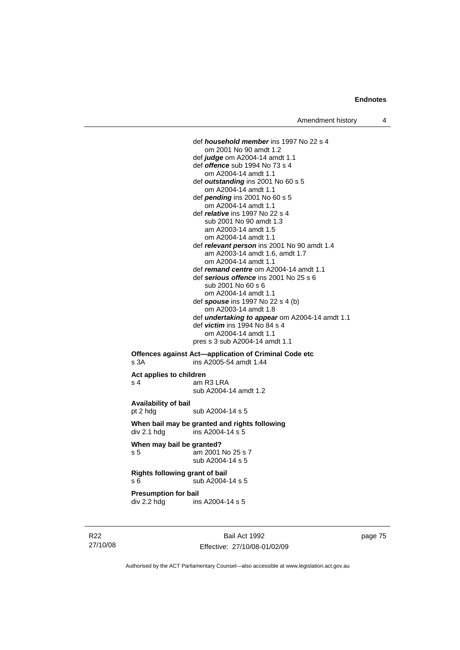def *household member* ins 1997 No 22 s 4 om 2001 No 90 amdt 1.2 def *judge* om A2004-14 amdt 1.1 def *offence* sub 1994 No 73 s 4 om A2004-14 amdt 1.1 def *outstanding* ins 2001 No 60 s 5 om A2004-14 amdt 1.1 def *pending* ins 2001 No 60 s 5 om A2004-14 amdt 1.1 def *relative* ins 1997 No 22 s 4 sub 2001 No 90 amdt 1.3 am A2003-14 amdt 1.5 om A2004-14 amdt 1.1 def *relevant person* ins 2001 No 90 amdt 1.4 am A2003-14 amdt 1.6, amdt 1.7 om A2004-14 amdt 1.1 def *remand centre* om A2004-14 amdt 1.1 def *serious offence* ins 2001 No 25 s 6 sub 2001 No 60 s 6 om A2004-14 amdt 1.1 def *spouse* ins 1997 No 22 s 4 (b) om A2003-14 amdt 1.8 def *undertaking to appear* om A2004-14 amdt 1.1 def *victim* ins 1994 No 84 s 4 om A2004-14 amdt 1.1 pres s 3 sub A2004-14 amdt 1.1 **Offences against Act—application of Criminal Code etc** 

# s 3A ins A2005-54 amdt 1.44 **Act applies to children**  s 4 am R3 LRA

sub A2004-14 amdt 1.2

**Availability of bail** 

pt 2 hdg sub A2004-14 s 5

**When bail may be granted and rights following**   $div 2.1$  hdg ins A2004-14 s 5

**When may bail be granted?**  s 5 am 2001 No 25 s 7 sub A2004-14 s 5

**Rights following grant of bail**  s 6  $\overline{\smash{\big)}\smash{\big)}\smash{\big)}$  sub A2004-14 s 5

**Presumption for bail** 

div 2.2 hdg ins A2004-14 s 5

R22 27/10/08

Bail Act 1992 Effective: 27/10/08-01/02/09 page 75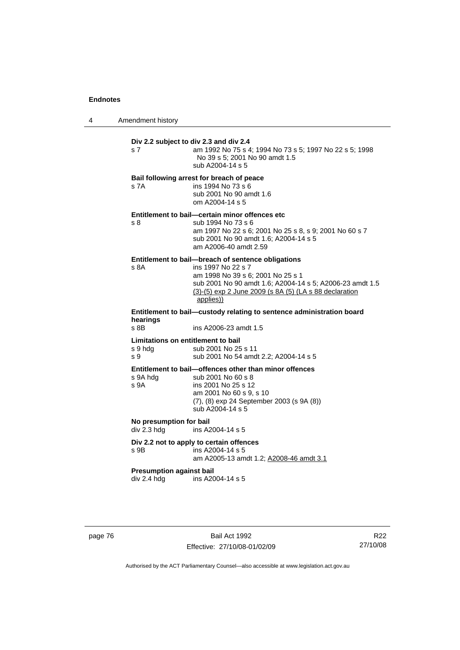4 Amendment history

| s 7                                                  | Div 2.2 subject to div 2.3 and div 2.4<br>am 1992 No 75 s 4; 1994 No 73 s 5; 1997 No 22 s 5; 1998<br>No 39 s 5; 2001 No 90 amdt 1.5<br>sub A2004-14 s 5                                                                                          |
|------------------------------------------------------|--------------------------------------------------------------------------------------------------------------------------------------------------------------------------------------------------------------------------------------------------|
| s 7A                                                 | Bail following arrest for breach of peace<br>ins 1994 No 73 s 6<br>sub 2001 No 90 amdt 1.6<br>om A2004-14 s 5                                                                                                                                    |
| s 8                                                  | Entitlement to bail-certain minor offences etc<br>sub 1994 No 73 s 6<br>am 1997 No 22 s 6; 2001 No 25 s 8, s 9; 2001 No 60 s 7<br>sub 2001 No 90 amdt 1.6; A2004-14 s 5<br>am A2006-40 amdt 2.59                                                 |
| s 8A                                                 | Entitlement to bail-breach of sentence obligations<br>ins 1997 No 22 s 7<br>am 1998 No 39 s 6; 2001 No 25 s 1<br>sub 2001 No 90 amdt 1.6; A2004-14 s 5; A2006-23 amdt 1.5<br>(3)-(5) exp 2 June 2009 (s 8A (5) (LA s 88 declaration<br>applies)) |
| hearings                                             | Entitlement to bail-custody relating to sentence administration board                                                                                                                                                                            |
| s 8B                                                 | ins A2006-23 amdt 1.5                                                                                                                                                                                                                            |
| Limitations on entitlement to bail<br>s 9 hdg<br>s 9 | sub 2001 No 25 s 11<br>sub 2001 No 54 amdt 2.2; A2004-14 s 5                                                                                                                                                                                     |
| s 9A hdg<br>s <sub>9A</sub>                          | Entitlement to bail-offences other than minor offences<br>sub 2001 No 60 s 8<br>ins 2001 No 25 s 12<br>am 2001 No 60 s 9, s 10<br>(7), (8) exp 24 September 2003 (s 9A (8))<br>sub A2004-14 s 5                                                  |
| No presumption for bail<br>div 2.3 hdg               | ins A2004-14 s 5                                                                                                                                                                                                                                 |
| s 9B                                                 | Div 2.2 not to apply to certain offences<br>ins A2004-14 s 5<br>am A2005-13 amdt 1.2; A2008-46 amdt 3.1                                                                                                                                          |
| <b>Presumption against bail</b><br>div 2.4 hdg       | ins A2004-14 s 5                                                                                                                                                                                                                                 |

page 76 Bail Act 1992 Effective: 27/10/08-01/02/09

R22 27/10/08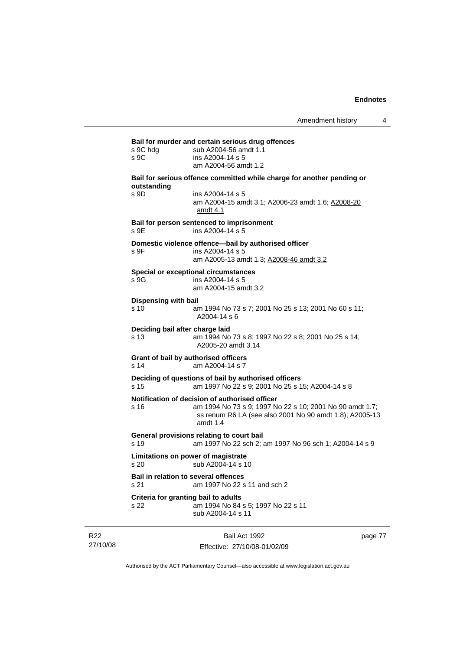| s 9C hdg<br>s 9C             | sub A2004-56 amdt 1.1<br>ins A2004-14 s 5<br>am A2004-56 amdt 1.2                                                                                                                   |
|------------------------------|-------------------------------------------------------------------------------------------------------------------------------------------------------------------------------------|
|                              | Bail for serious offence committed while charge for another pending or                                                                                                              |
| outstanding<br>s 9D          | ins A2004-14 s 5<br>am A2004-15 amdt 3.1; A2006-23 amdt 1.6; A2008-20<br>amdt 4.1                                                                                                   |
| s 9E                         | Bail for person sentenced to imprisonment<br>ins A2004-14 s 5                                                                                                                       |
| s 9F                         | Domestic violence offence-bail by authorised officer<br>ins A2004-14 s 5                                                                                                            |
|                              | am A2005-13 amdt 1.3; A2008-46 amdt 3.2                                                                                                                                             |
| s 9G                         | Special or exceptional circumstances<br>ins A2004-14 s 5<br>am A2004-15 amdt 3.2                                                                                                    |
| Dispensing with bail<br>s 10 | am 1994 No 73 s 7; 2001 No 25 s 13; 2001 No 60 s 11;                                                                                                                                |
|                              | $A2004 - 14s6$                                                                                                                                                                      |
| s 13                         | Deciding bail after charge laid<br>am 1994 No 73 s 8; 1997 No 22 s 8; 2001 No 25 s 14;<br>A2005-20 amdt 3.14                                                                        |
| s 14                         | Grant of bail by authorised officers<br>am A2004-14 s 7                                                                                                                             |
| s 15                         | Deciding of questions of bail by authorised officers<br>am 1997 No 22 s 9; 2001 No 25 s 15; A2004-14 s 8                                                                            |
| s 16                         | Notification of decision of authorised officer<br>am 1994 No 73 s 9; 1997 No 22 s 10; 2001 No 90 amdt 1.7;<br>ss renum R6 LA (see also 2001 No 90 amdt 1.8); A2005-13<br>amdt $1.4$ |
| s 19                         | General provisions relating to court bail<br>am 1997 No 22 sch 2; am 1997 No 96 sch 1; A2004-14 s 9                                                                                 |
| s 20                         | Limitations on power of magistrate<br>sub A2004-14 s 10                                                                                                                             |
| s 21                         | <b>Bail in relation to several offences</b><br>am 1997 No 22 s 11 and sch 2                                                                                                         |
| s 22                         | Criteria for granting bail to adults<br>am 1994 No 84 s 5; 1997 No 22 s 11<br>sub A2004-14 s 11                                                                                     |

R22 27/10/08

Bail Act 1992 Effective: 27/10/08-01/02/09 page 77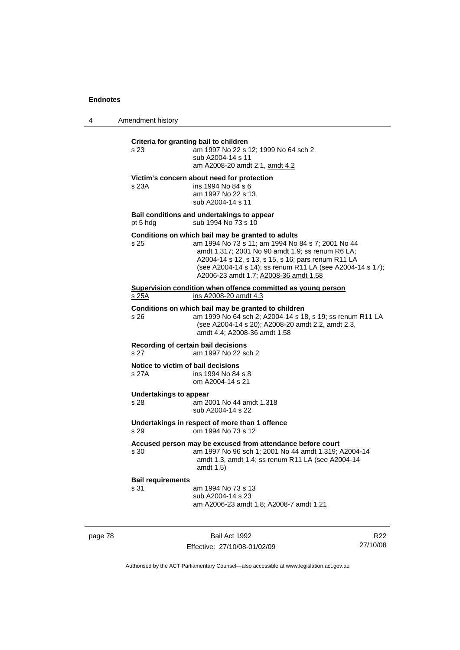4 Amendment history

| Criteria for granting bail to children<br>am 1997 No 22 s 12; 1999 No 64 sch 2<br>s 23<br>sub A2004-14 s 11<br>am A2008-20 amdt 2.1, amdt 4.2<br>Victim's concern about need for protection<br>ins 1994 No 84 s 6<br>s 23A<br>am 1997 No 22 s 13<br>sub A2004-14 s 11<br>Bail conditions and undertakings to appear<br>sub 1994 No 73 s 10<br>Conditions on which bail may be granted to adults<br>am 1994 No 73 s 11; am 1994 No 84 s 7; 2001 No 44<br>s 25<br>amdt 1.317; 2001 No 90 amdt 1.9; ss renum R6 LA;<br>A2004-14 s 12, s 13, s 15, s 16; pars renum R11 LA<br>A2006-23 amdt 1.7; A2008-36 amdt 1.58<br>Supervision condition when offence committed as young person<br>ins A2008-20 amdt 4.3<br>Conditions on which bail may be granted to children<br>am 1999 No 64 sch 2; A2004-14 s 18, s 19; ss renum R11 LA<br>s 26.<br>(see A2004-14 s 20); A2008-20 amdt 2.2, amdt 2.3,<br>amdt 4.4; A2008-36 amdt 1.58<br>Recording of certain bail decisions<br>am 1997 No 22 sch 2<br>Notice to victim of bail decisions<br>s 27A<br>ins 1994 No 84 s 8<br>om A2004-14 s 21<br><b>Undertakings to appear</b><br>s 28<br>am 2001 No 44 amdt 1.318<br>sub A2004-14 s 22<br>Undertakings in respect of more than 1 offence<br>om 1994 No 73 s 12<br>Accused person may be excused from attendance before court<br>am 1997 No 96 sch 1; 2001 No 44 amdt 1.319; A2004-14<br>s 30<br>amdt 1.3, amdt 1.4; ss renum R11 LA (see A2004-14<br>amdt 1.5)<br><b>Bail requirements</b><br>s 31<br>am 1994 No 73 s 13<br>sub A2004-14 s 23<br>am A2006-23 amdt 1.8; A2008-7 amdt 1.21 |          |                                                           |
|-------------------------------------------------------------------------------------------------------------------------------------------------------------------------------------------------------------------------------------------------------------------------------------------------------------------------------------------------------------------------------------------------------------------------------------------------------------------------------------------------------------------------------------------------------------------------------------------------------------------------------------------------------------------------------------------------------------------------------------------------------------------------------------------------------------------------------------------------------------------------------------------------------------------------------------------------------------------------------------------------------------------------------------------------------------------------------------------------------------------------------------------------------------------------------------------------------------------------------------------------------------------------------------------------------------------------------------------------------------------------------------------------------------------------------------------------------------------------------------------------------------------------------------------------------------------------------|----------|-----------------------------------------------------------|
|                                                                                                                                                                                                                                                                                                                                                                                                                                                                                                                                                                                                                                                                                                                                                                                                                                                                                                                                                                                                                                                                                                                                                                                                                                                                                                                                                                                                                                                                                                                                                                               |          |                                                           |
|                                                                                                                                                                                                                                                                                                                                                                                                                                                                                                                                                                                                                                                                                                                                                                                                                                                                                                                                                                                                                                                                                                                                                                                                                                                                                                                                                                                                                                                                                                                                                                               |          |                                                           |
|                                                                                                                                                                                                                                                                                                                                                                                                                                                                                                                                                                                                                                                                                                                                                                                                                                                                                                                                                                                                                                                                                                                                                                                                                                                                                                                                                                                                                                                                                                                                                                               | pt 5 hdg |                                                           |
|                                                                                                                                                                                                                                                                                                                                                                                                                                                                                                                                                                                                                                                                                                                                                                                                                                                                                                                                                                                                                                                                                                                                                                                                                                                                                                                                                                                                                                                                                                                                                                               |          | (see A2004-14 s 14); ss renum R11 LA (see A2004-14 s 17); |
|                                                                                                                                                                                                                                                                                                                                                                                                                                                                                                                                                                                                                                                                                                                                                                                                                                                                                                                                                                                                                                                                                                                                                                                                                                                                                                                                                                                                                                                                                                                                                                               | s 25A    |                                                           |
|                                                                                                                                                                                                                                                                                                                                                                                                                                                                                                                                                                                                                                                                                                                                                                                                                                                                                                                                                                                                                                                                                                                                                                                                                                                                                                                                                                                                                                                                                                                                                                               |          |                                                           |
|                                                                                                                                                                                                                                                                                                                                                                                                                                                                                                                                                                                                                                                                                                                                                                                                                                                                                                                                                                                                                                                                                                                                                                                                                                                                                                                                                                                                                                                                                                                                                                               | s 27     |                                                           |
|                                                                                                                                                                                                                                                                                                                                                                                                                                                                                                                                                                                                                                                                                                                                                                                                                                                                                                                                                                                                                                                                                                                                                                                                                                                                                                                                                                                                                                                                                                                                                                               |          |                                                           |
|                                                                                                                                                                                                                                                                                                                                                                                                                                                                                                                                                                                                                                                                                                                                                                                                                                                                                                                                                                                                                                                                                                                                                                                                                                                                                                                                                                                                                                                                                                                                                                               |          |                                                           |
|                                                                                                                                                                                                                                                                                                                                                                                                                                                                                                                                                                                                                                                                                                                                                                                                                                                                                                                                                                                                                                                                                                                                                                                                                                                                                                                                                                                                                                                                                                                                                                               | s 29     |                                                           |
|                                                                                                                                                                                                                                                                                                                                                                                                                                                                                                                                                                                                                                                                                                                                                                                                                                                                                                                                                                                                                                                                                                                                                                                                                                                                                                                                                                                                                                                                                                                                                                               |          |                                                           |
|                                                                                                                                                                                                                                                                                                                                                                                                                                                                                                                                                                                                                                                                                                                                                                                                                                                                                                                                                                                                                                                                                                                                                                                                                                                                                                                                                                                                                                                                                                                                                                               |          |                                                           |

page 78 Bail Act 1992

Effective: 27/10/08-01/02/09

R22 27/10/08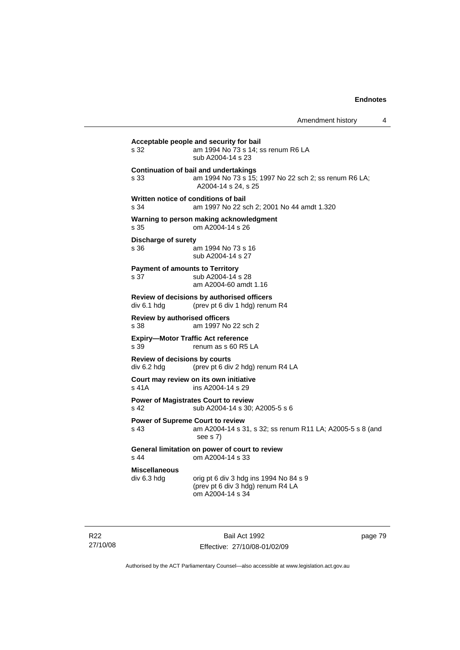| s 32                                                | am 1994 No 73 s 14; ss renum R6 LA<br>sub A2004-14 s 23                                                                      |
|-----------------------------------------------------|------------------------------------------------------------------------------------------------------------------------------|
| s 33                                                | <b>Continuation of bail and undertakings</b><br>am 1994 No 73 s 15; 1997 No 22 sch 2; ss renum R6 LA;<br>A2004-14 s 24, s 25 |
| s.34                                                | Written notice of conditions of bail<br>am 1997 No 22 sch 2; 2001 No 44 amdt 1.320                                           |
| s 35                                                | Warning to person making acknowledgment<br>om A2004-14 s 26                                                                  |
| <b>Discharge of surety</b><br>s 36                  | am 1994 No 73 s 16<br>sub A2004-14 s 27                                                                                      |
| s 37                                                | <b>Payment of amounts to Territory</b><br>sub A2004-14 s 28<br>am A2004-60 amdt 1.16                                         |
| div 6.1 hdg                                         | Review of decisions by authorised officers<br>(prev pt 6 div 1 hdg) renum R4                                                 |
| Review by authorised officers<br>s 38               | am 1997 No 22 sch 2                                                                                                          |
| s 39                                                | <b>Expiry-Motor Traffic Act reference</b><br>renum as s 60 R5 LA                                                             |
| <b>Review of decisions by courts</b><br>div 6.2 hdg | (prev pt 6 div 2 hdg) renum R4 LA                                                                                            |
| s 41A                                               | Court may review on its own initiative<br>ins A2004-14 s 29                                                                  |
| s 42                                                | <b>Power of Magistrates Court to review</b><br>sub A2004-14 s 30; A2005-5 s 6                                                |
| s 43                                                | <b>Power of Supreme Court to review</b><br>am A2004-14 s 31, s 32; ss renum R11 LA; A2005-5 s 8 (and<br>see s 7)             |
| s 44                                                | General limitation on power of court to review<br>om A2004-14 s 33                                                           |
| <b>Miscellaneous</b><br>div 6.3 hdg                 | orig pt 6 div 3 hdg ins 1994 No 84 s 9<br>(prev pt 6 div 3 hdg) renum R4 LA<br>om A2004-14 s 34                              |

R22 27/10/08

Bail Act 1992 Effective: 27/10/08-01/02/09 page 79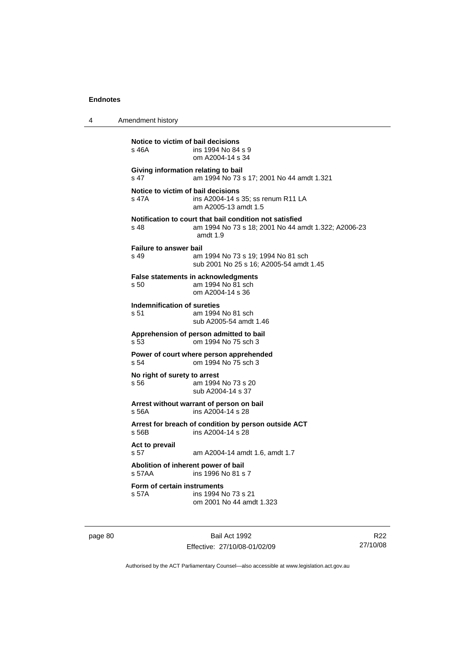| 4       | Amendment history                                                                                                                    |
|---------|--------------------------------------------------------------------------------------------------------------------------------------|
|         | Notice to victim of bail decisions<br>s 46A<br>ins 1994 No 84 s 9<br>om A2004-14 s 34                                                |
|         | Giving information relating to bail<br>s 47<br>am 1994 No 73 s 17; 2001 No 44 amdt 1.321                                             |
|         | Notice to victim of bail decisions<br>s 47A<br>ins A2004-14 s 35; ss renum R11 LA<br>am A2005-13 amdt 1.5                            |
|         | Notification to court that bail condition not satisfied<br>am 1994 No 73 s 18; 2001 No 44 amdt 1.322; A2006-23<br>s 48<br>amdt $1.9$ |
|         | <b>Failure to answer bail</b><br>s 49<br>am 1994 No 73 s 19; 1994 No 81 sch<br>sub 2001 No 25 s 16; A2005-54 amdt 1.45               |
|         | <b>False statements in acknowledgments</b><br>s 50<br>am 1994 No 81 sch<br>om A2004-14 s 36                                          |
|         | Indemnification of sureties<br>s 51<br>am 1994 No 81 sch<br>sub A2005-54 amdt 1.46                                                   |
|         | Apprehension of person admitted to bail<br>s 53<br>om 1994 No 75 sch 3                                                               |
|         | Power of court where person apprehended<br>om 1994 No 75 sch 3<br>s 54                                                               |
|         | No right of surety to arrest<br>am 1994 No 73 s 20<br>s 56<br>sub A2004-14 s 37                                                      |
|         | Arrest without warrant of person on bail<br>ins A2004-14 s 28<br>s 56A                                                               |
|         | Arrest for breach of condition by person outside ACT<br>s 56B<br>ins A2004-14 s 28                                                   |
|         | Act to prevail<br>s <sub>57</sub><br>am A2004-14 amdt 1.6, amdt 1.7                                                                  |
|         | Abolition of inherent power of bail<br>s 57AA<br>ins 1996 No 81 s 7                                                                  |
|         | Form of certain instruments<br>ins 1994 No 73 s 21<br>s 57A<br>om 2001 No 44 amdt 1.323                                              |
| page 80 | Bail Act 1992                                                                                                                        |

Effective: 27/10/08-01/02/09

R22 27/10/08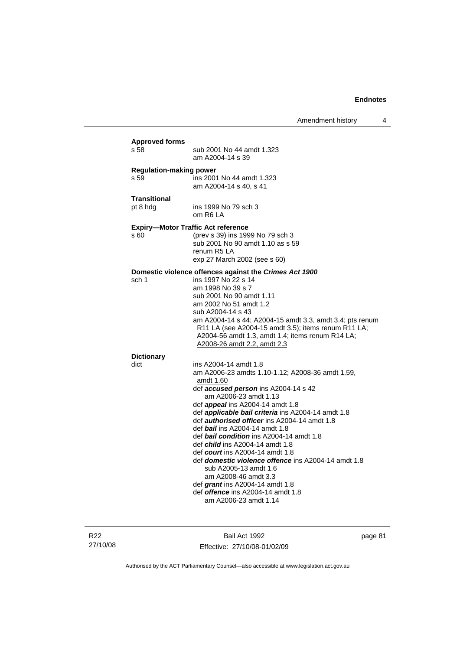| s 58                                   | <b>Approved forms</b><br>sub 2001 No 44 amdt 1.323<br>am A2004-14 s 39                                                                                                                                                                                                                                                                                                                                                                                                                                                                                                                                                                                                                                   |
|----------------------------------------|----------------------------------------------------------------------------------------------------------------------------------------------------------------------------------------------------------------------------------------------------------------------------------------------------------------------------------------------------------------------------------------------------------------------------------------------------------------------------------------------------------------------------------------------------------------------------------------------------------------------------------------------------------------------------------------------------------|
| <b>Regulation-making power</b><br>s 59 | ins 2001 No 44 amdt 1.323<br>am A2004-14 s 40. s 41                                                                                                                                                                                                                                                                                                                                                                                                                                                                                                                                                                                                                                                      |
| <b>Transitional</b><br>pt 8 hdg        | ins 1999 No 79 sch 3<br>om R6 LA                                                                                                                                                                                                                                                                                                                                                                                                                                                                                                                                                                                                                                                                         |
| s 60                                   | <b>Expiry-Motor Traffic Act reference</b><br>(prev s 39) ins 1999 No 79 sch 3<br>sub 2001 No 90 amdt 1.10 as s 59<br>renum R5 LA<br>exp 27 March 2002 (see s 60)                                                                                                                                                                                                                                                                                                                                                                                                                                                                                                                                         |
| sch 1                                  | Domestic violence offences against the Crimes Act 1900<br>ins 1997 No 22 s 14<br>am 1998 No 39 s 7<br>sub 2001 No 90 amdt 1.11<br>am 2002 No 51 amdt 1.2<br>sub A2004-14 s 43<br>am A2004-14 s 44; A2004-15 amdt 3.3, amdt 3.4; pts renum<br>R11 LA (see A2004-15 amdt 3.5); items renum R11 LA;<br>A2004-56 amdt 1.3, amdt 1.4; items renum R14 LA;<br>A2008-26 amdt 2.2, amdt 2.3                                                                                                                                                                                                                                                                                                                      |
| <b>Dictionary</b>                      |                                                                                                                                                                                                                                                                                                                                                                                                                                                                                                                                                                                                                                                                                                          |
| dict                                   | ins A2004-14 amdt 1.8<br>am A2006-23 amdts 1.10-1.12; A2008-36 amdt 1.59.<br>amdt 1.60<br>def accused person ins A2004-14 s 42<br>am A2006-23 amdt 1.13<br>def <i>appeal</i> ins A2004-14 amdt 1.8<br>def applicable bail criteria ins A2004-14 amdt 1.8<br>def <b>authorised officer</b> ins A2004-14 amdt 1.8<br>def bail ins A2004-14 amdt 1.8<br>def bail condition ins A2004-14 amdt 1.8<br>def <i>child</i> ins A2004-14 amdt 1.8<br>def <i>court</i> ins A2004-14 amdt 1.8<br>def <b>domestic violence offence</b> ins A2004-14 amdt 1.8<br>sub A2005-13 amdt 1.6<br>am A2008-46 amdt 3.3<br>def grant ins A2004-14 amdt 1.8<br>def <i>offence</i> ins A2004-14 amdt 1.8<br>am A2006-23 amdt 1.14 |

R22 27/10/08

Bail Act 1992 Effective: 27/10/08-01/02/09 page 81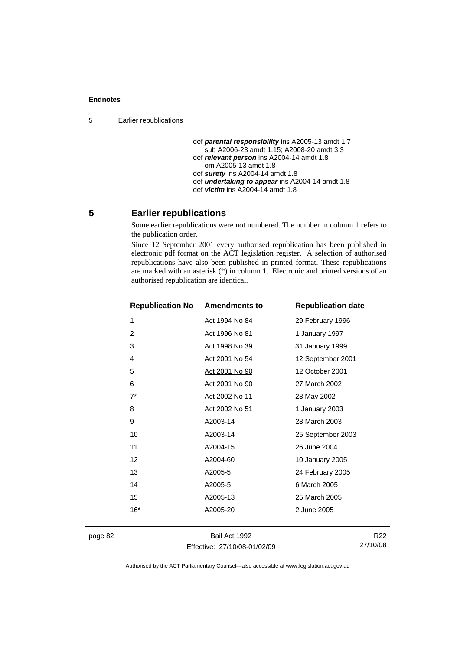5 Earlier republications

```
 def parental responsibility ins A2005-13 amdt 1.7 
   sub A2006-23 amdt 1.15; A2008-20 amdt 3.3 
def relevant person ins A2004-14 amdt 1.8 
   om A2005-13 amdt 1.8 
def surety ins A2004-14 amdt 1.8 
def undertaking to appear ins A2004-14 amdt 1.8 
def victim ins A2004-14 amdt 1.8
```
# **5 Earlier republications**

Some earlier republications were not numbered. The number in column 1 refers to the publication order.

Since 12 September 2001 every authorised republication has been published in electronic pdf format on the ACT legislation register. A selection of authorised republications have also been published in printed format. These republications are marked with an asterisk (\*) in column 1. Electronic and printed versions of an authorised republication are identical.

| <b>Republication No</b> | <b>Amendments to</b>  | <b>Republication date</b> |
|-------------------------|-----------------------|---------------------------|
| 1                       | Act 1994 No 84        | 29 February 1996          |
| 2                       | Act 1996 No 81        | 1 January 1997            |
| 3                       | Act 1998 No 39        | 31 January 1999           |
| 4                       | Act 2001 No 54        | 12 September 2001         |
| 5                       | <u>Act 2001 No 90</u> | 12 October 2001           |
| 6                       | Act 2001 No 90        | 27 March 2002             |
| $7^*$                   | Act 2002 No 11        | 28 May 2002               |
| 8                       | Act 2002 No 51        | 1 January 2003            |
| 9                       | A2003-14              | 28 March 2003             |
| 10                      | A2003-14              | 25 September 2003         |
| 11                      | A2004-15              | 26 June 2004              |
| $12 \overline{ }$       | A2004-60              | 10 January 2005           |
| 13                      | A2005-5               | 24 February 2005          |
| 14                      | A2005-5               | 6 March 2005              |
| 15                      | A2005-13              | 25 March 2005             |
| $16*$                   | A2005-20              | 2 June 2005               |
|                         |                       |                           |

page 82 Bail Act 1992 Effective: 27/10/08-01/02/09

R22 27/10/08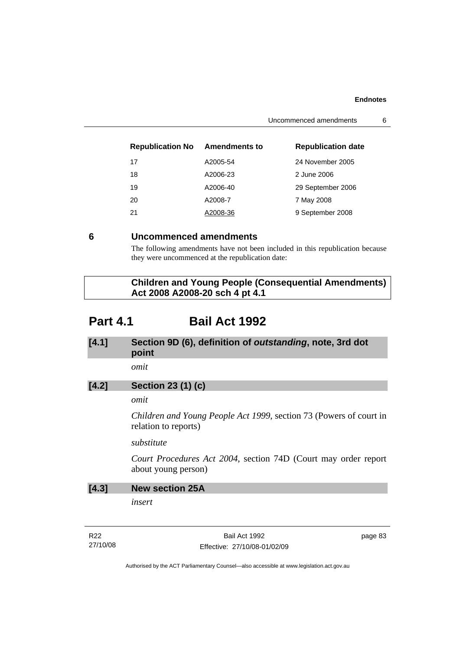| <b>Republication No</b> | <b>Amendments to</b> | <b>Republication date</b> |
|-------------------------|----------------------|---------------------------|
| 17                      | A2005-54             | 24 November 2005          |
| 18                      | A2006-23             | 2 June 2006               |
| 19                      | A2006-40             | 29 September 2006         |
| 20                      | A2008-7              | 7 May 2008                |
| 21                      | A2008-36             | 9 September 2008          |

# **6 Uncommenced amendments**

The following amendments have not been included in this republication because they were uncommenced at the republication date:

 **Children and Young People (Consequential Amendments) Act 2008 A2008-20 sch 4 pt 4.1** 

# **Part 4.1 Bail Act 1992**

# **[4.1] Section 9D (6), definition of** *outstanding***, note, 3rd dot point**

*omit* 

# **[4.2] Section 23 (1) (c)**

# *omit*

*Children and Young People Act 1999*, section 73 (Powers of court in relation to reports)

# *substitute*

*Court Procedures Act 2004*, section 74D (Court may order report about young person)

| [4.3] | <b>New section 25A</b> |
|-------|------------------------|
|       |                        |

*insert* 

R22 27/10/08

Bail Act 1992 Effective: 27/10/08-01/02/09 page 83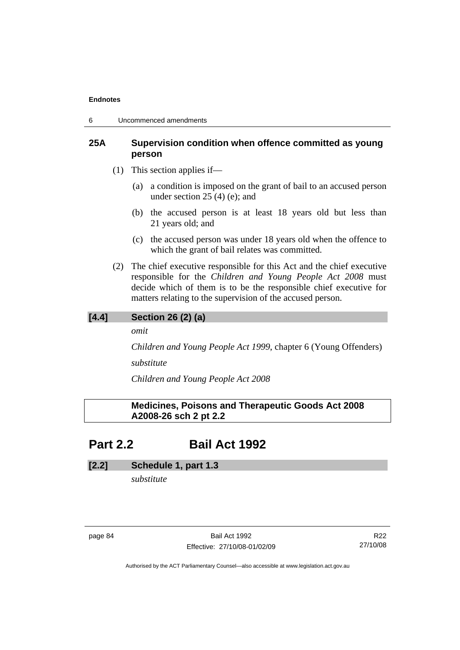6 Uncommenced amendments

# **25A Supervision condition when offence committed as young person**

- (1) This section applies if—
	- (a) a condition is imposed on the grant of bail to an accused person under section 25 (4) (e); and
	- (b) the accused person is at least 18 years old but less than 21 years old; and
	- (c) the accused person was under 18 years old when the offence to which the grant of bail relates was committed.
- (2) The chief executive responsible for this Act and the chief executive responsible for the *Children and Young People Act 2008* must decide which of them is to be the responsible chief executive for matters relating to the supervision of the accused person.

# **[4.4] Section 26 (2) (a)**

*omit* 

*Children and Young People Act 1999*, chapter 6 (Young Offenders)

*substitute* 

*Children and Young People Act 2008*

# **Medicines, Poisons and Therapeutic Goods Act 2008 A2008-26 sch 2 pt 2.2**

# **Part 2.2 Bail Act 1992**

# **[2.2] Schedule 1, part 1.3**

*substitute* 

page 84 Bail Act 1992 Effective: 27/10/08-01/02/09

R22 27/10/08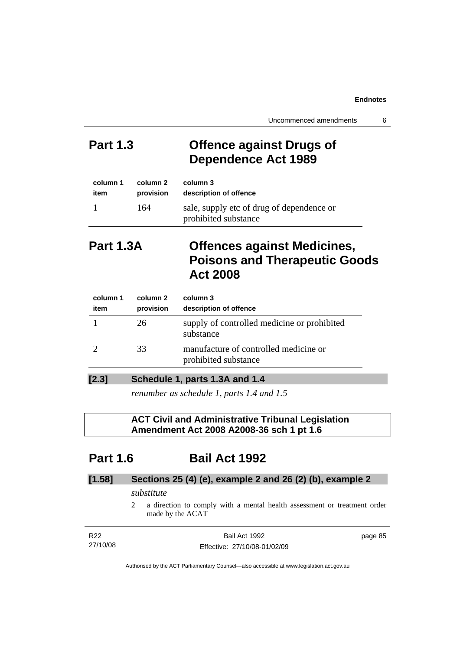# **Part 1.3 Offence against Drugs of Dependence Act 1989**

| column 1 | column 2  | column 3                                                          |
|----------|-----------|-------------------------------------------------------------------|
| item     | provision | description of offence                                            |
|          | 164       | sale, supply etc of drug of dependence or<br>prohibited substance |

# **Part 1.3A Offences against Medicines, Poisons and Therapeutic Goods Act 2008**

| column 1<br>item | column 2<br>provision | column 3<br>description of offence                            |
|------------------|-----------------------|---------------------------------------------------------------|
|                  | 26                    | supply of controlled medicine or prohibited<br>substance      |
|                  | 33                    | manufacture of controlled medicine or<br>prohibited substance |
|                  |                       |                                                               |

# **[2.3] Schedule 1, parts 1.3A and 1.4**

*renumber as schedule 1, parts 1.4 and 1.5* 

# **ACT Civil and Administrative Tribunal Legislation Amendment Act 2008 A2008-36 sch 1 pt 1.6**

# **Part 1.6 Bail Act 1992**

# **[1.58] Sections 25 (4) (e), example 2 and 26 (2) (b), example 2**

# *substitute*

2 a direction to comply with a mental health assessment or treatment order made by the ACAT

| R22      | Bail Act 1992                | page 85 |
|----------|------------------------------|---------|
| 27/10/08 | Effective: 27/10/08-01/02/09 |         |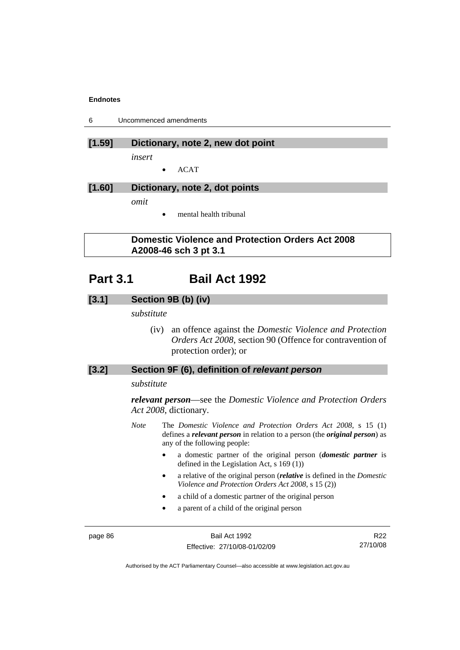6 Uncommenced amendments

# **[1.59] Dictionary, note 2, new dot point**

*insert* 

• ACAT

# **[1.60] Dictionary, note 2, dot points**

*omit* 

mental health tribunal

# **Domestic Violence and Protection Orders Act 2008 A2008-46 sch 3 pt 3.1**

# **Part 3.1 Bail Act 1992**

# **[3.1] Section 9B (b) (iv)**

*substitute* 

 (iv) an offence against the *Domestic Violence and Protection Orders Act 2008*, section 90 (Offence for contravention of protection order); or

# **[3.2] Section 9F (6), definition of** *relevant person*

## *substitute*

*relevant person*—see the *Domestic Violence and Protection Orders Act 2008*, dictionary.

- *Note* The *Domestic Violence and Protection Orders Act 2008*, s 15 (1) defines a *relevant person* in relation to a person (the *original person*) as any of the following people:
	- a domestic partner of the original person (*domestic partner* is defined in the Legislation Act, s 169 (1))
	- a relative of the original person (*relative* is defined in the *Domestic Violence and Protection Orders Act 2008*, s 15 (2))
	- a child of a domestic partner of the original person
	- a parent of a child of the original person

page 86 Bail Act 1992 Effective: 27/10/08-01/02/09

R22 27/10/08